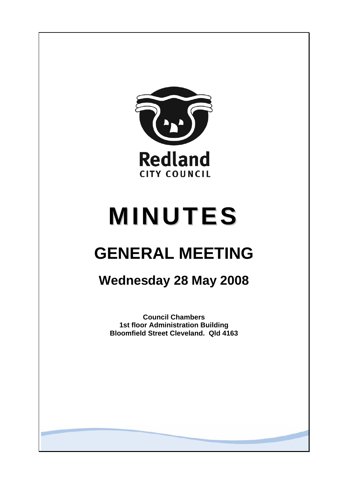

# **MINUTES**

## **GENERAL MEETING**

### **Wednesday 28 May 2008**

**Council Chambers 1st floor Administration Building Bloomfield Street Cleveland. Qld 4163**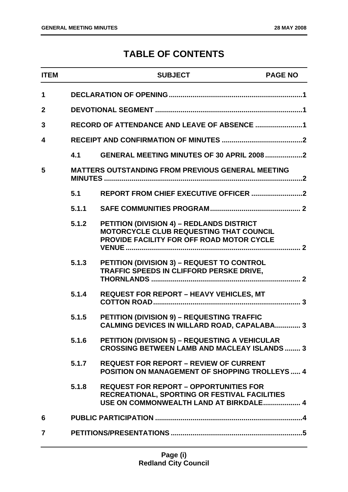#### **TABLE OF CONTENTS**

| <b>ITEM</b>    |       | <b>SUBJECT</b>                                                                                                                           | <b>PAGE NO</b> |
|----------------|-------|------------------------------------------------------------------------------------------------------------------------------------------|----------------|
| 1              |       |                                                                                                                                          |                |
| $\overline{2}$ |       |                                                                                                                                          |                |
| 3              |       |                                                                                                                                          |                |
| 4              |       |                                                                                                                                          |                |
|                | 4.1   | <b>GENERAL MEETING MINUTES OF 30 APRIL 2008 2</b>                                                                                        |                |
| 5              |       | <b>MATTERS OUTSTANDING FROM PREVIOUS GENERAL MEETING</b>                                                                                 |                |
|                | 5.1   |                                                                                                                                          |                |
|                | 5.1.1 |                                                                                                                                          |                |
|                | 5.1.2 | PETITION (DIVISION 4) - REDLANDS DISTRICT<br>MOTORCYCLE CLUB REQUESTING THAT COUNCIL<br>PROVIDE FACILITY FOR OFF ROAD MOTOR CYCLE        |                |
|                | 5.1.3 | PETITION (DIVISION 3) - REQUEST TO CONTROL<br>TRAFFIC SPEEDS IN CLIFFORD PERSKE DRIVE,                                                   |                |
|                | 5.1.4 | <b>REQUEST FOR REPORT - HEAVY VEHICLES, MT</b>                                                                                           |                |
|                | 5.1.5 | <b>PETITION (DIVISION 9) - REQUESTING TRAFFIC</b><br><b>CALMING DEVICES IN WILLARD ROAD, CAPALABA 3</b>                                  |                |
|                | 5.1.6 | <b>PETITION (DIVISION 5) - REQUESTING A VEHICULAR</b><br><b>CROSSING BETWEEN LAMB AND MACLEAY ISLANDS  3</b>                             |                |
|                | 5.1.7 | <b>REQUEST FOR REPORT - REVIEW OF CURRENT</b><br><b>POSITION ON MANAGEMENT OF SHOPPING TROLLEYS  4</b>                                   |                |
|                | 5.1.8 | <b>REQUEST FOR REPORT - OPPORTUNITIES FOR</b><br>RECREATIONAL, SPORTING OR FESTIVAL FACILITIES<br>USE ON COMMONWEALTH LAND AT BIRKDALE 4 |                |
| 6              |       |                                                                                                                                          |                |
| $\overline{7}$ |       |                                                                                                                                          |                |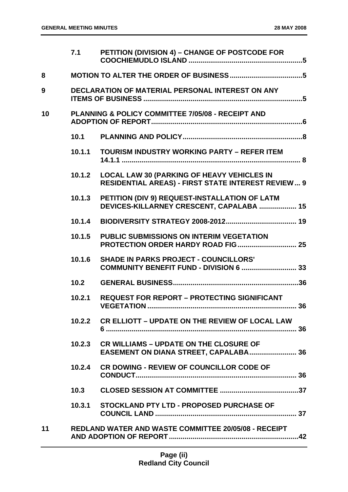|    | 7.1    | PETITION (DIVISION 4) - CHANGE OF POSTCODE FOR                                                                 |
|----|--------|----------------------------------------------------------------------------------------------------------------|
| 8  |        |                                                                                                                |
| 9  |        | <b>DECLARATION OF MATERIAL PERSONAL INTEREST ON ANY</b>                                                        |
| 10 |        | <b>PLANNING &amp; POLICY COMMITTEE 7/05/08 - RECEIPT AND</b>                                                   |
|    |        |                                                                                                                |
|    | 10.1.1 | <b>TOURISM INDUSTRY WORKING PARTY - REFER ITEM</b>                                                             |
|    | 10.1.2 | <b>LOCAL LAW 30 (PARKING OF HEAVY VEHICLES IN</b><br><b>RESIDENTIAL AREAS) - FIRST STATE INTEREST REVIEW 9</b> |
|    | 10.1.3 | PETITION (DIV 9) REQUEST-INSTALLATION OF LATM<br>DEVICES-KILLARNEY CRESCENT, CAPALABA  15                      |
|    | 10.1.4 |                                                                                                                |
|    | 10.1.5 | PUBLIC SUBMISSIONS ON INTERIM VEGETATION                                                                       |
|    | 10.1.6 | <b>SHADE IN PARKS PROJECT - COUNCILLORS'</b><br>COMMUNITY BENEFIT FUND - DIVISION 6  33                        |
|    | 10.2   |                                                                                                                |
|    | 10.2.1 | <b>REQUEST FOR REPORT - PROTECTING SIGNIFICANT</b><br>36                                                       |
|    | 10.2.2 | <b>CR ELLIOTT - UPDATE ON THE REVIEW OF LOCAL LAW</b>                                                          |
|    | 10.2.3 | <b>CR WILLIAMS – UPDATE ON THE CLOSURE OF</b><br>EASEMENT ON DIANA STREET, CAPALABA 36                         |
|    | 10.2.4 | <b>CR DOWING - REVIEW OF COUNCILLOR CODE OF</b>                                                                |
|    | 10.3   |                                                                                                                |
|    | 10.3.1 | STOCKLAND PTY LTD - PROPOSED PURCHASE OF                                                                       |
| 11 |        | <b>REDLAND WATER AND WASTE COMMITTEE 20/05/08 - RECEIPT</b>                                                    |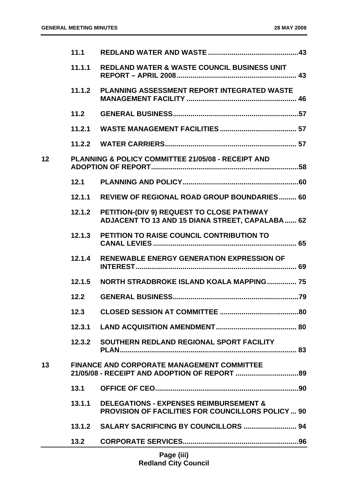|    | 11.1   |                                                                                                                |  |
|----|--------|----------------------------------------------------------------------------------------------------------------|--|
|    | 11.1.1 | <b>REDLAND WATER &amp; WASTE COUNCIL BUSINESS UNIT</b>                                                         |  |
|    | 11.1.2 | PLANNING ASSESSMENT REPORT INTEGRATED WASTE                                                                    |  |
|    | 11.2   |                                                                                                                |  |
|    | 11.2.1 |                                                                                                                |  |
|    | 11.2.2 |                                                                                                                |  |
| 12 |        | PLANNING & POLICY COMMITTEE 21/05/08 - RECEIPT AND                                                             |  |
|    | 12.1   |                                                                                                                |  |
|    | 12.1.1 | <b>REVIEW OF REGIONAL ROAD GROUP BOUNDARIES 60</b>                                                             |  |
|    | 12.1.2 | PETITION-(DIV 9) REQUEST TO CLOSE PATHWAY<br>ADJACENT TO 13 AND 15 DIANA STREET, CAPALABA 62                   |  |
|    | 12.1.3 | PETITION TO RAISE COUNCIL CONTRIBUTION TO                                                                      |  |
|    | 12.1.4 | <b>RENEWABLE ENERGY GENERATION EXPRESSION OF</b>                                                               |  |
|    | 12.1.5 | NORTH STRADBROKE ISLAND KOALA MAPPING 75                                                                       |  |
|    | 12.2   |                                                                                                                |  |
|    | 12.3   |                                                                                                                |  |
|    | 12.3.1 |                                                                                                                |  |
|    |        | 12.3.2 SOUTHERN REDLAND REGIONAL SPORT FACILITY                                                                |  |
| 13 |        | <b>FINANCE AND CORPORATE MANAGEMENT COMMITTEE</b>                                                              |  |
|    | 13.1   |                                                                                                                |  |
|    | 13.1.1 | <b>DELEGATIONS - EXPENSES REIMBURSEMENT &amp;</b><br><b>PROVISION OF FACILITIES FOR COUNCILLORS POLICY  90</b> |  |
|    |        |                                                                                                                |  |
|    | 13.2   |                                                                                                                |  |
|    |        |                                                                                                                |  |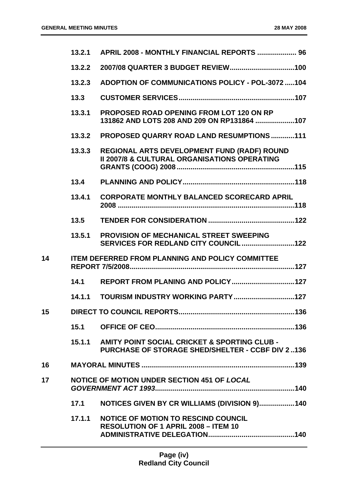|    | 13.2.1 | APRIL 2008 - MONTHLY FINANCIAL REPORTS  96                                                              |
|----|--------|---------------------------------------------------------------------------------------------------------|
|    | 13.2.2 |                                                                                                         |
|    | 13.2.3 | <b>ADOPTION OF COMMUNICATIONS POLICY - POL-3072 104</b>                                                 |
|    | 13.3   |                                                                                                         |
|    | 13.3.1 | <b>PROPOSED ROAD OPENING FROM LOT 120 ON RP</b><br>131862 AND LOTS 208 AND 209 ON RP131864 107          |
|    | 13.3.2 | <b>PROPOSED QUARRY ROAD LAND RESUMPTIONS 111</b>                                                        |
|    | 13.3.3 | REGIONAL ARTS DEVELOPMENT FUND (RADF) ROUND<br><b>II 2007/8 &amp; CULTURAL ORGANISATIONS OPERATING</b>  |
|    | 13.4   |                                                                                                         |
|    | 13.4.1 | <b>CORPORATE MONTHLY BALANCED SCORECARD APRIL</b>                                                       |
|    | 13.5   |                                                                                                         |
|    | 13.5.1 | <b>PROVISION OF MECHANICAL STREET SWEEPING</b>                                                          |
| 14 |        | <b>ITEM DEFERRED FROM PLANNING AND POLICY COMMITTEE</b>                                                 |
|    | 14.1   |                                                                                                         |
|    | 14.1.1 |                                                                                                         |
| 15 |        |                                                                                                         |
|    | 15.1   |                                                                                                         |
|    | 15.1.1 | AMITY POINT SOCIAL CRICKET & SPORTING CLUB -<br><b>PURCHASE OF STORAGE SHED/SHELTER - CCBF DIV 2136</b> |
| 16 |        |                                                                                                         |
| 17 |        | NOTICE OF MOTION UNDER SECTION 451 OF LOCAL                                                             |
|    | 17.1   | NOTICES GIVEN BY CR WILLIAMS (DIVISION 9)140                                                            |
|    | 17.1.1 | <b>NOTICE OF MOTION TO RESCIND COUNCIL</b><br><b>RESOLUTION OF 1 APRIL 2008 - ITEM 10</b>               |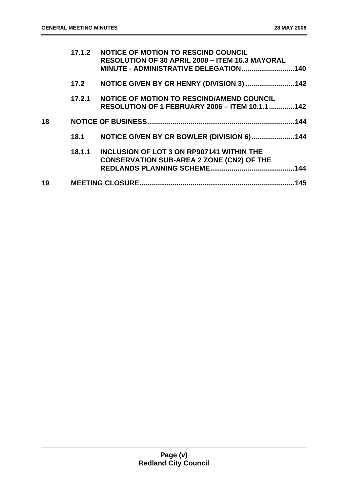|    | 17.1.2 | <b>NOTICE OF MOTION TO RESCIND COUNCIL</b><br><b>RESOLUTION OF 30 APRIL 2008 - ITEM 16.3 MAYORAL</b> |        |
|----|--------|------------------------------------------------------------------------------------------------------|--------|
|    |        | MINUTE - ADMINISTRATIVE DELEGATION                                                                   | .140   |
|    | 17.2   |                                                                                                      |        |
|    | 17.2.1 | <b>NOTICE OF MOTION TO RESCIND/AMEND COUNCIL</b><br>RESOLUTION OF 1 FEBRUARY 2006 - ITEM 10.1.1142   |        |
| 18 |        |                                                                                                      | 144    |
|    | 18.1   | NOTICE GIVEN BY CR BOWLER (DIVISION 6) 144                                                           |        |
|    | 18.1.1 | <b>INCLUSION OF LOT 3 ON RP907141 WITHIN THE</b><br><b>CONSERVATION SUB-AREA 2 ZONE (CN2) OF THE</b> | .144   |
| 19 |        |                                                                                                      | $-145$ |
|    |        |                                                                                                      |        |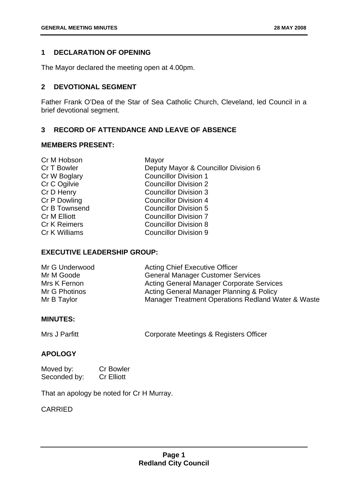#### <span id="page-6-0"></span>**1 DECLARATION OF OPENING**

The Mayor declared the meeting open at 4.00pm.

#### <span id="page-6-1"></span>**2 DEVOTIONAL SEGMENT**

Father Frank O'Dea of the Star of Sea Catholic Church, Cleveland, led Council in a brief devotional segment.

#### <span id="page-6-2"></span>**3 RECORD OF ATTENDANCE AND LEAVE OF ABSENCE**

#### **MEMBERS PRESENT:**

| Cr M Hobson         | Mayor                                |
|---------------------|--------------------------------------|
| Cr T Bowler         | Deputy Mayor & Councillor Division 6 |
| Cr W Boglary        | <b>Councillor Division 1</b>         |
| Cr C Ogilvie        | <b>Councillor Division 2</b>         |
| Cr D Henry          | <b>Councillor Division 3</b>         |
| Cr P Dowling        | <b>Councillor Division 4</b>         |
| Cr B Townsend       | <b>Councillor Division 5</b>         |
| <b>Cr M Elliott</b> | <b>Councillor Division 7</b>         |
| <b>Cr K Reimers</b> | <b>Councillor Division 8</b>         |
| Cr K Williams       | <b>Councillor Division 9</b>         |
|                     |                                      |

#### **EXECUTIVE LEADERSHIP GROUP:**

| Mr G Underwood | <b>Acting Chief Executive Officer</b>              |
|----------------|----------------------------------------------------|
| Mr M Goode     | <b>General Manager Customer Services</b>           |
| Mrs K Fernon   | <b>Acting General Manager Corporate Services</b>   |
| Mr G Photinos  | Acting General Manager Planning & Policy           |
| Mr B Taylor    | Manager Treatment Operations Redland Water & Waste |

#### **MINUTES:**

Mrs J Parfitt **Corporate Meetings & Registers Officer** 

#### **APOLOGY**

| Moved by:    | <b>Cr Bowler</b>  |
|--------------|-------------------|
| Seconded by: | <b>Cr Elliott</b> |

That an apology be noted for Cr H Murray.

#### CARRIED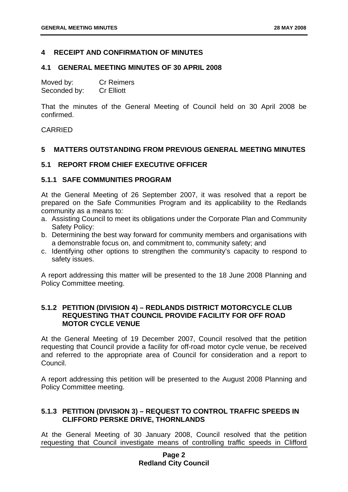#### <span id="page-7-0"></span>**4 RECEIPT AND CONFIRMATION OF MINUTES**

#### <span id="page-7-1"></span>**4.1 GENERAL MEETING MINUTES OF 30 APRIL 2008**

| Moved by:    | <b>Cr Reimers</b> |
|--------------|-------------------|
| Seconded by: | <b>Cr Elliott</b> |

That the minutes of the General Meeting of Council held on 30 April 2008 be confirmed.

#### CARRIED

#### <span id="page-7-2"></span>**5 MATTERS OUTSTANDING FROM PREVIOUS GENERAL MEETING MINUTES**

#### <span id="page-7-3"></span>**5.1 REPORT FROM CHIEF EXECUTIVE OFFICER**

#### <span id="page-7-4"></span>**5.1.1 SAFE COMMUNITIES PROGRAM**

At the General Meeting of 26 September 2007, it was resolved that a report be prepared on the Safe Communities Program and its applicability to the Redlands community as a means to:

- a. Assisting Council to meet its obligations under the Corporate Plan and Community Safety Policy:
- b. Determining the best way forward for community members and organisations with a demonstrable focus on, and commitment to, community safety; and
- c. Identifying other options to strengthen the community's capacity to respond to safety issues.

A report addressing this matter will be presented to the 18 June 2008 Planning and Policy Committee meeting.

#### <span id="page-7-5"></span>**5.1.2 PETITION (DIVISION 4) – REDLANDS DISTRICT MOTORCYCLE CLUB REQUESTING THAT COUNCIL PROVIDE FACILITY FOR OFF ROAD MOTOR CYCLE VENUE**

At the General Meeting of 19 December 2007, Council resolved that the petition requesting that Council provide a facility for off-road motor cycle venue, be received and referred to the appropriate area of Council for consideration and a report to Council.

A report addressing this petition will be presented to the August 2008 Planning and Policy Committee meeting.

#### <span id="page-7-6"></span>**5.1.3 PETITION (DIVISION 3) – REQUEST TO CONTROL TRAFFIC SPEEDS IN CLIFFORD PERSKE DRIVE, THORNLANDS**

At the General Meeting of 30 January 2008, Council resolved that the petition requesting that Council investigate means of controlling traffic speeds in Clifford

#### **Page 2 Redland City Council**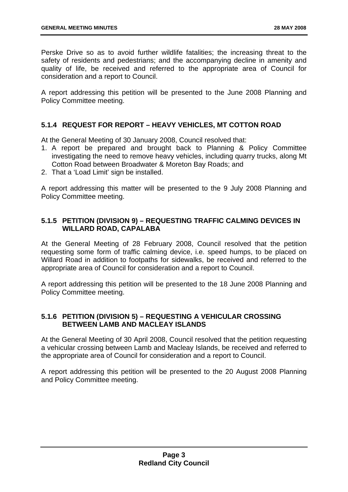Perske Drive so as to avoid further wildlife fatalities; the increasing threat to the safety of residents and pedestrians; and the accompanying decline in amenity and quality of life, be received and referred to the appropriate area of Council for consideration and a report to Council.

A report addressing this petition will be presented to the June 2008 Planning and Policy Committee meeting.

#### <span id="page-8-0"></span>**5.1.4 REQUEST FOR REPORT – HEAVY VEHICLES, MT COTTON ROAD**

At the General Meeting of 30 January 2008, Council resolved that:

- 1. A report be prepared and brought back to Planning & Policy Committee investigating the need to remove heavy vehicles, including quarry trucks, along Mt Cotton Road between Broadwater & Moreton Bay Roads; and
- 2. That a 'Load Limit' sign be installed.

A report addressing this matter will be presented to the 9 July 2008 Planning and Policy Committee meeting.

#### <span id="page-8-1"></span>**5.1.5 PETITION (DIVISION 9) – REQUESTING TRAFFIC CALMING DEVICES IN WILLARD ROAD, CAPALABA**

At the General Meeting of 28 February 2008, Council resolved that the petition requesting some form of traffic calming device, i.e. speed humps, to be placed on Willard Road in addition to footpaths for sidewalks, be received and referred to the appropriate area of Council for consideration and a report to Council.

A report addressing this petition will be presented to the 18 June 2008 Planning and Policy Committee meeting.

#### <span id="page-8-2"></span>**5.1.6 PETITION (DIVISION 5) – REQUESTING A VEHICULAR CROSSING BETWEEN LAMB AND MACLEAY ISLANDS**

At the General Meeting of 30 April 2008, Council resolved that the petition requesting a vehicular crossing between Lamb and Macleay Islands, be received and referred to the appropriate area of Council for consideration and a report to Council.

A report addressing this petition will be presented to the 20 August 2008 Planning and Policy Committee meeting.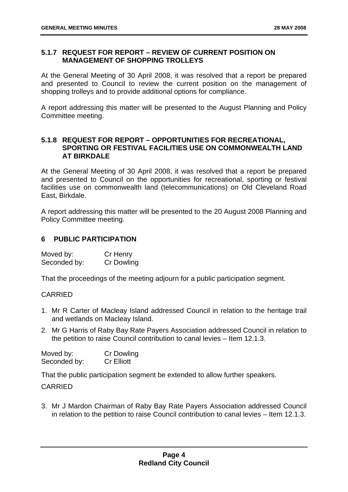#### <span id="page-9-0"></span>**5.1.7 REQUEST FOR REPORT – REVIEW OF CURRENT POSITION ON MANAGEMENT OF SHOPPING TROLLEYS**

At the General Meeting of 30 April 2008, it was resolved that a report be prepared and presented to Council to review the current position on the management of shopping trolleys and to provide additional options for compliance.

A report addressing this matter will be presented to the August Planning and Policy Committee meeting.

#### <span id="page-9-1"></span>**5.1.8 REQUEST FOR REPORT – OPPORTUNITIES FOR RECREATIONAL, SPORTING OR FESTIVAL FACILITIES USE ON COMMONWEALTH LAND AT BIRKDALE**

At the General Meeting of 30 April 2008, it was resolved that a report be prepared and presented to Council on the opportunities for recreational, sporting or festival facilities use on commonwealth land (telecommunications) on Old Cleveland Road East, Birkdale.

A report addressing this matter will be presented to the 20 August 2008 Planning and Policy Committee meeting.

#### <span id="page-9-2"></span>**6 PUBLIC PARTICIPATION**

| Moved by:    | Cr Henry   |
|--------------|------------|
| Seconded by: | Cr Dowling |

That the proceedings of the meeting adjourn for a public participation segment.

#### CARRIED

- 1. Mr R Carter of Macleay Island addressed Council in relation to the heritage trail and wetlands on Macleay Island.
- 2. Mr G Harris of Raby Bay Rate Payers Association addressed Council in relation to the petition to raise Council contribution to canal levies – Item 12.1.3.

| Moved by:    | <b>Cr Dowling</b> |
|--------------|-------------------|
| Seconded by: | <b>Cr Elliott</b> |

That the public participation segment be extended to allow further speakers.

#### CARRIED

3. Mr J Mardon Chairman of Raby Bay Rate Payers Association addressed Council in relation to the petition to raise Council contribution to canal levies – Item 12.1.3.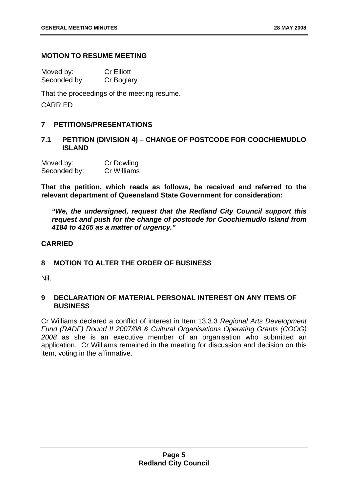#### **MOTION TO RESUME MEETING**

Moved by: Cr Elliott Seconded by: Cr Boglary

That the proceedings of the meeting resume.

CARRIED

#### <span id="page-10-0"></span>**7 PETITIONS/PRESENTATIONS**

#### <span id="page-10-1"></span>**7.1 PETITION (DIVISION 4) – CHANGE OF POSTCODE FOR COOCHIEMUDLO ISLAND**

| Moved by:    | <b>Cr Dowling</b> |
|--------------|-------------------|
| Seconded by: | Cr Williams       |

**That the petition, which reads as follows, be received and referred to the relevant department of Queensland State Government for consideration:** 

*"We, the undersigned, request that the Redland City Council support this request and push for the change of postcode for Coochiemudlo Island from 4184 to 4165 as a matter of urgency."* 

#### **CARRIED**

#### <span id="page-10-2"></span>**8 MOTION TO ALTER THE ORDER OF BUSINESS**

Nil.

#### <span id="page-10-3"></span>**9 DECLARATION OF MATERIAL PERSONAL INTEREST ON ANY ITEMS OF BUSINESS**

Cr Williams declared a conflict of interest in Item 13.3.3 *Regional Arts Development Fund (RADF) Round II 2007/08 & Cultural Organisations Operating Grants (COOG) 2008* as she is an executive member of an organisation who submitted an application. Cr Williams remained in the meeting for discussion and decision on this item, voting in the affirmative.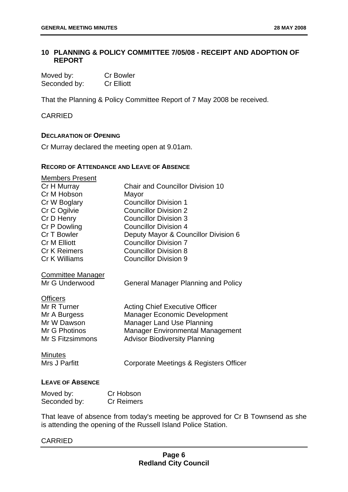#### <span id="page-11-0"></span>**10 PLANNING & POLICY COMMITTEE 7/05/08 - RECEIPT AND ADOPTION OF REPORT**

| Moved by:    | <b>Cr Bowler</b>  |
|--------------|-------------------|
| Seconded by: | <b>Cr Elliott</b> |

That the Planning & Policy Committee Report of 7 May 2008 be received.

CARRIED

#### **DECLARATION OF OPENING**

Cr Murray declared the meeting open at 9.01am.

#### **RECORD OF ATTENDANCE AND LEAVE OF ABSENCE**

| <b>Members Present</b>   |                                            |
|--------------------------|--------------------------------------------|
| Cr H Murray              | <b>Chair and Councillor Division 10</b>    |
| Cr M Hobson              | Mayor                                      |
| Cr W Boglary             | <b>Councillor Division 1</b>               |
| Cr C Ogilvie             | <b>Councillor Division 2</b>               |
| Cr D Henry               | <b>Councillor Division 3</b>               |
| Cr P Dowling             | <b>Councillor Division 4</b>               |
| Cr T Bowler              | Deputy Mayor & Councillor Division 6       |
| <b>Cr M Elliott</b>      | <b>Councillor Division 7</b>               |
| <b>Cr K Reimers</b>      | <b>Councillor Division 8</b>               |
| Cr K Williams            | <b>Councillor Division 9</b>               |
| <b>Committee Manager</b> |                                            |
| Mr G Underwood           | <b>General Manager Planning and Policy</b> |
| <b>Officers</b>          |                                            |
| Mr R Turner              | <b>Acting Chief Executive Officer</b>      |
| Mr A Burgess             | <b>Manager Economic Development</b>        |
| Mr W Dawson              | <b>Manager Land Use Planning</b>           |
| Mr G Photinos            | <b>Manager Environmental Management</b>    |
| Mr S Fitzsimmons         | <b>Advisor Biodiversity Planning</b>       |
| <b>Minutes</b>           |                                            |
| Mrs J Parfitt            | Corporate Meetings & Registers Officer     |
| <b>LEAVE OF ABSENCE</b>  |                                            |
|                          |                                            |
| Moved by:                | Cr Hobson                                  |

That leave of absence from today's meeting be approved for Cr B Townsend as she is attending the opening of the Russell Island Police Station.

#### CARRIED

Seconded by: Cr Reimers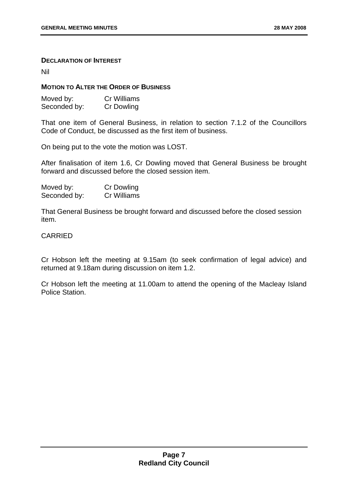#### **DECLARATION OF INTEREST**

Nil

#### **MOTION TO ALTER THE ORDER OF BUSINESS**

| Moved by:    | Cr Williams |
|--------------|-------------|
| Seconded by: | Cr Dowling  |

That one item of General Business, in relation to section 7.1.2 of the Councillors Code of Conduct, be discussed as the first item of business.

On being put to the vote the motion was LOST.

After finalisation of item 1.6, Cr Dowling moved that General Business be brought forward and discussed before the closed session item.

| Moved by:    | Cr Dowling  |
|--------------|-------------|
| Seconded by: | Cr Williams |

That General Business be brought forward and discussed before the closed session item.

#### CARRIED

Cr Hobson left the meeting at 9.15am (to seek confirmation of legal advice) and returned at 9.18am during discussion on item 1.2.

Cr Hobson left the meeting at 11.00am to attend the opening of the Macleay Island Police Station.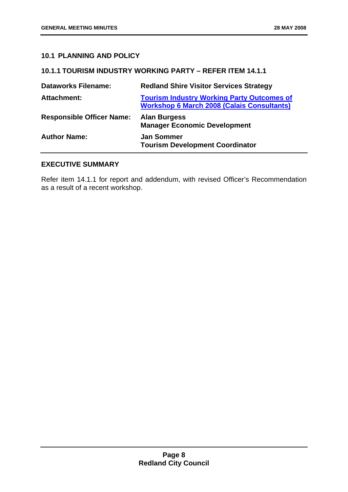#### <span id="page-13-0"></span>**10.1 PLANNING AND POLICY**

#### <span id="page-13-1"></span>**10.1.1 TOURISM INDUSTRY WORKING PARTY – REFER ITEM 14.1.1**

| <b>Dataworks Filename:</b>       | <b>Redland Shire Visitor Services Strategy</b>                                                         |
|----------------------------------|--------------------------------------------------------------------------------------------------------|
| <b>Attachment:</b>               | <b>Tourism Industry Working Party Outcomes of</b><br><b>Workshop 6 March 2008 (Calais Consultants)</b> |
| <b>Responsible Officer Name:</b> | <b>Alan Burgess</b><br><b>Manager Economic Development</b>                                             |
| <b>Author Name:</b>              | <b>Jan Sommer</b><br><b>Tourism Development Coordinator</b>                                            |

#### **EXECUTIVE SUMMARY**

Refer item 14.1.1 for report and addendum, with revised Officer's Recommendation as a result of a recent workshop.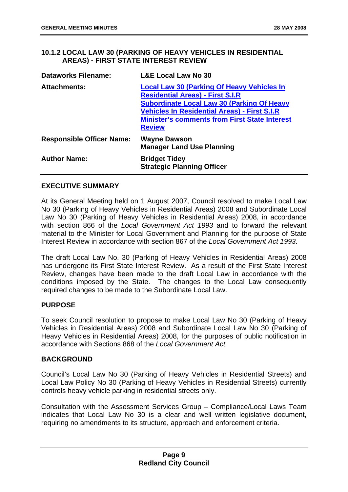#### <span id="page-14-0"></span>**10.1.2 LOCAL LAW 30 (PARKING OF HEAVY VEHICLES IN RESIDENTIAL AREAS) - FIRST STATE INTEREST REVIEW**

| <b>Dataworks Filename:</b>       | <b>L&amp;E Local Law No 30</b>                                                                                                                                                                                                                                                    |
|----------------------------------|-----------------------------------------------------------------------------------------------------------------------------------------------------------------------------------------------------------------------------------------------------------------------------------|
| <b>Attachments:</b>              | <b>Local Law 30 (Parking Of Heavy Vehicles In</b><br><b>Residential Areas) - First S.I.R</b><br><b>Subordinate Local Law 30 (Parking Of Heavy</b><br><b>Vehicles In Residential Areas) - First S.I.R</b><br><b>Minister's comments from First State Interest</b><br><b>Review</b> |
| <b>Responsible Officer Name:</b> | <b>Wayne Dawson</b><br><b>Manager Land Use Planning</b>                                                                                                                                                                                                                           |
| <b>Author Name:</b>              | <b>Bridget Tidey</b><br><b>Strategic Planning Officer</b>                                                                                                                                                                                                                         |

#### **EXECUTIVE SUMMARY**

At its General Meeting held on 1 August 2007, Council resolved to make Local Law No 30 (Parking of Heavy Vehicles in Residential Areas) 2008 and Subordinate Local Law No 30 (Parking of Heavy Vehicles in Residential Areas) 2008, in accordance with section 866 of the *Local Government Act 1993* and to forward the relevant material to the Minister for Local Government and Planning for the purpose of State Interest Review in accordance with section 867 of the *Local Government Act 1993*.

The draft Local Law No. 30 (Parking of Heavy Vehicles in Residential Areas) 2008 has undergone its First State Interest Review. As a result of the First State Interest Review, changes have been made to the draft Local Law in accordance with the conditions imposed by the State. The changes to the Local Law consequently required changes to be made to the Subordinate Local Law.

#### **PURPOSE**

To seek Council resolution to propose to make Local Law No 30 (Parking of Heavy Vehicles in Residential Areas) 2008 and Subordinate Local Law No 30 (Parking of Heavy Vehicles in Residential Areas) 2008, for the purposes of public notification in accordance with Sections 868 of the *Local Government Act.*

#### **BACKGROUND**

Council's Local Law No 30 (Parking of Heavy Vehicles in Residential Streets) and Local Law Policy No 30 (Parking of Heavy Vehicles in Residential Streets) currently controls heavy vehicle parking in residential streets only.

Consultation with the Assessment Services Group – Compliance/Local Laws Team indicates that Local Law No 30 is a clear and well written legislative document, requiring no amendments to its structure, approach and enforcement criteria.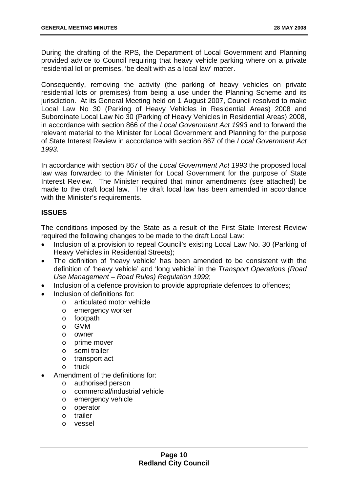During the drafting of the RPS, the Department of Local Government and Planning provided advice to Council requiring that heavy vehicle parking where on a private residential lot or premises, 'be dealt with as a local law' matter.

Consequently, removing the activity (the parking of heavy vehicles on private residential lots or premises) from being a use under the Planning Scheme and its jurisdiction. At its General Meeting held on 1 August 2007, Council resolved to make Local Law No 30 (Parking of Heavy Vehicles in Residential Areas) 2008 and Subordinate Local Law No 30 (Parking of Heavy Vehicles in Residential Areas) 2008, in accordance with section 866 of the *Local Government Act 1993* and to forward the relevant material to the Minister for Local Government and Planning for the purpose of State Interest Review in accordance with section 867 of the *Local Government Act 1993*.

In accordance with section 867 of the *Local Government Act 1993* the proposed local law was forwarded to the Minister for Local Government for the purpose of State Interest Review. The Minister required that minor amendments (see attached) be made to the draft local law. The draft local law has been amended in accordance with the Minister's requirements.

#### **ISSUES**

The conditions imposed by the State as a result of the First State Interest Review required the following changes to be made to the draft Local Law:

- Inclusion of a provision to repeal Council's existing Local Law No. 30 (Parking of Heavy Vehicles in Residential Streets);
- The definition of 'heavy vehicle' has been amended to be consistent with the definition of 'heavy vehicle' and 'long vehicle' in the *Transport Operations (Road Use Management – Road Rules) Regulation 1999*;
- Inclusion of a defence provision to provide appropriate defences to offences:
- Inclusion of definitions for:
	- o articulated motor vehicle
	- o emergency worker
	- o footpath
	- o GVM
	- o owner
	- o prime mover
	- o semi trailer
	- o transport act
	- o truck
- Amendment of the definitions for:
	- o authorised person
	- o commercial/industrial vehicle
	- o emergency vehicle
	- o operator
	- o trailer
	- o vessel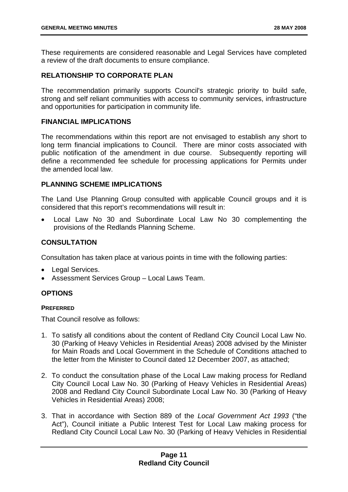These requirements are considered reasonable and Legal Services have completed a review of the draft documents to ensure compliance.

#### **RELATIONSHIP TO CORPORATE PLAN**

The recommendation primarily supports Council's strategic priority to build safe, strong and self reliant communities with access to community services, infrastructure and opportunities for participation in community life.

#### **FINANCIAL IMPLICATIONS**

The recommendations within this report are not envisaged to establish any short to long term financial implications to Council. There are minor costs associated with public notification of the amendment in due course. Subsequently reporting will define a recommended fee schedule for processing applications for Permits under the amended local law.

#### **PLANNING SCHEME IMPLICATIONS**

The Land Use Planning Group consulted with applicable Council groups and it is considered that this report's recommendations will result in:

• Local Law No 30 and Subordinate Local Law No 30 complementing the provisions of the Redlands Planning Scheme.

#### **CONSULTATION**

Consultation has taken place at various points in time with the following parties:

- Legal Services.
- Assessment Services Group Local Laws Team.

#### **OPTIONS**

#### **PREFERRED**

That Council resolve as follows:

- 1. To satisfy all conditions about the content of Redland City Council Local Law No. 30 (Parking of Heavy Vehicles in Residential Areas) 2008 advised by the Minister for Main Roads and Local Government in the Schedule of Conditions attached to the letter from the Minister to Council dated 12 December 2007, as attached;
- 2. To conduct the consultation phase of the Local Law making process for Redland City Council Local Law No. 30 (Parking of Heavy Vehicles in Residential Areas) 2008 and Redland City Council Subordinate Local Law No. 30 (Parking of Heavy Vehicles in Residential Areas) 2008;
- 3. That in accordance with Section 889 of the *Local Government Act 1993* ("the Act"), Council initiate a Public Interest Test for Local Law making process for Redland City Council Local Law No. 30 (Parking of Heavy Vehicles in Residential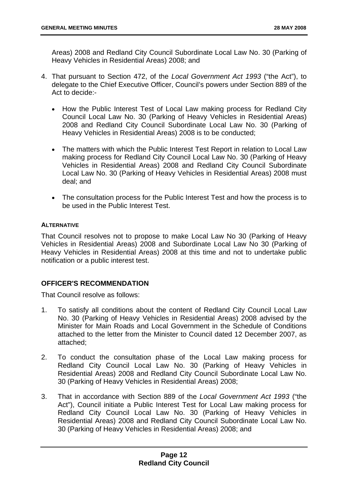Areas) 2008 and Redland City Council Subordinate Local Law No. 30 (Parking of Heavy Vehicles in Residential Areas) 2008; and

- 4. That pursuant to Section 472, of the *Local Government Act 1993* ("the Act"), to delegate to the Chief Executive Officer, Council's powers under Section 889 of the Act to decide:-
	- How the Public Interest Test of Local Law making process for Redland City Council Local Law No. 30 (Parking of Heavy Vehicles in Residential Areas) 2008 and Redland City Council Subordinate Local Law No. 30 (Parking of Heavy Vehicles in Residential Areas) 2008 is to be conducted;
	- The matters with which the Public Interest Test Report in relation to Local Law making process for Redland City Council Local Law No. 30 (Parking of Heavy Vehicles in Residential Areas) 2008 and Redland City Council Subordinate Local Law No. 30 (Parking of Heavy Vehicles in Residential Areas) 2008 must deal; and
	- The consultation process for the Public Interest Test and how the process is to be used in the Public Interest Test.

#### **ALTERNATIVE**

That Council resolves not to propose to make Local Law No 30 (Parking of Heavy Vehicles in Residential Areas) 2008 and Subordinate Local Law No 30 (Parking of Heavy Vehicles in Residential Areas) 2008 at this time and not to undertake public notification or a public interest test.

#### **OFFICER'S RECOMMENDATION**

That Council resolve as follows:

- 1. To satisfy all conditions about the content of Redland City Council Local Law No. 30 (Parking of Heavy Vehicles in Residential Areas) 2008 advised by the Minister for Main Roads and Local Government in the Schedule of Conditions attached to the letter from the Minister to Council dated 12 December 2007, as attached;
- 2. To conduct the consultation phase of the Local Law making process for Redland City Council Local Law No. 30 (Parking of Heavy Vehicles in Residential Areas) 2008 and Redland City Council Subordinate Local Law No. 30 (Parking of Heavy Vehicles in Residential Areas) 2008;
- 3. That in accordance with Section 889 of the *Local Government Act 1993* ("the Act"), Council initiate a Public Interest Test for Local Law making process for Redland City Council Local Law No. 30 (Parking of Heavy Vehicles in Residential Areas) 2008 and Redland City Council Subordinate Local Law No. 30 (Parking of Heavy Vehicles in Residential Areas) 2008; and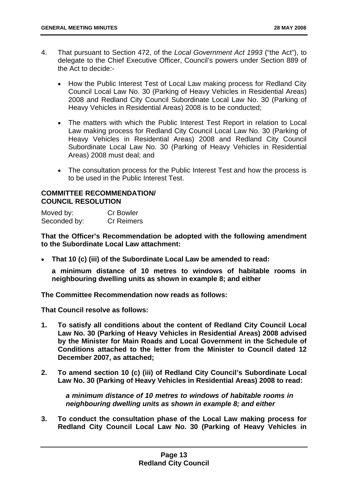- 4. That pursuant to Section 472, of the *Local Government Act 1993* ("the Act"), to delegate to the Chief Executive Officer, Council's powers under Section 889 of the Act to decide:-
	- How the Public Interest Test of Local Law making process for Redland City Council Local Law No. 30 (Parking of Heavy Vehicles in Residential Areas) 2008 and Redland City Council Subordinate Local Law No. 30 (Parking of Heavy Vehicles in Residential Areas) 2008 is to be conducted;
	- The matters with which the Public Interest Test Report in relation to Local Law making process for Redland City Council Local Law No. 30 (Parking of Heavy Vehicles in Residential Areas) 2008 and Redland City Council Subordinate Local Law No. 30 (Parking of Heavy Vehicles in Residential Areas) 2008 must deal; and
	- The consultation process for the Public Interest Test and how the process is to be used in the Public Interest Test.

#### **COMMITTEE RECOMMENDATION/ COUNCIL RESOLUTION**

| Moved by:    | <b>Cr Bowler</b>  |
|--------------|-------------------|
| Seconded by: | <b>Cr Reimers</b> |

**That the Officer's Recommendation be adopted with the following amendment to the Subordinate Local Law attachment:** 

• **That 10 (c) (iii) of the Subordinate Local Law be amended to read:** 

**a minimum distance of 10 metres to windows of habitable rooms in neighbouring dwelling units as shown in example 8; and either** 

**The Committee Recommendation now reads as follows:** 

**That Council resolve as follows:** 

- **1. To satisfy all conditions about the content of Redland City Council Local Law No. 30 (Parking of Heavy Vehicles in Residential Areas) 2008 advised by the Minister for Main Roads and Local Government in the Schedule of Conditions attached to the letter from the Minister to Council dated 12 December 2007, as attached;**
- **2. To amend section 10 (c) (iii) of Redland City Council's Subordinate Local Law No. 30 (Parking of Heavy Vehicles in Residential Areas) 2008 to read:**

*a minimum distance of 10 metres to windows of habitable rooms in neighbouring dwelling units as shown in example 8; and either* 

**3. To conduct the consultation phase of the Local Law making process for Redland City Council Local Law No. 30 (Parking of Heavy Vehicles in**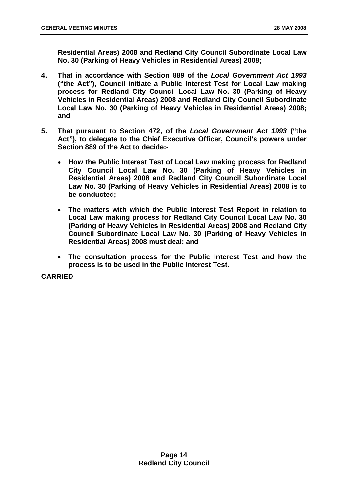**Residential Areas) 2008 and Redland City Council Subordinate Local Law No. 30 (Parking of Heavy Vehicles in Residential Areas) 2008;** 

- **4. That in accordance with Section 889 of the** *Local Government Act 1993*  **("the Act"), Council initiate a Public Interest Test for Local Law making process for Redland City Council Local Law No. 30 (Parking of Heavy Vehicles in Residential Areas) 2008 and Redland City Council Subordinate Local Law No. 30 (Parking of Heavy Vehicles in Residential Areas) 2008; and**
- **5. That pursuant to Section 472, of the** *Local Government Act 1993* **("the Act"), to delegate to the Chief Executive Officer, Council's powers under Section 889 of the Act to decide:-** 
	- **How the Public Interest Test of Local Law making process for Redland City Council Local Law No. 30 (Parking of Heavy Vehicles in Residential Areas) 2008 and Redland City Council Subordinate Local Law No. 30 (Parking of Heavy Vehicles in Residential Areas) 2008 is to be conducted;**
	- **The matters with which the Public Interest Test Report in relation to Local Law making process for Redland City Council Local Law No. 30 (Parking of Heavy Vehicles in Residential Areas) 2008 and Redland City Council Subordinate Local Law No. 30 (Parking of Heavy Vehicles in Residential Areas) 2008 must deal; and**
	- **The consultation process for the Public Interest Test and how the process is to be used in the Public Interest Test.**

**CARRIED**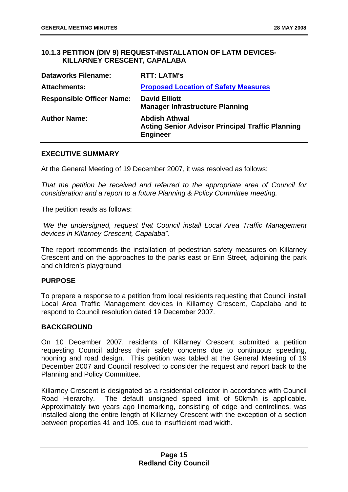#### <span id="page-20-0"></span>**10.1.3 PETITION (DIV 9) REQUEST-INSTALLATION OF LATM DEVICES-KILLARNEY CRESCENT, CAPALABA**

| <b>Dataworks Filename:</b>       | <b>RTT: LATM's</b>                                                                                 |
|----------------------------------|----------------------------------------------------------------------------------------------------|
| <b>Attachments:</b>              | <b>Proposed Location of Safety Measures</b>                                                        |
| <b>Responsible Officer Name:</b> | <b>David Elliott</b><br><b>Manager Infrastructure Planning</b>                                     |
| <b>Author Name:</b>              | <b>Abdish Athwal</b><br><b>Acting Senior Advisor Principal Traffic Planning</b><br><b>Engineer</b> |

#### **EXECUTIVE SUMMARY**

At the General Meeting of 19 December 2007, it was resolved as follows:

*That the petition be received and referred to the appropriate area of Council for consideration and a report to a future Planning & Policy Committee meeting.* 

The petition reads as follows:

*"We the undersigned, request that Council install Local Area Traffic Management devices in Killarney Crescent, Capalaba".* 

The report recommends the installation of pedestrian safety measures on Killarney Crescent and on the approaches to the parks east or Erin Street, adjoining the park and children's playground.

#### **PURPOSE**

To prepare a response to a petition from local residents requesting that Council install Local Area Traffic Management devices in Killarney Crescent, Capalaba and to respond to Council resolution dated 19 December 2007.

#### **BACKGROUND**

On 10 December 2007, residents of Killarney Crescent submitted a petition requesting Council address their safety concerns due to continuous speeding, hooning and road design. This petition was tabled at the General Meeting of 19 December 2007 and Council resolved to consider the request and report back to the Planning and Policy Committee.

Killarney Crescent is designated as a residential collector in accordance with Council Road Hierarchy. The default unsigned speed limit of 50km/h is applicable. Approximately two years ago linemarking, consisting of edge and centrelines, was installed along the entire length of Killarney Crescent with the exception of a section between properties 41 and 105, due to insufficient road width.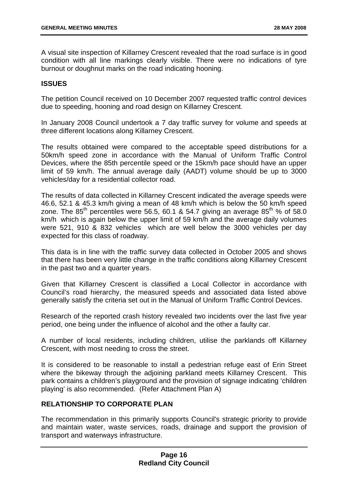A visual site inspection of Killarney Crescent revealed that the road surface is in good condition with all line markings clearly visible. There were no indications of tyre burnout or doughnut marks on the road indicating hooning.

#### **ISSUES**

The petition Council received on 10 December 2007 requested traffic control devices due to speeding, hooning and road design on Killarney Crescent*.* 

In January 2008 Council undertook a 7 day traffic survey for volume and speeds at three different locations along Killarney Crescent.

The results obtained were compared to the acceptable speed distributions for a 50km/h speed zone in accordance with the Manual of Uniform Traffic Control Devices, where the 85th percentile speed or the 15km/h pace should have an upper limit of 59 km/h. The annual average daily (AADT) volume should be up to 3000 vehicles/day for a residential collector road.

The results of data collected in Killarney Crescent indicated the average speeds were 46.6, 52.1 & 45.3 km/h giving a mean of 48 km/h which is below the 50 km/h speed zone. The 85<sup>th</sup> percentiles were 56.5, 60.1 & 54.7 giving an average 85<sup>th</sup> % of 58.0 km/h which is again below the upper limit of 59 km/h and the average daily volumes were 521, 910 & 832 vehicles which are well below the 3000 vehicles per day expected for this class of roadway.

This data is in line with the traffic survey data collected in October 2005 and shows that there has been very little change in the traffic conditions along Killarney Crescent in the past two and a quarter years.

Given that Killarney Crescent is classified a Local Collector in accordance with Council's road hierarchy, the measured speeds and associated data listed above generally satisfy the criteria set out in the Manual of Uniform Traffic Control Devices.

Research of the reported crash history revealed two incidents over the last five year period, one being under the influence of alcohol and the other a faulty car.

A number of local residents, including children, utilise the parklands off Killarney Crescent, with most needing to cross the street.

It is considered to be reasonable to install a pedestrian refuge east of Erin Street where the bikeway through the adjoining parkland meets Killarney Crescent. This park contains a children's playground and the provision of signage indicating 'children playing' is also recommended. (Refer Attachment Plan A)

#### **RELATIONSHIP TO CORPORATE PLAN**

The recommendation in this primarily supports Council's strategic priority to provide and maintain water, waste services, roads, drainage and support the provision of transport and waterways infrastructure.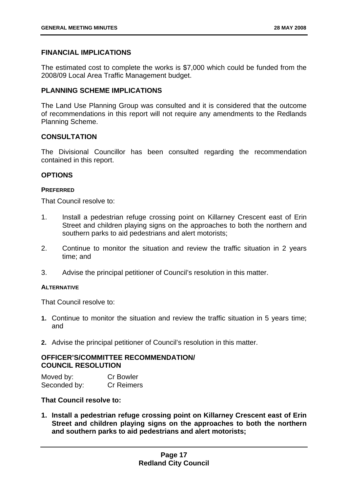#### **FINANCIAL IMPLICATIONS**

The estimated cost to complete the works is \$7,000 which could be funded from the 2008/09 Local Area Traffic Management budget.

#### **PLANNING SCHEME IMPLICATIONS**

The Land Use Planning Group was consulted and it is considered that the outcome of recommendations in this report will not require any amendments to the Redlands Planning Scheme.

#### **CONSULTATION**

The Divisional Councillor has been consulted regarding the recommendation contained in this report.

#### **OPTIONS**

#### **PREFERRED**

That Council resolve to:

- 1. Install a pedestrian refuge crossing point on Killarney Crescent east of Erin Street and children playing signs on the approaches to both the northern and southern parks to aid pedestrians and alert motorists;
- 2. Continue to monitor the situation and review the traffic situation in 2 years time; and
- 3. Advise the principal petitioner of Council's resolution in this matter.

#### **ALTERNATIVE**

That Council resolve to:

- **1.** Continue to monitor the situation and review the traffic situation in 5 years time; and
- **2.** Advise the principal petitioner of Council's resolution in this matter.

#### **OFFICER'S/COMMITTEE RECOMMENDATION/ COUNCIL RESOLUTION**

| Moved by:    | <b>Cr Bowler</b>  |
|--------------|-------------------|
| Seconded by: | <b>Cr Reimers</b> |

#### **That Council resolve to:**

**1. Install a pedestrian refuge crossing point on Killarney Crescent east of Erin Street and children playing signs on the approaches to both the northern and southern parks to aid pedestrians and alert motorists;**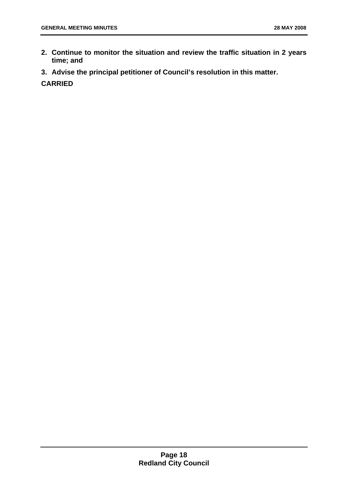- **2. Continue to monitor the situation and review the traffic situation in 2 years time; and**
- **3. Advise the principal petitioner of Council's resolution in this matter.**

**CARRIED**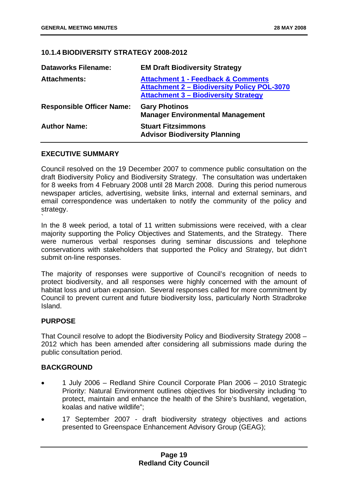#### <span id="page-24-0"></span>**10.1.4 BIODIVERSITY STRATEGY 2008-2012**

| <b>Dataworks Filename:</b>       | <b>EM Draft Biodiversity Strategy</b>                                                                                                              |
|----------------------------------|----------------------------------------------------------------------------------------------------------------------------------------------------|
| <b>Attachments:</b>              | <b>Attachment 1 - Feedback &amp; Comments</b><br><b>Attachment 2 - Biodiversity Policy POL-3070</b><br><b>Attachment 3 - Biodiversity Strategy</b> |
| <b>Responsible Officer Name:</b> | <b>Gary Photinos</b><br><b>Manager Environmental Management</b>                                                                                    |
| <b>Author Name:</b>              | <b>Stuart Fitzsimmons</b><br><b>Advisor Biodiversity Planning</b>                                                                                  |

#### **EXECUTIVE SUMMARY**

Council resolved on the 19 December 2007 to commence public consultation on the draft Biodiversity Policy and Biodiversity Strategy. The consultation was undertaken for 8 weeks from 4 February 2008 until 28 March 2008. During this period numerous newspaper articles, advertising, website links, internal and external seminars, and email correspondence was undertaken to notify the community of the policy and strategy.

In the 8 week period, a total of 11 written submissions were received, with a clear majority supporting the Policy Objectives and Statements, and the Strategy. There were numerous verbal responses during seminar discussions and telephone conservations with stakeholders that supported the Policy and Strategy, but didn't submit on-line responses.

The majority of responses were supportive of Council's recognition of needs to protect biodiversity, and all responses were highly concerned with the amount of habitat loss and urban expansion. Several responses called for more commitment by Council to prevent current and future biodiversity loss, particularly North Stradbroke Island.

#### **PURPOSE**

`

That Council resolve to adopt the Biodiversity Policy and Biodiversity Strategy 2008 – 2012 which has been amended after considering all submissions made during the public consultation period.

#### **BACKGROUND**

- 1 July 2006 Redland Shire Council Corporate Plan 2006 2010 Strategic Priority: Natural Environment outlines objectives for biodiversity including "to protect, maintain and enhance the health of the Shire's bushland, vegetation, koalas and native wildlife";
- 17 September 2007 draft biodiversity strategy objectives and actions presented to Greenspace Enhancement Advisory Group (GEAG);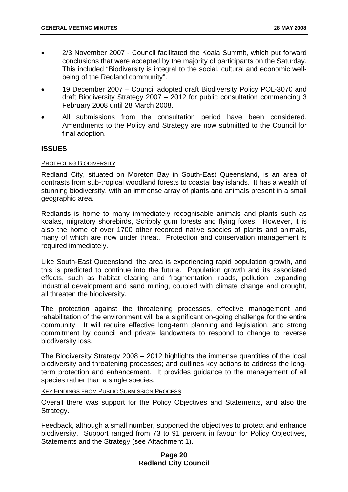- 2/3 November 2007 Council facilitated the Koala Summit, which put forward conclusions that were accepted by the majority of participants on the Saturday. This included "Biodiversity is integral to the social, cultural and economic wellbeing of the Redland community".
- 19 December 2007 Council adopted draft Biodiversity Policy POL-3070 and draft Biodiversity Strategy 2007 – 2012 for public consultation commencing 3 February 2008 until 28 March 2008.
- All submissions from the consultation period have been considered. Amendments to the Policy and Strategy are now submitted to the Council for final adoption.

#### **ISSUES**

#### PROTECTING BIODIVERSITY

Redland City, situated on Moreton Bay in South-East Queensland, is an area of contrasts from sub-tropical woodland forests to coastal bay islands. It has a wealth of stunning biodiversity, with an immense array of plants and animals present in a small geographic area.

Redlands is home to many immediately recognisable animals and plants such as koalas, migratory shorebirds, Scribbly gum forests and flying foxes. However, it is also the home of over 1700 other recorded native species of plants and animals, many of which are now under threat. Protection and conservation management is required immediately.

Like South-East Queensland, the area is experiencing rapid population growth, and this is predicted to continue into the future. Population growth and its associated effects, such as habitat clearing and fragmentation, roads, pollution, expanding industrial development and sand mining, coupled with climate change and drought, all threaten the biodiversity.

The protection against the threatening processes, effective management and rehabilitation of the environment will be a significant on-going challenge for the entire community. It will require effective long-term planning and legislation, and strong commitment by council and private landowners to respond to change to reverse biodiversity loss.

The Biodiversity Strategy 2008 – 2012 highlights the immense quantities of the local biodiversity and threatening processes; and outlines key actions to address the longterm protection and enhancement. It provides guidance to the management of all species rather than a single species.

KEY FINDINGS FROM PUBLIC SUBMISSION PROCESS

Overall there was support for the Policy Objectives and Statements, and also the Strategy.

Feedback, although a small number, supported the objectives to protect and enhance biodiversity. Support ranged from 73 to 91 percent in favour for Policy Objectives, Statements and the Strategy (see Attachment 1).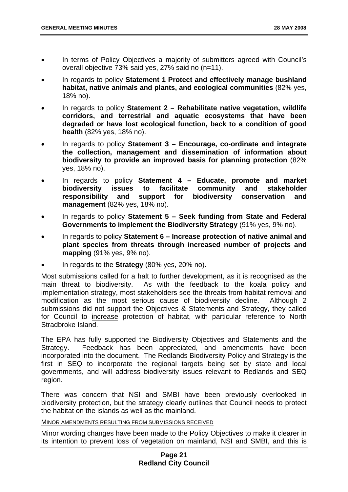- In terms of Policy Objectives a majority of submitters agreed with Council's overall objective 73% said yes, 27% said no (n=11).
- In regards to policy **Statement 1 Protect and effectively manage bushland habitat, native animals and plants, and ecological communities** (82% yes, 18% no).
- In regards to policy **Statement 2 Rehabilitate native vegetation, wildlife corridors, and terrestrial and aquatic ecosystems that have been degraded or have lost ecological function, back to a condition of good health** (82% yes, 18% no).
- In regards to policy **Statement 3 Encourage, co-ordinate and integrate the collection, management and dissemination of information about biodiversity to provide an improved basis for planning protection** (82% yes, 18% no).
- In regards to policy **Statement 4 Educate, promote and market biodiversity issues to facilitate community and stakeholder responsibility and support for biodiversity conservation and management** (82% yes, 18% no).
- In regards to policy **Statement 5 Seek funding from State and Federal Governments to implement the Biodiversity Strategy** (91% yes, 9% no).
- In regards to policy **Statement 6 Increase protection of native animal and plant species from threats through increased number of projects and mapping** (91% yes, 9% no).
- In regards to the **Strategy** (80% yes, 20% no).

Most submissions called for a halt to further development, as it is recognised as the main threat to biodiversity. As with the feedback to the koala policy and implementation strategy, most stakeholders see the threats from habitat removal and modification as the most serious cause of biodiversity decline. Although 2 submissions did not support the Objectives & Statements and Strategy, they called for Council to increase protection of habitat, with particular reference to North Stradbroke Island.

The EPA has fully supported the Biodiversity Objectives and Statements and the Strategy. Feedback has been appreciated, and amendments have been incorporated into the document. The Redlands Biodiversity Policy and Strategy is the first in SEQ to incorporate the regional targets being set by state and local governments, and will address biodiversity issues relevant to Redlands and SEQ region.

There was concern that NSI and SMBI have been previously overlooked in biodiversity protection, but the strategy clearly outlines that Council needs to protect the habitat on the islands as well as the mainland.

MINOR AMENDMENTS RESULTING FROM SUBMISSIONS RECEIVED

Minor wording changes have been made to the Policy Objectives to make it clearer in its intention to prevent loss of vegetation on mainland, NSI and SMBI, and this is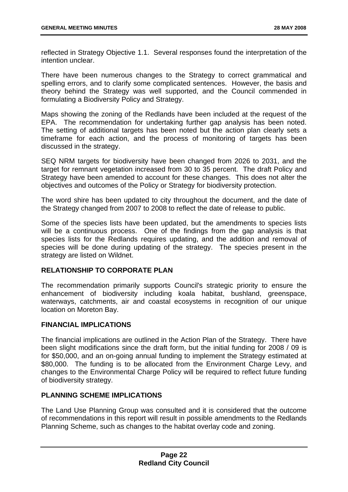reflected in Strategy Objective 1.1. Several responses found the interpretation of the intention unclear.

There have been numerous changes to the Strategy to correct grammatical and spelling errors, and to clarify some complicated sentences. However, the basis and theory behind the Strategy was well supported, and the Council commended in formulating a Biodiversity Policy and Strategy.

Maps showing the zoning of the Redlands have been included at the request of the EPA. The recommendation for undertaking further gap analysis has been noted. The setting of additional targets has been noted but the action plan clearly sets a timeframe for each action, and the process of monitoring of targets has been discussed in the strategy.

SEQ NRM targets for biodiversity have been changed from 2026 to 2031, and the target for remnant vegetation increased from 30 to 35 percent. The draft Policy and Strategy have been amended to account for these changes. This does not alter the objectives and outcomes of the Policy or Strategy for biodiversity protection.

The word shire has been updated to city throughout the document, and the date of the Strategy changed from 2007 to 2008 to reflect the date of release to public.

Some of the species lists have been updated, but the amendments to species lists will be a continuous process. One of the findings from the gap analysis is that species lists for the Redlands requires updating, and the addition and removal of species will be done during updating of the strategy. The species present in the strategy are listed on Wildnet.

#### **RELATIONSHIP TO CORPORATE PLAN**

The recommendation primarily supports Council's strategic priority to ensure the enhancement of biodiversity including koala habitat, bushland, greenspace, waterways, catchments, air and coastal ecosystems in recognition of our unique location on Moreton Bay.

#### **FINANCIAL IMPLICATIONS**

The financial implications are outlined in the Action Plan of the Strategy. There have been slight modifications since the draft form, but the initial funding for 2008 / 09 is for \$50,000, and an on-going annual funding to implement the Strategy estimated at \$80,000. The funding is to be allocated from the Environment Charge Levy, and changes to the Environmental Charge Policy will be required to reflect future funding of biodiversity strategy.

#### **PLANNING SCHEME IMPLICATIONS**

The Land Use Planning Group was consulted and it is considered that the outcome of recommendations in this report will result in possible amendments to the Redlands Planning Scheme, such as changes to the habitat overlay code and zoning.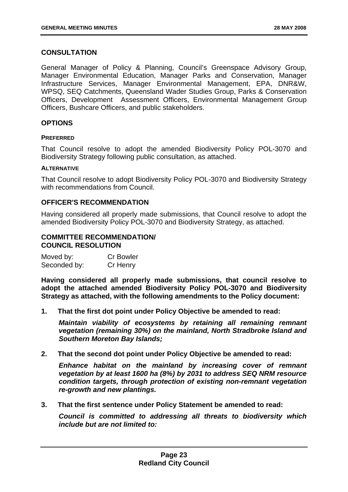#### **CONSULTATION**

General Manager of Policy & Planning, Council's Greenspace Advisory Group, Manager Environmental Education, Manager Parks and Conservation, Manager Infrastructure Services, Manager Environmental Management, EPA, DNR&W, WPSQ, SEQ Catchments, Queensland Wader Studies Group, Parks & Conservation Officers, Development Assessment Officers, Environmental Management Group Officers, Bushcare Officers, and public stakeholders.

#### **OPTIONS**

#### **PREFERRED**

That Council resolve to adopt the amended Biodiversity Policy POL-3070 and Biodiversity Strategy following public consultation, as attached.

#### **ALTERNATIVE**

That Council resolve to adopt Biodiversity Policy POL-3070 and Biodiversity Strategy with recommendations from Council.

#### **OFFICER'S RECOMMENDATION**

Having considered all properly made submissions, that Council resolve to adopt the amended Biodiversity Policy POL-3070 and Biodiversity Strategy, as attached.

#### **COMMITTEE RECOMMENDATION/ COUNCIL RESOLUTION**

| Moved by:    | <b>Cr Bowler</b> |
|--------------|------------------|
| Seconded by: | Cr Henry         |

**Having considered all properly made submissions, that council resolve to adopt the attached amended Biodiversity Policy POL-3070 and Biodiversity Strategy as attached, with the following amendments to the Policy document:** 

**1. That the first dot point under Policy Objective be amended to read:** 

*Maintain viability of ecosystems by retaining all remaining remnant vegetation (remaining 30%) on the mainland, North Stradbroke Island and Southern Moreton Bay Islands;* 

**2. That the second dot point under Policy Objective be amended to read:** 

*Enhance habitat on the mainland by increasing cover of remnant vegetation by at least 1600 ha (8%) by 2031 to address SEQ NRM resource condition targets, through protection of existing non-remnant vegetation re-growth and new plantings.* 

**3. That the first sentence under Policy Statement be amended to read:** 

*Council is committed to addressing all threats to biodiversity which include but are not limited to:*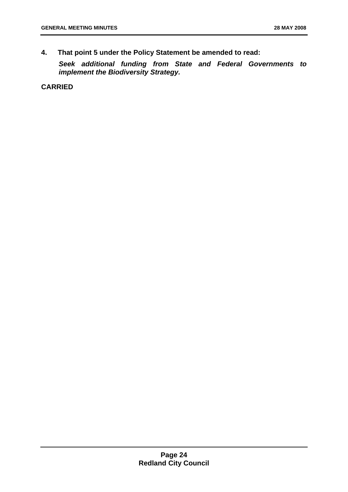**4. That point 5 under the Policy Statement be amended to read:** 

*Seek additional funding from State and Federal Governments to implement the Biodiversity Strategy.* 

**CARRIED**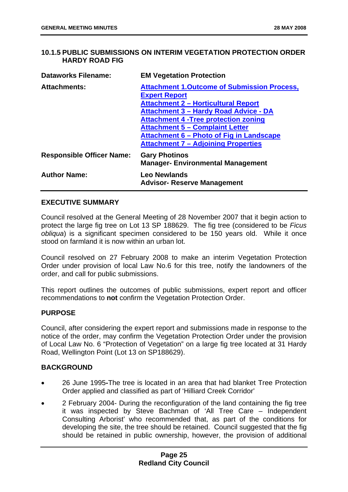#### <span id="page-30-0"></span>**10.1.5 PUBLIC SUBMISSIONS ON INTERIM VEGETATION PROTECTION ORDER HARDY ROAD FIG**

| <b>Dataworks Filename:</b>       | <b>EM Vegetation Protection</b>                                                                                                                                                                                                                                                                                                                        |
|----------------------------------|--------------------------------------------------------------------------------------------------------------------------------------------------------------------------------------------------------------------------------------------------------------------------------------------------------------------------------------------------------|
| <b>Attachments:</b>              | <b>Attachment 1. Outcome of Submission Process,</b><br><b>Expert Report</b><br><b>Attachment 2 - Horticultural Report</b><br>Attachment 3 - Hardy Road Advice - DA<br><b>Attachment 4 - Tree protection zoning</b><br><b>Attachment 5 - Complaint Letter</b><br>Attachment 6 – Photo of Fig in Landscape<br><b>Attachment 7 - Adjoining Properties</b> |
| <b>Responsible Officer Name:</b> | <b>Gary Photinos</b><br><b>Manager- Environmental Management</b>                                                                                                                                                                                                                                                                                       |
| <b>Author Name:</b>              | <b>Leo Newlands</b><br><b>Advisor- Reserve Management</b>                                                                                                                                                                                                                                                                                              |

#### **EXECUTIVE SUMMARY**

Council resolved at the General Meeting of 28 November 2007 that it begin action to protect the large fig tree on Lot 13 SP 188629. The fig tree (considered to be *Ficus obliqua*) is a significant specimen considered to be 150 years old. While it once stood on farmland it is now within an urban lot.

Council resolved on 27 February 2008 to make an interim Vegetation Protection Order under provision of local Law No.6 for this tree, notify the landowners of the order, and call for public submissions.

This report outlines the outcomes of public submissions, expert report and officer recommendations to **not** confirm the Vegetation Protection Order.

#### **PURPOSE**

Council, after considering the expert report and submissions made in response to the notice of the order, may confirm the Vegetation Protection Order under the provision of Local Law No. 6 "Protection of Vegetation" on a large fig tree located at 31 Hardy Road, Wellington Point (Lot 13 on SP188629).

#### **BACKGROUND**

- 26 June 1995**-**The tree is located in an area that had blanket Tree Protection Order applied and classified as part of 'Hilliard Creek Corridor'
- 2 February 2004- During the reconfiguration of the land containing the fig tree it was inspected by Steve Bachman of 'All Tree Care – Independent Consulting Arborist' who recommended that, as part of the conditions for developing the site, the tree should be retained. Council suggested that the fig should be retained in public ownership, however, the provision of additional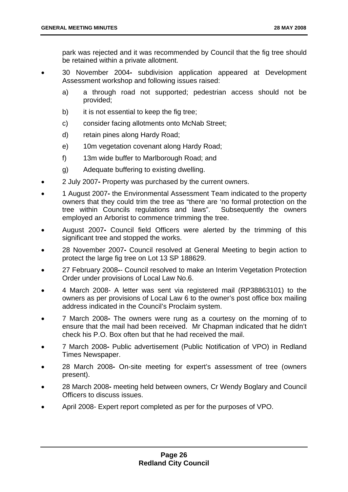park was rejected and it was recommended by Council that the fig tree should be retained within a private allotment.

- 30 November 2004**-** subdivision application appeared at Development Assessment workshop and following issues raised:
	- a) a through road not supported; pedestrian access should not be provided;
	- b) it is not essential to keep the fig tree;
	- c) consider facing allotments onto McNab Street;
	- d) retain pines along Hardy Road;
	- e) 10m vegetation covenant along Hardy Road;
	- f) 13m wide buffer to Marlborough Road; and
	- g) Adequate buffering to existing dwelling.
- 2 July 2007**-** Property was purchased by the current owners.
- 1 August 2007the Environmental Assessment Team indicated to the property owners that they could trim the tree as "there are 'no formal protection on the tree within Councils regulations and laws". Subsequently the owners employed an Arborist to commence trimming the tree.
- August 2007**-** Council field Officers were alerted by the trimming of this significant tree and stopped the works.
- 28 November 2007**-** Council resolved at General Meeting to begin action to protect the large fig tree on Lot 13 SP 188629.
- 27 February 2008**-** Council resolved to make an Interim Vegetation Protection Order under provisions of Local Law No.6.
- 4 March 2008- A letter was sent via registered mail (RP38863101) to the owners as per provisions of Local Law 6 to the owner's post office box mailing address indicated in the Council's Proclaim system.
- 7 March 2008**-** The owners were rung as a courtesy on the morning of to ensure that the mail had been received. Mr Chapman indicated that he didn't check his P.O. Box often but that he had received the mail.
- 7 March 2008Public advertisement (Public Notification of VPO) in Redland Times Newspaper.
- 28 March 2008**-** On-site meeting for expert's assessment of tree (owners present).
- 28 March 2008meeting held between owners, Cr Wendy Boglary and Council Officers to discuss issues.
- April 2008- Expert report completed as per for the purposes of VPO.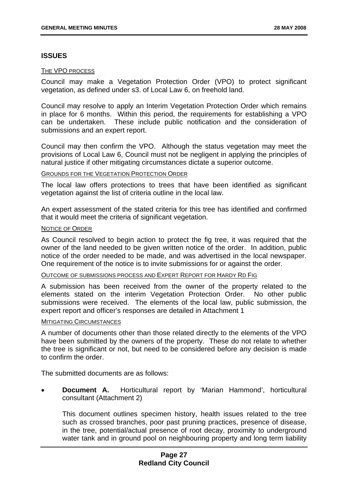#### **ISSUES**

#### THE VPO PROCESS

Council may make a Vegetation Protection Order (VPO) to protect significant vegetation, as defined under s3. of Local Law 6, on freehold land.

Council may resolve to apply an Interim Vegetation Protection Order which remains in place for 6 months. Within this period, the requirements for establishing a VPO can be undertaken. These include public notification and the consideration of submissions and an expert report.

Council may then confirm the VPO. Although the status vegetation may meet the provisions of Local Law 6, Council must not be negligent in applying the principles of natural justice if other mitigating circumstances dictate a superior outcome.

#### GROUNDS FOR THE VEGETATION PROTECTION ORDER

The local law offers protections to trees that have been identified as significant vegetation against the list of criteria outline in the local law.

An expert assessment of the stated criteria for this tree has identified and confirmed that it would meet the criteria of significant vegetation.

#### NOTICE OF ORDER

As Council resolved to begin action to protect the fig tree, it was required that the owner of the land needed to be given written notice of the order. In addition, public notice of the order needed to be made, and was advertised in the local newspaper. One requirement of the notice is to invite submissions for or against the order.

#### OUTCOME OF SUBMISSIONS PROCESS AND EXPERT REPORT FOR HARDY RD FIG

A submission has been received from the owner of the property related to the elements stated on the interim Vegetation Protection Order. No other public submissions were received. The elements of the local law, public submission, the expert report and officer's responses are detailed in Attachment 1

#### MITIGATING CIRCUMSTANCES

A number of documents other than those related directly to the elements of the VPO have been submitted by the owners of the property. These do not relate to whether the tree is significant or not, but need to be considered before any decision is made to confirm the order.

The submitted documents are as follows:

• **Document A.** Horticultural report by 'Marian Hammond', horticultural consultant (Attachment 2)

This document outlines specimen history, health issues related to the tree such as crossed branches, poor past pruning practices, presence of disease, in the tree, potential/actual presence of root decay, proximity to underground water tank and in ground pool on neighbouring property and long term liability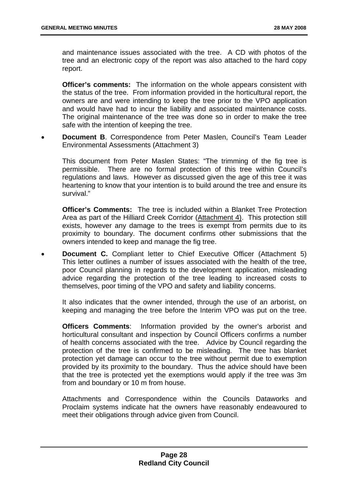and maintenance issues associated with the tree. A CD with photos of the tree and an electronic copy of the report was also attached to the hard copy report.

**Officer's comments:** The information on the whole appears consistent with the status of the tree. From information provided in the horticultural report, the owners are and were intending to keep the tree prior to the VPO application and would have had to incur the liability and associated maintenance costs. The original maintenance of the tree was done so in order to make the tree safe with the intention of keeping the tree.

• **Document B**. Correspondence from Peter Maslen, Council's Team Leader Environmental Assessments (Attachment 3)

This document from Peter Maslen States: "The trimming of the fig tree is permissible. There are no formal protection of this tree within Council's regulations and laws. However as discussed given the age of this tree it was heartening to know that your intention is to build around the tree and ensure its survival."

**Officer's Comments:** The tree is included within a Blanket Tree Protection Area as part of the Hilliard Creek Corridor (Attachment 4). This protection still exists, however any damage to the trees is exempt from permits due to its proximity to boundary. The document confirms other submissions that the owners intended to keep and manage the fig tree.

**Document C.** Compliant letter to Chief Executive Officer (Attachment 5) This letter outlines a number of issues associated with the health of the tree, poor Council planning in regards to the development application, misleading advice regarding the protection of the tree leading to increased costs to themselves, poor timing of the VPO and safety and liability concerns.

It also indicates that the owner intended, through the use of an arborist, on keeping and managing the tree before the Interim VPO was put on the tree.

**Officers Comments**: Information provided by the owner's arborist and horticultural consultant and inspection by Council Officers confirms a number of health concerns associated with the tree. Advice by Council regarding the protection of the tree is confirmed to be misleading. The tree has blanket protection yet damage can occur to the tree without permit due to exemption provided by its proximity to the boundary. Thus the advice should have been that the tree is protected yet the exemptions would apply if the tree was 3m from and boundary or 10 m from house.

Attachments and Correspondence within the Councils Dataworks and Proclaim systems indicate hat the owners have reasonably endeavoured to meet their obligations through advice given from Council.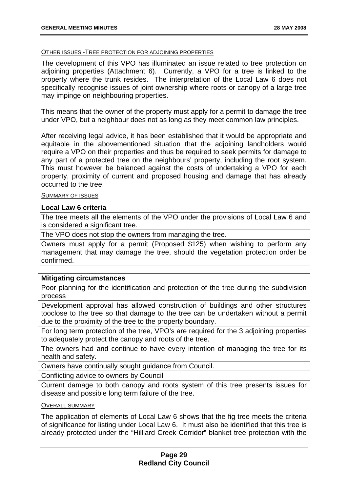#### OTHER ISSUES -TREE PROTECTION FOR ADJOINING PROPERTIES

The development of this VPO has illuminated an issue related to tree protection on adjoining properties (Attachment 6). Currently, a VPO for a tree is linked to the property where the trunk resides. The interpretation of the Local Law 6 does not specifically recognise issues of joint ownership where roots or canopy of a large tree may impinge on neighbouring properties.

This means that the owner of the property must apply for a permit to damage the tree under VPO, but a neighbour does not as long as they meet common law principles.

After receiving legal advice, it has been established that it would be appropriate and equitable in the abovementioned situation that the adjoining landholders would require a VPO on their properties and thus be required to seek permits for damage to any part of a protected tree on the neighbours' property, including the root system. This must however be balanced against the costs of undertaking a VPO for each property, proximity of current and proposed housing and damage that has already occurred to the tree.

SUMMARY OF ISSUES

#### **Local Law 6 criteria**

The tree meets all the elements of the VPO under the provisions of Local Law 6 and is considered a significant tree.

The VPO does not stop the owners from managing the tree.

Owners must apply for a permit (Proposed \$125) when wishing to perform any management that may damage the tree, should the vegetation protection order be confirmed.

#### **Mitigating circumstances**

Poor planning for the identification and protection of the tree during the subdivision process

Development approval has allowed construction of buildings and other structures tooclose to the tree so that damage to the tree can be undertaken without a permit due to the proximity of the tree to the property boundary.

For long term protection of the tree, VPO's are required for the 3 adjoining properties to adequately protect the canopy and roots of the tree.

The owners had and continue to have every intention of managing the tree for its health and safety.

Owners have continually sought guidance from Council.

Conflicting advice to owners by Council

Current damage to both canopy and roots system of this tree presents issues for disease and possible long term failure of the tree.

OVERALL SUMMARY

The application of elements of Local Law 6 shows that the fig tree meets the criteria of significance for listing under Local Law 6. It must also be identified that this tree is already protected under the "Hilliard Creek Corridor" blanket tree protection with the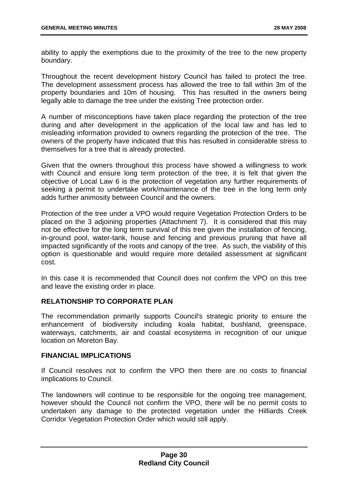ability to apply the exemptions due to the proximity of the tree to the new property boundary.

Throughout the recent development history Council has failed to protect the tree. The development assessment process has allowed the tree to fall within 3m of the property boundaries and 10m of housing. This has resulted in the owners being legally able to damage the tree under the existing Tree protection order.

A number of misconceptions have taken place regarding the protection of the tree during and after development in the application of the local law and has led to misleading information provided to owners regarding the protection of the tree. The owners of the property have indicated that this has resulted in considerable stress to themselves for a tree that is already protected.

Given that the owners throughout this process have showed a willingness to work with Council and ensure long term protection of the tree, it is felt that given the objective of Local Law 6 is the protection of vegetation any further requirements of seeking a permit to undertake work/maintenance of the tree in the long term only adds further animosity between Council and the owners.

Protection of the tree under a VPO would require Vegetation Protection Orders to be placed on the 3 adjoining properties (Attachment 7). It is considered that this may not be effective for the long term survival of this tree given the installation of fencing, in-ground pool, water-tank, house and fencing and previous pruning that have all impacted significantly of the roots and canopy of the tree. As such, the viability of this option is questionable and would require more detailed assessment at significant cost.

In this case it is recommended that Council does not confirm the VPO on this tree and leave the existing order in place.

#### **RELATIONSHIP TO CORPORATE PLAN**

The recommendation primarily supports Council's strategic priority to ensure the enhancement of biodiversity including koala habitat, bushland, greenspace, waterways, catchments, air and coastal ecosystems in recognition of our unique location on Moreton Bay.

#### **FINANCIAL IMPLICATIONS**

If Council resolves not to confirm the VPO then there are no costs to financial implications to Council.

The landowners will continue to be responsible for the ongoing tree management, however should the Council not confirm the VPO, there will be no permit costs to undertaken any damage to the protected vegetation under the Hilliards Creek Corridor Vegetation Protection Order which would still apply.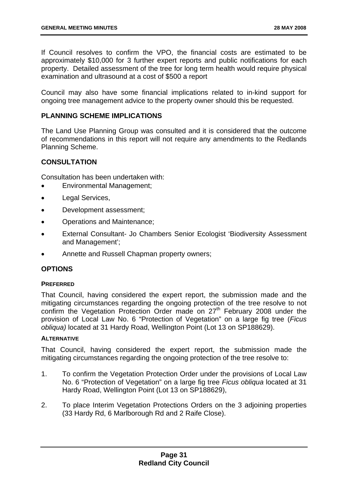If Council resolves to confirm the VPO, the financial costs are estimated to be approximately \$10,000 for 3 further expert reports and public notifications for each property. Detailed assessment of the tree for long term health would require physical examination and ultrasound at a cost of \$500 a report

Council may also have some financial implications related to in-kind support for ongoing tree management advice to the property owner should this be requested.

### **PLANNING SCHEME IMPLICATIONS**

The Land Use Planning Group was consulted and it is considered that the outcome of recommendations in this report will not require any amendments to the Redlands Planning Scheme.

### **CONSULTATION**

Consultation has been undertaken with:

- Environmental Management;
- Legal Services,
- Development assessment;
- Operations and Maintenance;
- External Consultant- Jo Chambers Senior Ecologist 'Biodiversity Assessment and Management';
- Annette and Russell Chapman property owners;

# **OPTIONS**

### **PREFERRED**

That Council, having considered the expert report, the submission made and the mitigating circumstances regarding the ongoing protection of the tree resolve to not confirm the Vegetation Protection Order made on 27<sup>th</sup> February 2008 under the provision of Local Law No. 6 "Protection of Vegetation" on a large fig tree (*Ficus obliqua)* located at 31 Hardy Road, Wellington Point (Lot 13 on SP188629).

#### **ALTERNATIVE**

That Council, having considered the expert report, the submission made the mitigating circumstances regarding the ongoing protection of the tree resolve to:

- 1. To confirm the Vegetation Protection Order under the provisions of Local Law No. 6 "Protection of Vegetation" on a large fig tree *Ficus obliqua* located at 31 Hardy Road, Wellington Point (Lot 13 on SP188629),
- 2. To place Interim Vegetation Protections Orders on the 3 adjoining properties (33 Hardy Rd, 6 Marlborough Rd and 2 Raife Close).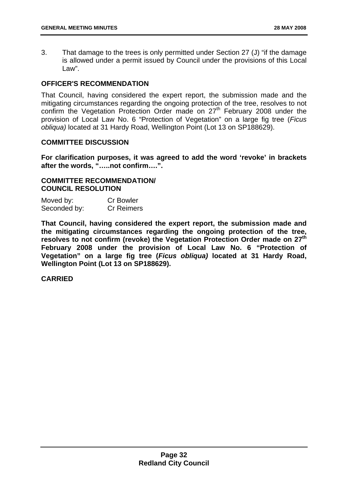3. That damage to the trees is only permitted under Section 27 (J) "if the damage is allowed under a permit issued by Council under the provisions of this Local Law".

### **OFFICER'S RECOMMENDATION**

That Council, having considered the expert report, the submission made and the mitigating circumstances regarding the ongoing protection of the tree, resolves to not confirm the Vegetation Protection Order made on 27<sup>th</sup> February 2008 under the provision of Local Law No. 6 "Protection of Vegetation" on a large fig tree (*Ficus obliqua)* located at 31 Hardy Road, Wellington Point (Lot 13 on SP188629).

### **COMMITTEE DISCUSSION**

**For clarification purposes, it was agreed to add the word 'revoke' in brackets after the words, "…..not confirm….".** 

### **COMMITTEE RECOMMENDATION/ COUNCIL RESOLUTION**

| Moved by:    | <b>Cr Bowler</b>  |
|--------------|-------------------|
| Seconded by: | <b>Cr Reimers</b> |

**That Council, having considered the expert report, the submission made and the mitigating circumstances regarding the ongoing protection of the tree, resolves to not confirm (revoke) the Vegetation Protection Order made on 27th February 2008 under the provision of Local Law No. 6 "Protection of Vegetation" on a large fig tree (***Ficus obliqua)* **located at 31 Hardy Road, Wellington Point (Lot 13 on SP188629).** 

## **CARRIED**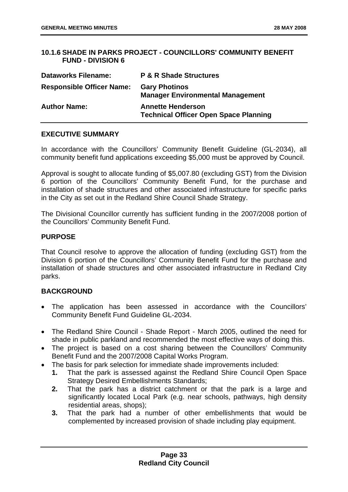### **10.1.6 SHADE IN PARKS PROJECT - COUNCILLORS' COMMUNITY BENEFIT FUND - DIVISION 6**

| <b>Dataworks Filename:</b>       | <b>P &amp; R Shade Structures</b>                                        |
|----------------------------------|--------------------------------------------------------------------------|
| <b>Responsible Officer Name:</b> | <b>Gary Photinos</b><br><b>Manager Environmental Management</b>          |
| <b>Author Name:</b>              | <b>Annette Henderson</b><br><b>Technical Officer Open Space Planning</b> |

### **EXECUTIVE SUMMARY**

In accordance with the Councillors' Community Benefit Guideline (GL-2034), all community benefit fund applications exceeding \$5,000 must be approved by Council.

Approval is sought to allocate funding of \$5,007.80 (excluding GST) from the Division 6 portion of the Councillors' Community Benefit Fund, for the purchase and installation of shade structures and other associated infrastructure for specific parks in the City as set out in the Redland Shire Council Shade Strategy.

The Divisional Councillor currently has sufficient funding in the 2007/2008 portion of the Councillors' Community Benefit Fund.

### **PURPOSE**

That Council resolve to approve the allocation of funding (excluding GST) from the Division 6 portion of the Councillors' Community Benefit Fund for the purchase and installation of shade structures and other associated infrastructure in Redland City parks.

# **BACKGROUND**

- The application has been assessed in accordance with the Councillors' Community Benefit Fund Guideline GL-2034.
- The Redland Shire Council Shade Report March 2005, outlined the need for shade in public parkland and recommended the most effective ways of doing this.
- The project is based on a cost sharing between the Councillors' Community Benefit Fund and the 2007/2008 Capital Works Program.
- The basis for park selection for immediate shade improvements included:
	- **1.** That the park is assessed against the Redland Shire Council Open Space Strategy Desired Embellishments Standards;
	- **2.** That the park has a district catchment or that the park is a large and significantly located Local Park (e.g. near schools, pathways, high density residential areas, shops);
	- **3.** That the park had a number of other embellishments that would be complemented by increased provision of shade including play equipment.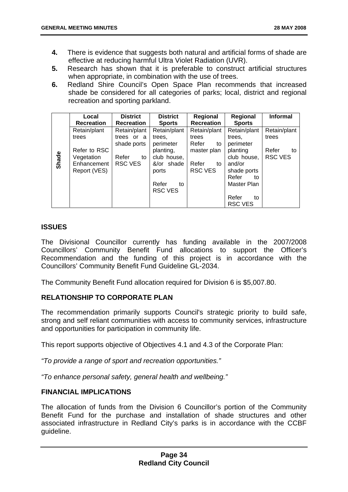- **4.** There is evidence that suggests both natural and artificial forms of shade are effective at reducing harmful Ultra Violet Radiation (UVR).
- **5.** Research has shown that it is preferable to construct artificial structures when appropriate, in combination with the use of trees.
- **6.** Redland Shire Council's Open Space Plan recommends that increased shade be considered for all categories of parks; local, district and regional recreation and sporting parkland.

|       | Local             | <b>District</b>   | <b>District</b> | Regional          | Regional      | <b>Informal</b> |
|-------|-------------------|-------------------|-----------------|-------------------|---------------|-----------------|
|       | <b>Recreation</b> | <b>Recreation</b> | <b>Sports</b>   | <b>Recreation</b> | <b>Sports</b> |                 |
|       | Retain/plant      | Retain/plant      | Retain/plant    | Retain/plant      | Retain/plant  | Retain/plant    |
|       | trees             | trees or a        | trees.          | trees             | trees,        | trees           |
|       |                   | shade ports       | perimeter       | Refer<br>to       | perimeter     |                 |
|       | Refer to RSC      |                   | planting,       | master plan       | planting      | Refer<br>to     |
| Shade | Vegetation        | Refer<br>to       | club house,     |                   | club house,   | <b>RSC VES</b>  |
|       | Enhancement       | RSC VES           | &/or shade      | Refer<br>to       | and/or        |                 |
|       | Report (VES)      |                   | ports           | <b>RSC VES</b>    | shade ports   |                 |
|       |                   |                   |                 |                   | Refer<br>to   |                 |
|       |                   |                   | Refer<br>to     |                   | Master Plan   |                 |
|       |                   |                   | <b>RSC VES</b>  |                   |               |                 |
|       |                   |                   |                 |                   | Refer<br>to   |                 |
|       |                   |                   |                 |                   | RSC VES       |                 |

# **ISSUES**

The Divisional Councillor currently has funding available in the 2007/2008 Councillors' Community Benefit Fund allocations to support the Officer's Recommendation and the funding of this project is in accordance with the Councillors' Community Benefit Fund Guideline GL-2034.

The Community Benefit Fund allocation required for Division 6 is \$5,007.80.

# **RELATIONSHIP TO CORPORATE PLAN**

The recommendation primarily supports Council's strategic priority to build safe, strong and self reliant communities with access to community services, infrastructure and opportunities for participation in community life.

This report supports objective of Objectives 4.1 and 4.3 of the Corporate Plan:

*"To provide a range of sport and recreation opportunities."* 

*"To enhance personal safety, general health and wellbeing."* 

### **FINANCIAL IMPLICATIONS**

The allocation of funds from the Division 6 Councillor's portion of the Community Benefit Fund for the purchase and installation of shade structures and other associated infrastructure in Redland City's parks is in accordance with the CCBF guideline.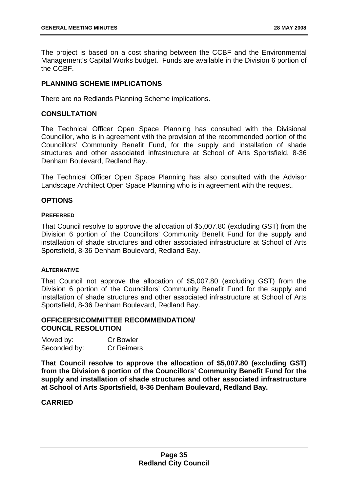The project is based on a cost sharing between the CCBF and the Environmental Management's Capital Works budget. Funds are available in the Division 6 portion of the CCBF.

### **PLANNING SCHEME IMPLICATIONS**

There are no Redlands Planning Scheme implications.

### **CONSULTATION**

The Technical Officer Open Space Planning has consulted with the Divisional Councillor, who is in agreement with the provision of the recommended portion of the Councillors' Community Benefit Fund, for the supply and installation of shade structures and other associated infrastructure at School of Arts Sportsfield, 8-36 Denham Boulevard, Redland Bay.

The Technical Officer Open Space Planning has also consulted with the Advisor Landscape Architect Open Space Planning who is in agreement with the request.

### **OPTIONS**

#### **PREFERRED**

That Council resolve to approve the allocation of \$5,007.80 (excluding GST) from the Division 6 portion of the Councillors' Community Benefit Fund for the supply and installation of shade structures and other associated infrastructure at School of Arts Sportsfield, 8-36 Denham Boulevard, Redland Bay.

#### **ALTERNATIVE**

That Council not approve the allocation of \$5,007.80 (excluding GST) from the Division 6 portion of the Councillors' Community Benefit Fund for the supply and installation of shade structures and other associated infrastructure at School of Arts Sportsfield, 8-36 Denham Boulevard, Redland Bay.

#### **OFFICER'S/COMMITTEE RECOMMENDATION/ COUNCIL RESOLUTION**

| Moved by:    | <b>Cr Bowler</b>  |
|--------------|-------------------|
| Seconded by: | <b>Cr Reimers</b> |

**That Council resolve to approve the allocation of \$5,007.80 (excluding GST) from the Division 6 portion of the Councillors' Community Benefit Fund for the supply and installation of shade structures and other associated infrastructure at School of Arts Sportsfield, 8-36 Denham Boulevard, Redland Bay.** 

### **CARRIED**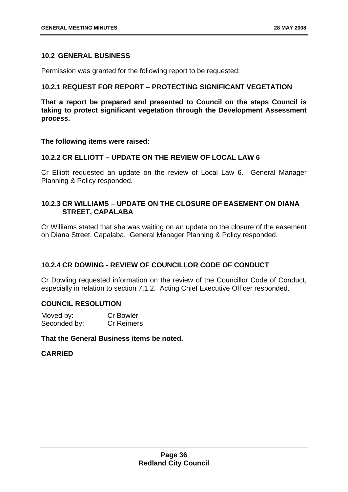### **10.2 GENERAL BUSINESS**

Permission was granted for the following report to be requested:

## **10.2.1 REQUEST FOR REPORT – PROTECTING SIGNIFICANT VEGETATION**

**That a report be prepared and presented to Council on the steps Council is taking to protect significant vegetation through the Development Assessment process.** 

**The following items were raised:** 

### **10.2.2 CR ELLIOTT – UPDATE ON THE REVIEW OF LOCAL LAW 6**

Cr Elliott requested an update on the review of Local Law 6. General Manager Planning & Policy responded.

## **10.2.3 CR WILLIAMS – UPDATE ON THE CLOSURE OF EASEMENT ON DIANA STREET, CAPALABA**

Cr Williams stated that she was waiting on an update on the closure of the easement on Diana Street, Capalaba. General Manager Planning & Policy responded.

# **10.2.4 CR DOWING - REVIEW OF COUNCILLOR CODE OF CONDUCT**

Cr Dowling requested information on the review of the Councillor Code of Conduct, especially in relation to section 7.1.2. Acting Chief Executive Officer responded.

### **COUNCIL RESOLUTION**

| Moved by:    | <b>Cr Bowler</b>  |
|--------------|-------------------|
| Seconded by: | <b>Cr Reimers</b> |

**That the General Business items be noted.** 

### **CARRIED**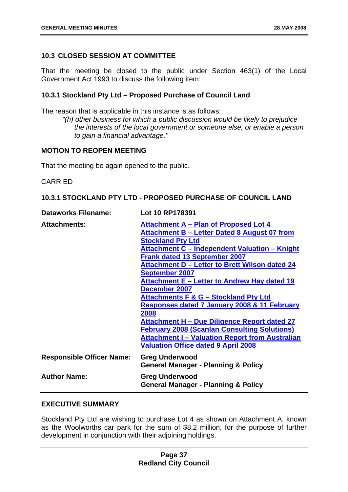## **10.3 CLOSED SESSION AT COMMITTEE**

That the meeting be closed to the public under Section 463(1) of the Local Government Act 1993 to discuss the following item:

### **10.3.1 Stockland Pty Ltd – Proposed Purchase of Council Land**

The reason that is applicable in this instance is as follows:

*"(h) other business for which a public discussion would be likely to prejudice the interests of the local government or someone else, or enable a person to gain a financial advantage."* 

# **MOTION TO REOPEN MEETING**

That the meeting be again opened to the public.

CARRIED

### **10.3.1 STOCKLAND PTY LTD - PROPOSED PURCHASE OF COUNCIL LAND**

| <b>Dataworks Filename:</b>       | Lot 10 RP178391                                                                                                                                                                                                                                                                                                                                                                                                                                                                                                                                                                                                                                                                              |
|----------------------------------|----------------------------------------------------------------------------------------------------------------------------------------------------------------------------------------------------------------------------------------------------------------------------------------------------------------------------------------------------------------------------------------------------------------------------------------------------------------------------------------------------------------------------------------------------------------------------------------------------------------------------------------------------------------------------------------------|
| <b>Attachments:</b>              | Attachment A - Plan of Proposed Lot 4<br>Attachment B – Letter Dated 8 August 07 from<br><b>Stockland Pty Ltd</b><br>Attachment C - Independent Valuation - Knight<br><b>Frank dated 13 September 2007</b><br>Attachment D - Letter to Brett Wilson dated 24<br><b>September 2007</b><br>Attachment E – Letter to Andrew Hay dated 19<br>December 2007<br><b>Attachments F &amp; G - Stockland Pty Ltd</b><br><b>Responses dated 7 January 2008 &amp; 11 February</b><br>2008<br>Attachment H - Due Diligence Report dated 27<br><b>February 2008 (Scanlan Consulting Solutions)</b><br><b>Attachment I - Valuation Report from Australian</b><br><b>Valuation Office dated 9 April 2008</b> |
| <b>Responsible Officer Name:</b> | <b>Greg Underwood</b><br><b>General Manager - Planning &amp; Policy</b>                                                                                                                                                                                                                                                                                                                                                                                                                                                                                                                                                                                                                      |
| <b>Author Name:</b>              | <b>Greg Underwood</b><br><b>General Manager - Planning &amp; Policy</b>                                                                                                                                                                                                                                                                                                                                                                                                                                                                                                                                                                                                                      |

### **EXECUTIVE SUMMARY**

Stockland Pty Ltd are wishing to purchase Lot 4 as shown on Attachment A, known as the Woolworths car park for the sum of \$8.2 million, for the purpose of further development in conjunction with their adjoining holdings.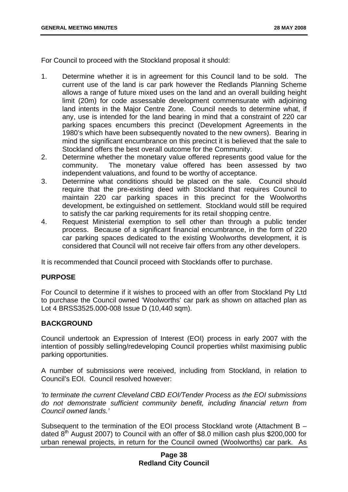For Council to proceed with the Stockland proposal it should:

- 1. Determine whether it is in agreement for this Council land to be sold. The current use of the land is car park however the Redlands Planning Scheme allows a range of future mixed uses on the land and an overall building height limit (20m) for code assessable development commensurate with adjoining land intents in the Major Centre Zone. Council needs to determine what, if any, use is intended for the land bearing in mind that a constraint of 220 car parking spaces encumbers this precinct (Development Agreements in the 1980's which have been subsequently novated to the new owners). Bearing in mind the significant encumbrance on this precinct it is believed that the sale to Stockland offers the best overall outcome for the Community.
- 2. Determine whether the monetary value offered represents good value for the community. The monetary value offered has been assessed by two independent valuations, and found to be worthy of acceptance.
- 3. Determine what conditions should be placed on the sale. Council should require that the pre-existing deed with Stockland that requires Council to maintain 220 car parking spaces in this precinct for the Woolworths development, be extinguished on settlement. Stockland would still be required to satisfy the car parking requirements for its retail shopping centre.
- 4. Request Ministerial exemption to sell other than through a public tender process. Because of a significant financial encumbrance, in the form of 220 car parking spaces dedicated to the existing Woolworths development, it is considered that Council will not receive fair offers from any other developers.

It is recommended that Council proceed with Stocklands offer to purchase.

# **PURPOSE**

For Council to determine if it wishes to proceed with an offer from Stockland Pty Ltd to purchase the Council owned 'Woolworths' car park as shown on attached plan as Lot 4 BRSS3525.000-008 Issue D (10,440 sqm).

# **BACKGROUND**

Council undertook an Expression of Interest (EOI) process in early 2007 with the intention of possibly selling/redeveloping Council properties whilst maximising public parking opportunities.

A number of submissions were received, including from Stockland, in relation to Council's EOI. Council resolved however:

*'to terminate the current Cleveland CBD EOI/Tender Process as the EOI submissions do not demonstrate sufficient community benefit, including financial return from Council owned lands.'* 

Subsequent to the termination of the EOI process Stockland wrote (Attachment B – dated  $8<sup>th</sup>$  August 2007) to Council with an offer of \$8.0 million cash plus \$200,000 for urban renewal projects, in return for the Council owned (Woolworths) car park. As

### **Page 38 Redland City Council**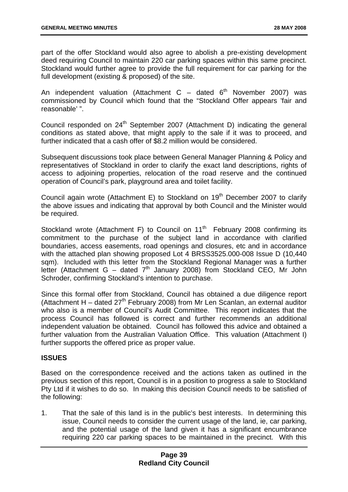part of the offer Stockland would also agree to abolish a pre-existing development deed requiring Council to maintain 220 car parking spaces within this same precinct. Stockland would further agree to provide the full requirement for car parking for the full development (existing & proposed) of the site.

An independent valuation (Attachment C – dated  $6<sup>th</sup>$  November 2007) was commissioned by Council which found that the "Stockland Offer appears 'fair and reasonable' ".

Council responded on 24<sup>th</sup> September 2007 (Attachment D) indicating the general conditions as stated above, that might apply to the sale if it was to proceed, and further indicated that a cash offer of \$8.2 million would be considered.

Subsequent discussions took place between General Manager Planning & Policy and representatives of Stockland in order to clarify the exact land descriptions, rights of access to adjoining properties, relocation of the road reserve and the continued operation of Council's park, playground area and toilet facility.

Council again wrote (Attachment E) to Stockland on 19<sup>th</sup> December 2007 to clarify the above issues and indicating that approval by both Council and the Minister would be required.

Stockland wrote (Attachment F) to Council on  $11<sup>th</sup>$  February 2008 confirming its commitment to the purchase of the subject land in accordance with clarified boundaries, access easements, road openings and closures, etc and in accordance with the attached plan showing proposed Lot 4 BRSS3525.000-008 Issue D (10,440 sqm). Included with this letter from the Stockland Regional Manager was a further letter (Attachment G – dated  $7<sup>th</sup>$  January 2008) from Stockland CEO, Mr John Schroder, confirming Stockland's intention to purchase.

Since this formal offer from Stockland, Council has obtained a due diligence report (Attachment H – dated  $27<sup>th</sup>$  February 2008) from Mr Len Scanlan, an external auditor who also is a member of Council's Audit Committee. This report indicates that the process Council has followed is correct and further recommends an additional independent valuation be obtained. Council has followed this advice and obtained a further valuation from the Australian Valuation Office. This valuation (Attachment I) further supports the offered price as proper value.

# **ISSUES**

Based on the correspondence received and the actions taken as outlined in the previous section of this report, Council is in a position to progress a sale to Stockland Pty Ltd if it wishes to do so. In making this decision Council needs to be satisfied of the following:

1. That the sale of this land is in the public's best interests. In determining this issue, Council needs to consider the current usage of the land, ie, car parking, and the potential usage of the land given it has a significant encumbrance requiring 220 car parking spaces to be maintained in the precinct. With this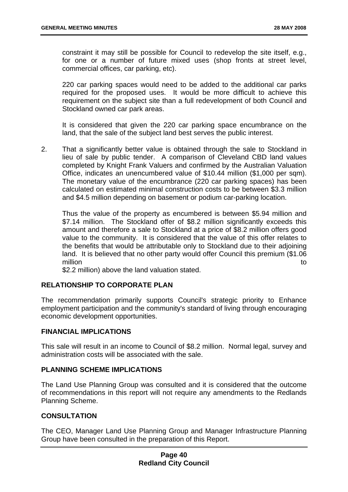constraint it may still be possible for Council to redevelop the site itself, e.g., for one or a number of future mixed uses (shop fronts at street level, commercial offices, car parking, etc).

 220 car parking spaces would need to be added to the additional car parks required for the proposed uses. It would be more difficult to achieve this requirement on the subject site than a full redevelopment of both Council and Stockland owned car park areas.

 It is considered that given the 220 car parking space encumbrance on the land, that the sale of the subject land best serves the public interest.

2. That a significantly better value is obtained through the sale to Stockland in lieu of sale by public tender. A comparison of Cleveland CBD land values completed by Knight Frank Valuers and confirmed by the Australian Valuation Office, indicates an unencumbered value of \$10.44 million (\$1,000 per sqm). The monetary value of the encumbrance (220 car parking spaces) has been calculated on estimated minimal construction costs to be between \$3.3 million and \$4.5 million depending on basement or podium car-parking location.

 Thus the value of the property as encumbered is between \$5.94 million and \$7.14 million. The Stockland offer of \$8.2 million significantly exceeds this amount and therefore a sale to Stockland at a price of \$8.2 million offers good value to the community. It is considered that the value of this offer relates to the benefits that would be attributable only to Stockland due to their adjoining land. It is believed that no other party would offer Council this premium (\$1.06 million to the contract of the contract of the contract of the contract of the contract of the contract of the

\$2.2 million) above the land valuation stated.

### **RELATIONSHIP TO CORPORATE PLAN**

The recommendation primarily supports Council's strategic priority to Enhance employment participation and the community's standard of living through encouraging economic development opportunities.

#### **FINANCIAL IMPLICATIONS**

This sale will result in an income to Council of \$8.2 million. Normal legal, survey and administration costs will be associated with the sale.

### **PLANNING SCHEME IMPLICATIONS**

The Land Use Planning Group was consulted and it is considered that the outcome of recommendations in this report will not require any amendments to the Redlands Planning Scheme.

#### **CONSULTATION**

The CEO, Manager Land Use Planning Group and Manager Infrastructure Planning Group have been consulted in the preparation of this Report.

# **Page 40 Redland City Council**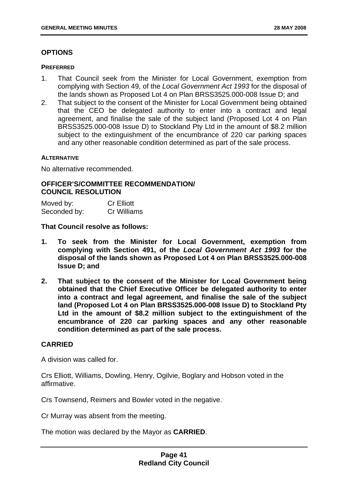# **OPTIONS**

#### **PREFERRED**

- 1. That Council seek from the Minister for Local Government, exemption from complying with Section 49, of the *Local Government Act 1993* for the disposal of the lands shown as Proposed Lot 4 on Plan BRSS3525.000-008 Issue D; and
- 2. That subject to the consent of the Minister for Local Government being obtained that the CEO be delegated authority to enter into a contract and legal agreement, and finalise the sale of the subject land (Proposed Lot 4 on Plan BRSS3525.000-008 Issue D) to Stockland Pty Ltd in the amount of \$8.2 million subject to the extinguishment of the encumbrance of 220 car parking spaces and any other reasonable condition determined as part of the sale process.

#### **ALTERNATIVE**

No alternative recommended.

### **OFFICER'S/COMMITTEE RECOMMENDATION/ COUNCIL RESOLUTION**

| Moved by:    | <b>Cr Elliott</b> |
|--------------|-------------------|
| Seconded by: | Cr Williams       |

### **That Council resolve as follows:**

- **1. To seek from the Minister for Local Government, exemption from complying with Section 491, of the** *Local Government Act 1993* **for the disposal of the lands shown as Proposed Lot 4 on Plan BRSS3525.000-008 Issue D; and**
- **2. That subject to the consent of the Minister for Local Government being obtained that the Chief Executive Officer be delegated authority to enter into a contract and legal agreement, and finalise the sale of the subject land (Proposed Lot 4 on Plan BRSS3525.000-008 Issue D) to Stockland Pty Ltd in the amount of \$8.2 million subject to the extinguishment of the encumbrance of 220 car parking spaces and any other reasonable condition determined as part of the sale process.**

### **CARRIED**

A division was called for.

Crs Elliott, Williams, Dowling, Henry, Ogilvie, Boglary and Hobson voted in the affirmative.

Crs Townsend, Reimers and Bowler voted in the negative.

Cr Murray was absent from the meeting.

The motion was declared by the Mayor as **CARRIED**.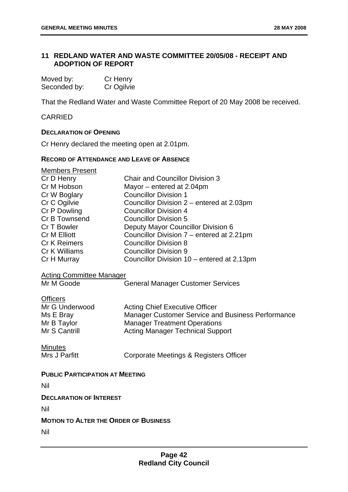# **11 REDLAND WATER AND WASTE COMMITTEE 20/05/08 - RECEIPT AND ADOPTION OF REPORT**

| Moved by:    | Cr Henry   |
|--------------|------------|
| Seconded by: | Cr Ogilvie |

That the Redland Water and Waste Committee Report of 20 May 2008 be received.

## CARRIED

### **DECLARATION OF OPENING**

Cr Henry declared the meeting open at 2.01pm.

### **RECORD OF ATTENDANCE AND LEAVE OF ABSENCE**

| <b>Members Present</b>                 |                                                          |
|----------------------------------------|----------------------------------------------------------|
| Cr D Henry                             | <b>Chair and Councillor Division 3</b>                   |
| Cr M Hobson                            | Mayor – entered at 2.04pm                                |
| Cr W Boglary                           | <b>Councillor Division 1</b>                             |
| Cr C Ogilvie                           | Councillor Division 2 – entered at 2.03pm                |
| Cr P Dowling                           | <b>Councillor Division 4</b>                             |
| Cr B Townsend                          | <b>Councillor Division 5</b>                             |
| Cr T Bowler                            | Deputy Mayor Councillor Division 6                       |
| Cr M Elliott                           | Councillor Division 7 – entered at 2.21pm                |
| <b>Cr K Reimers</b>                    | <b>Councillor Division 8</b>                             |
| Cr K Williams                          | <b>Councillor Division 9</b>                             |
| Cr H Murray                            | Councillor Division 10 - entered at 2.13pm               |
| <b>Acting Committee Manager</b>        |                                                          |
| Mr M Goode                             | <b>General Manager Customer Services</b>                 |
|                                        |                                                          |
| <b>Officers</b>                        |                                                          |
| Mr G Underwood                         | <b>Acting Chief Executive Officer</b>                    |
| Ms E Bray                              | <b>Manager Customer Service and Business Performance</b> |
| Mr B Taylor                            | <b>Manager Treatment Operations</b>                      |
| Mr S Cantrill                          | <b>Acting Manager Technical Support</b>                  |
|                                        |                                                          |
| <b>Minutes</b>                         |                                                          |
| Mrs J Parfitt                          | Corporate Meetings & Registers Officer                   |
|                                        |                                                          |
| <b>PUBLIC PARTICIPATION AT MEETING</b> |                                                          |
| Nil                                    |                                                          |
| <b>DECLARATION OF INTEREST</b>         |                                                          |

Nil

#### **MOTION TO ALTER THE ORDER OF BUSINESS**

Nil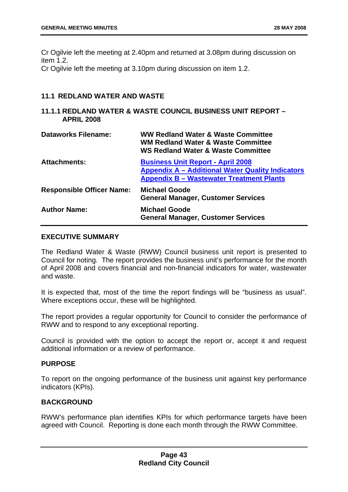Cr Ogilvie left the meeting at 2.40pm and returned at 3.08pm during discussion on item 1.2.

Cr Ogilvie left the meeting at 3.10pm during discussion on item 1.2.

# **11.1 REDLAND WATER AND WASTE**

### **11.1.1 REDLAND WATER & WASTE COUNCIL BUSINESS UNIT REPORT – APRIL 2008**

| <b>Dataworks Filename:</b>       | <b>WW Redland Water &amp; Waste Committee</b><br><b>WM Redland Water &amp; Waste Committee</b><br><b>WS Redland Water &amp; Waste Committee</b>        |
|----------------------------------|--------------------------------------------------------------------------------------------------------------------------------------------------------|
| <b>Attachments:</b>              | <b>Business Unit Report - April 2008</b><br><b>Appendix A - Additional Water Quality Indicators</b><br><b>Appendix B - Wastewater Treatment Plants</b> |
| <b>Responsible Officer Name:</b> | <b>Michael Goode</b><br><b>General Manager, Customer Services</b>                                                                                      |
| <b>Author Name:</b>              | <b>Michael Goode</b><br><b>General Manager, Customer Services</b>                                                                                      |

### **EXECUTIVE SUMMARY**

The Redland Water & Waste (RWW) Council business unit report is presented to Council for noting. The report provides the business unit's performance for the month of April 2008 and covers financial and non-financial indicators for water, wastewater and waste.

It is expected that, most of the time the report findings will be "business as usual". Where exceptions occur, these will be highlighted.

The report provides a regular opportunity for Council to consider the performance of RWW and to respond to any exceptional reporting.

Council is provided with the option to accept the report or, accept it and request additional information or a review of performance.

# **PURPOSE**

To report on the ongoing performance of the business unit against key performance indicators (KPIs).

# **BACKGROUND**

RWW's performance plan identifies KPIs for which performance targets have been agreed with Council. Reporting is done each month through the RWW Committee.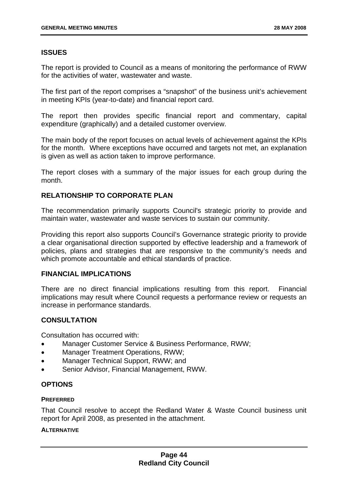# **ISSUES**

The report is provided to Council as a means of monitoring the performance of RWW for the activities of water, wastewater and waste.

The first part of the report comprises a "snapshot" of the business unit's achievement in meeting KPIs (year-to-date) and financial report card.

The report then provides specific financial report and commentary, capital expenditure (graphically) and a detailed customer overview.

The main body of the report focuses on actual levels of achievement against the KPIs for the month. Where exceptions have occurred and targets not met, an explanation is given as well as action taken to improve performance.

The report closes with a summary of the major issues for each group during the month.

### **RELATIONSHIP TO CORPORATE PLAN**

The recommendation primarily supports Council's strategic priority to provide and maintain water, wastewater and waste services to sustain our community.

Providing this report also supports Council's Governance strategic priority to provide a clear organisational direction supported by effective leadership and a framework of policies, plans and strategies that are responsive to the community's needs and which promote accountable and ethical standards of practice.

### **FINANCIAL IMPLICATIONS**

There are no direct financial implications resulting from this report. Financial implications may result where Council requests a performance review or requests an increase in performance standards.

# **CONSULTATION**

Consultation has occurred with:

- Manager Customer Service & Business Performance, RWW;
- Manager Treatment Operations, RWW;
- Manager Technical Support, RWW; and
- Senior Advisor, Financial Management, RWW.

### **OPTIONS**

#### **PREFERRED**

That Council resolve to accept the Redland Water & Waste Council business unit report for April 2008, as presented in the attachment.

#### **ALTERNATIVE**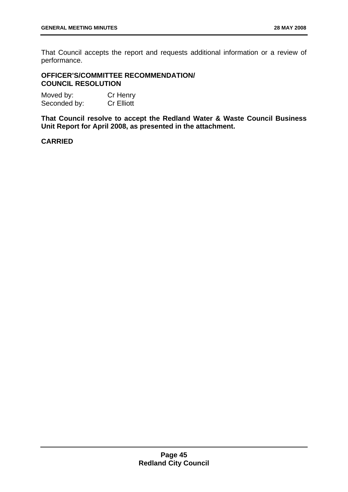That Council accepts the report and requests additional information or a review of performance.

## **OFFICER'S/COMMITTEE RECOMMENDATION/ COUNCIL RESOLUTION**

Moved by: Cr Henry Seconded by: Cr Elliott

**That Council resolve to accept the Redland Water & Waste Council Business Unit Report for April 2008, as presented in the attachment.** 

# **CARRIED**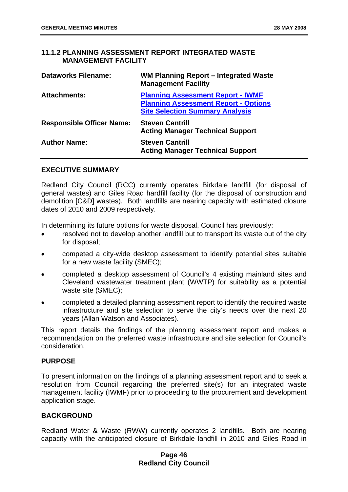# **11.1.2 PLANNING ASSESSMENT REPORT INTEGRATED WASTE MANAGEMENT FACILITY**

| <b>Dataworks Filename:</b>       | WM Planning Report - Integrated Waste<br><b>Management Facility</b>                                                               |
|----------------------------------|-----------------------------------------------------------------------------------------------------------------------------------|
| <b>Attachments:</b>              | <b>Planning Assessment Report - IWMF</b><br><b>Planning Assessment Report - Options</b><br><b>Site Selection Summary Analysis</b> |
| <b>Responsible Officer Name:</b> | <b>Steven Cantrill</b><br><b>Acting Manager Technical Support</b>                                                                 |
| <b>Author Name:</b>              | <b>Steven Cantrill</b><br><b>Acting Manager Technical Support</b>                                                                 |

### **EXECUTIVE SUMMARY**

Redland City Council (RCC) currently operates Birkdale landfill (for disposal of general wastes) and Giles Road hardfill facility (for the disposal of construction and demolition [C&D] wastes). Both landfills are nearing capacity with estimated closure dates of 2010 and 2009 respectively.

In determining its future options for waste disposal, Council has previously:

- resolved not to develop another landfill but to transport its waste out of the city for disposal;
- competed a city-wide desktop assessment to identify potential sites suitable for a new waste facility (SMEC);
- completed a desktop assessment of Council's 4 existing mainland sites and Cleveland wastewater treatment plant (WWTP) for suitability as a potential waste site (SMEC);
- completed a detailed planning assessment report to identify the required waste infrastructure and site selection to serve the city's needs over the next 20 years (Allan Watson and Associates).

This report details the findings of the planning assessment report and makes a recommendation on the preferred waste infrastructure and site selection for Council's consideration.

### **PURPOSE**

To present information on the findings of a planning assessment report and to seek a resolution from Council regarding the preferred site(s) for an integrated waste management facility (IWMF) prior to proceeding to the procurement and development application stage.

# **BACKGROUND**

Redland Water & Waste (RWW) currently operates 2 landfills. Both are nearing capacity with the anticipated closure of Birkdale landfill in 2010 and Giles Road in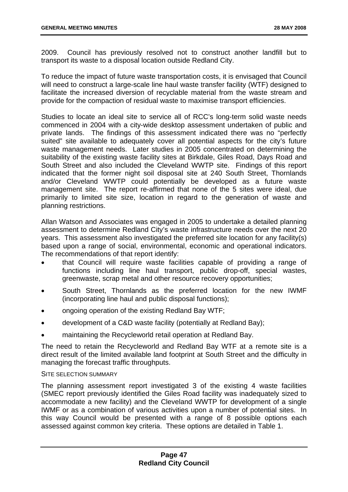2009. Council has previously resolved not to construct another landfill but to transport its waste to a disposal location outside Redland City.

To reduce the impact of future waste transportation costs, it is envisaged that Council will need to construct a large-scale line haul waste transfer facility (WTF) designed to facilitate the increased diversion of recyclable material from the waste stream and provide for the compaction of residual waste to maximise transport efficiencies.

Studies to locate an ideal site to service all of RCC's long-term solid waste needs commenced in 2004 with a city-wide desktop assessment undertaken of public and private lands. The findings of this assessment indicated there was no "perfectly suited" site available to adequately cover all potential aspects for the city's future waste management needs. Later studies in 2005 concentrated on determining the suitability of the existing waste facility sites at Birkdale, Giles Road, Days Road and South Street and also included the Cleveland WWTP site. Findings of this report indicated that the former night soil disposal site at 240 South Street, Thornlands and/or Cleveland WWTP could potentially be developed as a future waste management site. The report re-affirmed that none of the 5 sites were ideal, due primarily to limited site size, location in regard to the generation of waste and planning restrictions.

Allan Watson and Associates was engaged in 2005 to undertake a detailed planning assessment to determine Redland City's waste infrastructure needs over the next 20 years. This assessment also investigated the preferred site location for any facility(s) based upon a range of social, environmental, economic and operational indicators. The recommendations of that report identify:

- that Council will require waste facilities capable of providing a range of functions including line haul transport, public drop-off, special wastes, greenwaste, scrap metal and other resource recovery opportunities;
- South Street, Thornlands as the preferred location for the new IWMF (incorporating line haul and public disposal functions);
- ongoing operation of the existing Redland Bay WTF;
- development of a C&D waste facility (potentially at Redland Bay);
- maintaining the Recycleworld retail operation at Redland Bay.

The need to retain the Recycleworld and Redland Bay WTF at a remote site is a direct result of the limited available land footprint at South Street and the difficulty in managing the forecast traffic throughputs.

### SITE SELECTION SUMMARY

The planning assessment report investigated 3 of the existing 4 waste facilities (SMEC report previously identified the Giles Road facility was inadequately sized to accommodate a new facility) and the Cleveland WWTP for development of a single IWMF or as a combination of various activities upon a number of potential sites. In this way Council would be presented with a range of 8 possible options each assessed against common key criteria. These options are detailed in Table 1.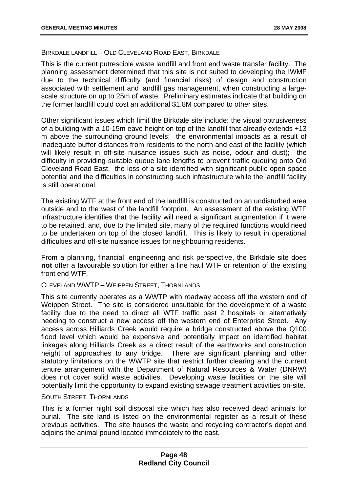### BIRKDALE LANDFILL – OLD CLEVELAND ROAD EAST, BIRKDALE

This is the current putrescible waste landfill and front end waste transfer facility. The planning assessment determined that this site is not suited to developing the IWMF due to the technical difficulty (and financial risks) of design and construction associated with settlement and landfill gas management, when constructing a largescale structure on up to 25m of waste. Preliminary estimates indicate that building on the former landfill could cost an additional \$1.8M compared to other sites.

Other significant issues which limit the Birkdale site include: the visual obtrusiveness of a building with a 10-15m eave height on top of the landfill that already extends +13 m above the surrounding ground levels; the environmental impacts as a result of inadequate buffer distances from residents to the north and east of the facility (which will likely result in off-site nuisance issues such as noise, odour and dust); the difficulty in providing suitable queue lane lengths to prevent traffic queuing onto Old Cleveland Road East, the loss of a site identified with significant public open space potential and the difficulties in constructing such infrastructure while the landfill facility is still operational.

The existing WTF at the front end of the landfill is constructed on an undisturbed area outside and to the west of the landfill footprint. An assessment of the existing WTF infrastructure identifies that the facility will need a significant augmentation if it were to be retained, and, due to the limited site, many of the required functions would need to be undertaken on top of the closed landfill. This is likely to result in operational difficulties and off-site nuisance issues for neighbouring residents.

From a planning, financial, engineering and risk perspective, the Birkdale site does **not** offer a favourable solution for either a line haul WTF or retention of the existing front end WTF.

# CLEVELAND WWTP – WEIPPEN STREET, THORNLANDS

This site currently operates as a WWTP with roadway access off the western end of Weippen Street. The site is considered unsuitable for the development of a waste facility due to the need to direct all WTF traffic past 2 hospitals or alternatively needing to construct a new access off the western end of Enterprise Street. Any access across Hilliards Creek would require a bridge constructed above the Q100 flood level which would be expensive and potentially impact on identified habitat linkages along Hilliards Creek as a direct result of the earthworks and construction height of approaches to any bridge. There are significant planning and other statutory limitations on the WWTP site that restrict further clearing and the current tenure arrangement with the Department of Natural Resources & Water (DNRW) does not cover solid waste activities. Developing waste facilities on the site will potentially limit the opportunity to expand existing sewage treatment activities on-site.

#### SOUTH STREET, THORNLANDS

This is a former night soil disposal site which has also received dead animals for burial. The site land is listed on the environmental register as a result of these previous activities. The site houses the waste and recycling contractor's depot and adioins the animal pound located immediately to the east.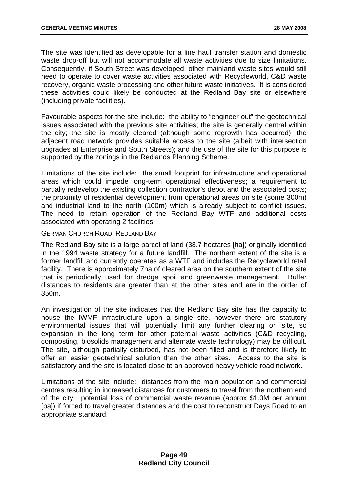The site was identified as developable for a line haul transfer station and domestic waste drop-off but will not accommodate all waste activities due to size limitations. Consequently, if South Street was developed, other mainland waste sites would still need to operate to cover waste activities associated with Recycleworld, C&D waste recovery, organic waste processing and other future waste initiatives. It is considered these activities could likely be conducted at the Redland Bay site or elsewhere (including private facilities).

Favourable aspects for the site include: the ability to "engineer out" the geotechnical issues associated with the previous site activities; the site is generally central within the city; the site is mostly cleared (although some regrowth has occurred); the adjacent road network provides suitable access to the site (albeit with intersection upgrades at Enterprise and South Streets); and the use of the site for this purpose is supported by the zonings in the Redlands Planning Scheme.

Limitations of the site include: the small footprint for infrastructure and operational areas which could impede long-term operational effectiveness; a requirement to partially redevelop the existing collection contractor's depot and the associated costs; the proximity of residential development from operational areas on site (some 300m) and industrial land to the north (100m) which is already subject to conflict issues. The need to retain operation of the Redland Bay WTF and additional costs associated with operating 2 facilities.

### GERMAN CHURCH ROAD, REDLAND BAY

The Redland Bay site is a large parcel of land (38.7 hectares [ha]) originally identified in the 1994 waste strategy for a future landfill. The northern extent of the site is a former landfill and currently operates as a WTF and includes the Recycleworld retail facility. There is approximately 7ha of cleared area on the southern extent of the site that is periodically used for dredge spoil and greenwaste management. Buffer distances to residents are greater than at the other sites and are in the order of 350m.

An investigation of the site indicates that the Redland Bay site has the capacity to house the IWMF infrastructure upon a single site, however there are statutory environmental issues that will potentially limit any further clearing on site, so expansion in the long term for other potential waste activities (C&D recycling, composting, biosolids management and alternate waste technology) may be difficult. The site, although partially disturbed, has not been filled and is therefore likely to offer an easier geotechnical solution than the other sites. Access to the site is satisfactory and the site is located close to an approved heavy vehicle road network.

Limitations of the site include: distances from the main population and commercial centres resulting in increased distances for customers to travel from the northern end of the city; potential loss of commercial waste revenue (approx \$1.0M per annum [pa]) if forced to travel greater distances and the cost to reconstruct Days Road to an appropriate standard.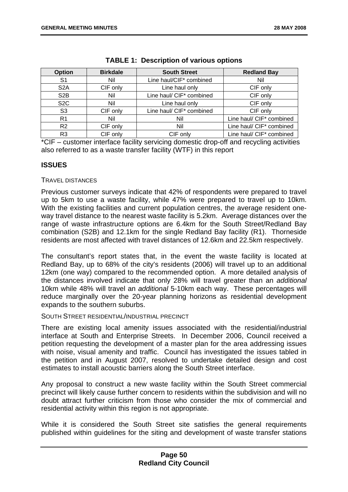| <b>Option</b>    | <b>Birkdale</b> | <b>South Street</b>      | <b>Redland Bay</b>       |
|------------------|-----------------|--------------------------|--------------------------|
| S <sub>1</sub>   | Nil             | Line haul/CIF* combined  | Nil                      |
| S <sub>2</sub> A | CIF only        | Line haul only           | CIF only                 |
| S <sub>2</sub> B | Nil             | Line haul/ CIF* combined | CIF only                 |
| S <sub>2</sub> C | Nil             | Line haul only           | CIF only                 |
| S <sub>3</sub>   | CIF only        | Line haul/ CIF* combined | CIF only                 |
| R <sub>1</sub>   | Nil             | Nil                      | Line haul/ CIF* combined |
| R <sub>2</sub>   | CIF only        | Nil                      | Line haul/ CIF* combined |
| R <sub>3</sub>   | CIF only        | CIF only                 | Line haul/ CIF* combined |

| <b>TABLE 1: Description of various options</b> |  |  |  |  |
|------------------------------------------------|--|--|--|--|
|------------------------------------------------|--|--|--|--|

\*CIF – customer interface facility servicing domestic drop-off and recycling activities also referred to as a waste transfer facility (WTF) in this report

# **ISSUES**

#### TRAVEL DISTANCES

Previous customer surveys indicate that 42% of respondents were prepared to travel up to 5km to use a waste facility, while 47% were prepared to travel up to 10km. With the existing facilities and current population centres, the average resident oneway travel distance to the nearest waste facility is 5.2km. Average distances over the range of waste infrastructure options are 6.4km for the South Street/Redland Bay combination (S2B) and 12.1km for the single Redland Bay facility (R1). Thorneside residents are most affected with travel distances of 12.6km and 22.5km respectively.

The consultant's report states that, in the event the waste facility is located at Redland Bay, up to 68% of the city's residents (2006) will travel up to an additional 12km (one way) compared to the recommended option. A more detailed analysis of the distances involved indicate that only 28% will travel greater than an *additional*  10km while 48% will travel an *additional* 5-10km each way. These percentages will reduce marginally over the 20-year planning horizons as residential development expands to the southern suburbs.

#### SOUTH STREET RESIDENTIAL/INDUSTRIAL PRECINCT

There are existing local amenity issues associated with the residential/industrial interface at South and Enterprise Streets. In December 2006, Council received a petition requesting the development of a master plan for the area addressing issues with noise, visual amenity and traffic. Council has investigated the issues tabled in the petition and in August 2007, resolved to undertake detailed design and cost estimates to install acoustic barriers along the South Street interface.

Any proposal to construct a new waste facility within the South Street commercial precinct will likely cause further concern to residents within the subdivision and will no doubt attract further criticism from those who consider the mix of commercial and residential activity within this region is not appropriate.

While it is considered the South Street site satisfies the general requirements published within guidelines for the siting and development of waste transfer stations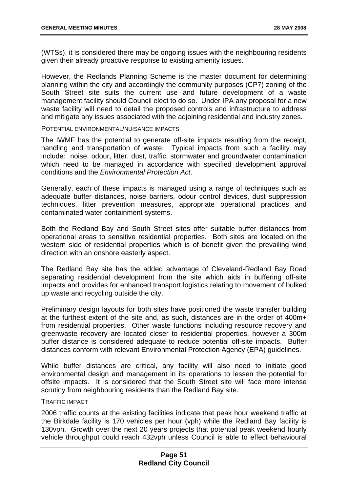(WTSs), it is considered there may be ongoing issues with the neighbouring residents given their already proactive response to existing amenity issues.

However, the Redlands Planning Scheme is the master document for determining planning within the city and accordingly the community purposes (CP7) zoning of the South Street site suits the current use and future development of a waste management facility should Council elect to do so. Under IPA any proposal for a new waste facility will need to detail the proposed controls and infrastructure to address and mitigate any issues associated with the adjoining residential and industry zones.

POTENTIAL ENVIRONMENTAL/NUISANCE IMPACTS

The IWMF has the potential to generate off-site impacts resulting from the receipt, handling and transportation of waste. Typical impacts from such a facility may include: noise, odour, litter, dust, traffic, stormwater and groundwater contamination which need to be managed in accordance with specified development approval conditions and the *Environmental Protection Act*.

Generally, each of these impacts is managed using a range of techniques such as adequate buffer distances, noise barriers, odour control devices, dust suppression techniques, litter prevention measures, appropriate operational practices and contaminated water containment systems.

Both the Redland Bay and South Street sites offer suitable buffer distances from operational areas to sensitive residential properties. Both sites are located on the western side of residential properties which is of benefit given the prevailing wind direction with an onshore easterly aspect.

The Redland Bay site has the added advantage of Cleveland-Redland Bay Road separating residential development from the site which aids in buffering off-site impacts and provides for enhanced transport logistics relating to movement of bulked up waste and recycling outside the city.

Preliminary design layouts for both sites have positioned the waste transfer building at the furthest extent of the site and, as such, distances are in the order of 400m+ from residential properties. Other waste functions including resource recovery and greenwaste recovery are located closer to residential properties, however a 300m buffer distance is considered adequate to reduce potential off-site impacts. Buffer distances conform with relevant Environmental Protection Agency (EPA) guidelines.

While buffer distances are critical, any facility will also need to initiate good environmental design and management in its operations to lessen the potential for offsite impacts. It is considered that the South Street site will face more intense scrutiny from neighbouring residents than the Redland Bay site.

### TRAFFIC IMPACT

2006 traffic counts at the existing facilities indicate that peak hour weekend traffic at the Birkdale facility is 170 vehicles per hour (vph) while the Redland Bay facility is 130vph. Growth over the next 20 years projects that potential peak weekend hourly vehicle throughput could reach 432vph unless Council is able to effect behavioural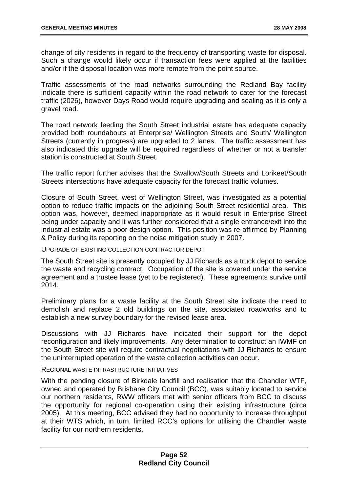change of city residents in regard to the frequency of transporting waste for disposal. Such a change would likely occur if transaction fees were applied at the facilities and/or if the disposal location was more remote from the point source.

Traffic assessments of the road networks surrounding the Redland Bay facility indicate there is sufficient capacity within the road network to cater for the forecast traffic (2026), however Days Road would require upgrading and sealing as it is only a gravel road.

The road network feeding the South Street industrial estate has adequate capacity provided both roundabouts at Enterprise/ Wellington Streets and South/ Wellington Streets (currently in progress) are upgraded to 2 lanes. The traffic assessment has also indicated this upgrade will be required regardless of whether or not a transfer station is constructed at South Street.

The traffic report further advises that the Swallow/South Streets and Lorikeet/South Streets intersections have adequate capacity for the forecast traffic volumes.

Closure of South Street, west of Wellington Street, was investigated as a potential option to reduce traffic impacts on the adjoining South Street residential area. This option was, however, deemed inappropriate as it would result in Enterprise Street being under capacity and it was further considered that a single entrance/exit into the industrial estate was a poor design option. This position was re-affirmed by Planning & Policy during its reporting on the noise mitigation study in 2007.

#### UPGRADE OF EXISTING COLLECTION CONTRACTOR DEPOT

The South Street site is presently occupied by JJ Richards as a truck depot to service the waste and recycling contract. Occupation of the site is covered under the service agreement and a trustee lease (yet to be registered). These agreements survive until 2014.

Preliminary plans for a waste facility at the South Street site indicate the need to demolish and replace 2 old buildings on the site, associated roadworks and to establish a new survey boundary for the revised lease area.

Discussions with JJ Richards have indicated their support for the depot reconfiguration and likely improvements. Any determination to construct an IWMF on the South Street site will require contractual negotiations with JJ Richards to ensure the uninterrupted operation of the waste collection activities can occur.

REGIONAL WASTE INFRASTRUCTURE INITIATIVES

With the pending closure of Birkdale landfill and realisation that the Chandler WTF, owned and operated by Brisbane City Council (BCC), was suitably located to service our northern residents, RWW officers met with senior officers from BCC to discuss the opportunity for regional co-operation using their existing infrastructure (circa 2005). At this meeting, BCC advised they had no opportunity to increase throughput at their WTS which, in turn, limited RCC's options for utilising the Chandler waste facility for our northern residents.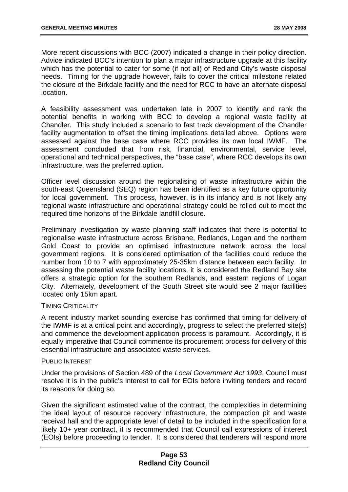More recent discussions with BCC (2007) indicated a change in their policy direction. Advice indicated BCC's intention to plan a major infrastructure upgrade at this facility which has the potential to cater for some (if not all) of Redland City's waste disposal needs. Timing for the upgrade however, fails to cover the critical milestone related the closure of the Birkdale facility and the need for RCC to have an alternate disposal location.

A feasibility assessment was undertaken late in 2007 to identify and rank the potential benefits in working with BCC to develop a regional waste facility at Chandler. This study included a scenario to fast track development of the Chandler facility augmentation to offset the timing implications detailed above. Options were assessed against the base case where RCC provides its own local IWMF. The assessment concluded that from risk, financial, environmental, service level, operational and technical perspectives, the "base case", where RCC develops its own infrastructure, was the preferred option.

Officer level discussion around the regionalising of waste infrastructure within the south-east Queensland (SEQ) region has been identified as a key future opportunity for local government. This process, however, is in its infancy and is not likely any regional waste infrastructure and operational strategy could be rolled out to meet the required time horizons of the Birkdale landfill closure.

Preliminary investigation by waste planning staff indicates that there is potential to regionalise waste infrastructure across Brisbane, Redlands, Logan and the northern Gold Coast to provide an optimised infrastructure network across the local government regions. It is considered optimisation of the facilities could reduce the number from 10 to 7 with approximately 25-35km distance between each facility. In assessing the potential waste facility locations, it is considered the Redland Bay site offers a strategic option for the southern Redlands, and eastern regions of Logan City. Alternately, development of the South Street site would see 2 major facilities located only 15km apart.

### TIMING CRITICALITY

A recent industry market sounding exercise has confirmed that timing for delivery of the IWMF is at a critical point and accordingly, progress to select the preferred site(s) and commence the development application process is paramount. Accordingly, it is equally imperative that Council commence its procurement process for delivery of this essential infrastructure and associated waste services.

#### PUBLIC INTEREST

Under the provisions of Section 489 of the *Local Government Act 1993*, Council must resolve it is in the public's interest to call for EOIs before inviting tenders and record its reasons for doing so.

Given the significant estimated value of the contract, the complexities in determining the ideal layout of resource recovery infrastructure, the compaction pit and waste receival hall and the appropriate level of detail to be included in the specification for a likely 10+ year contract, it is recommended that Council call expressions of interest (EOIs) before proceeding to tender. It is considered that tenderers will respond more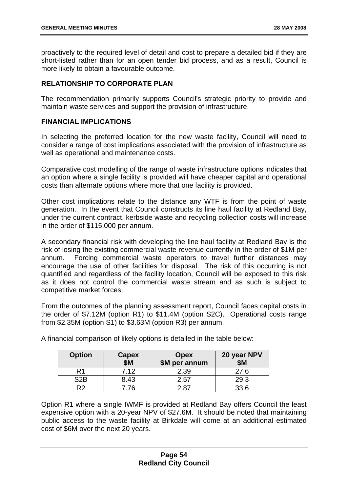proactively to the required level of detail and cost to prepare a detailed bid if they are short-listed rather than for an open tender bid process, and as a result, Council is more likely to obtain a favourable outcome.

## **RELATIONSHIP TO CORPORATE PLAN**

The recommendation primarily supports Council's strategic priority to provide and maintain waste services and support the provision of infrastructure.

### **FINANCIAL IMPLICATIONS**

In selecting the preferred location for the new waste facility, Council will need to consider a range of cost implications associated with the provision of infrastructure as well as operational and maintenance costs.

Comparative cost modelling of the range of waste infrastructure options indicates that an option where a single facility is provided will have cheaper capital and operational costs than alternate options where more that one facility is provided.

Other cost implications relate to the distance any WTF is from the point of waste generation. In the event that Council constructs its line haul facility at Redland Bay, under the current contract, kerbside waste and recycling collection costs will increase in the order of \$115,000 per annum.

A secondary financial risk with developing the line haul facility at Redland Bay is the risk of losing the existing commercial waste revenue currently in the order of \$1M per annum. Forcing commercial waste operators to travel further distances may encourage the use of other facilities for disposal. The risk of this occurring is not quantified and regardless of the facility location, Council will be exposed to this risk as it does not control the commercial waste stream and as such is subject to competitive market forces.

From the outcomes of the planning assessment report, Council faces capital costs in the order of \$7.12M (option R1) to \$11.4M (option S2C). Operational costs range from \$2.35M (option S1) to \$3.63M (option R3) per annum.

| <b>Option</b> | Capex<br>\$M | <b>Opex</b><br>\$M per annum | 20 year NPV<br><b>\$M</b> |
|---------------|--------------|------------------------------|---------------------------|
|               | 7.12         | 2.39                         | 27.6                      |
| S2R           | 8.43         | 2.57                         | 29.3                      |
| マク            | .76          | - 87                         |                           |

A financial comparison of likely options is detailed in the table below:

Option R1 where a single IWMF is provided at Redland Bay offers Council the least expensive option with a 20-year NPV of \$27.6M. It should be noted that maintaining public access to the waste facility at Birkdale will come at an additional estimated cost of \$6M over the next 20 years.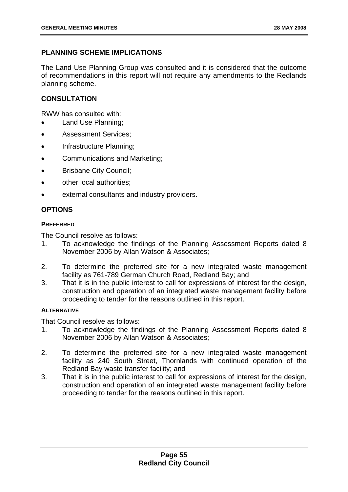# **PLANNING SCHEME IMPLICATIONS**

The Land Use Planning Group was consulted and it is considered that the outcome of recommendations in this report will not require any amendments to the Redlands planning scheme.

# **CONSULTATION**

RWW has consulted with:

- Land Use Planning;
- Assessment Services;
- Infrastructure Planning;
- Communications and Marketing;
- Brisbane City Council;
- other local authorities:
- external consultants and industry providers.

# **OPTIONS**

### **PREFERRED**

The Council resolve as follows:

- 1. To acknowledge the findings of the Planning Assessment Reports dated 8 November 2006 by Allan Watson & Associates;
- 2. To determine the preferred site for a new integrated waste management facility as 761-789 German Church Road, Redland Bay; and
- 3. That it is in the public interest to call for expressions of interest for the design, construction and operation of an integrated waste management facility before proceeding to tender for the reasons outlined in this report.

# **ALTERNATIVE**

That Council resolve as follows:

- 1. To acknowledge the findings of the Planning Assessment Reports dated 8 November 2006 by Allan Watson & Associates;
- 2. To determine the preferred site for a new integrated waste management facility as 240 South Street, Thornlands with continued operation of the Redland Bay waste transfer facility; and
- 3. That it is in the public interest to call for expressions of interest for the design, construction and operation of an integrated waste management facility before proceeding to tender for the reasons outlined in this report.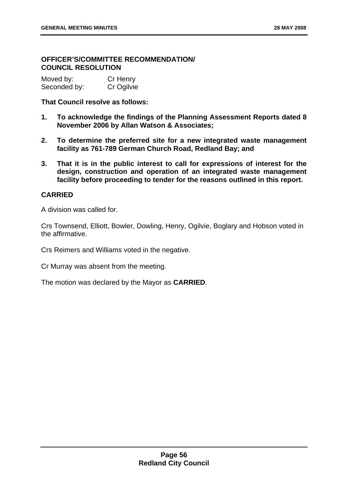# **OFFICER'S/COMMITTEE RECOMMENDATION/ COUNCIL RESOLUTION**

| Moved by:    | Cr Henry   |
|--------------|------------|
| Seconded by: | Cr Ogilvie |

### **That Council resolve as follows:**

- **1. To acknowledge the findings of the Planning Assessment Reports dated 8 November 2006 by Allan Watson & Associates;**
- **2. To determine the preferred site for a new integrated waste management facility as 761-789 German Church Road, Redland Bay; and**
- **3. That it is in the public interest to call for expressions of interest for the design, construction and operation of an integrated waste management facility before proceeding to tender for the reasons outlined in this report.**

# **CARRIED**

A division was called for.

Crs Townsend, Elliott, Bowler, Dowling, Henry, Ogilvie, Boglary and Hobson voted in the affirmative.

Crs Reimers and Williams voted in the negative.

Cr Murray was absent from the meeting.

The motion was declared by the Mayor as **CARRIED**.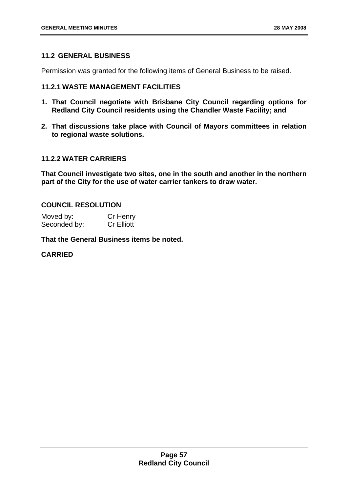### **11.2 GENERAL BUSINESS**

Permission was granted for the following items of General Business to be raised.

### **11.2.1 WASTE MANAGEMENT FACILITIES**

- **1. That Council negotiate with Brisbane City Council regarding options for Redland City Council residents using the Chandler Waste Facility; and**
- **2. That discussions take place with Council of Mayors committees in relation to regional waste solutions.**

### **11.2.2 WATER CARRIERS**

**That Council investigate two sites, one in the south and another in the northern part of the City for the use of water carrier tankers to draw water.** 

# **COUNCIL RESOLUTION**

| Moved by:    | Cr Henry          |
|--------------|-------------------|
| Seconded by: | <b>Cr Elliott</b> |

**That the General Business items be noted.** 

### **CARRIED**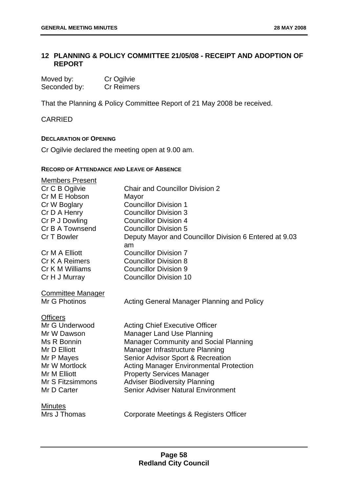# **12 PLANNING & POLICY COMMITTEE 21/05/08 - RECEIPT AND ADOPTION OF REPORT**

| Moved by:    | Cr Ogilvie        |
|--------------|-------------------|
| Seconded by: | <b>Cr Reimers</b> |

That the Planning & Policy Committee Report of 21 May 2008 be received.

CARRIED

#### **DECLARATION OF OPENING**

Cr Ogilvie declared the meeting open at 9.00 am.

#### **RECORD OF ATTENDANCE AND LEAVE OF ABSENCE**

| <b>Members Present</b>                    |                                                              |
|-------------------------------------------|--------------------------------------------------------------|
| Cr C B Ogilvie                            | <b>Chair and Councillor Division 2</b>                       |
| Cr M E Hobson                             | Mayor                                                        |
| Cr W Boglary                              | <b>Councillor Division 1</b>                                 |
| Cr D A Henry                              | <b>Councillor Division 3</b>                                 |
| Cr P J Dowling                            | <b>Councillor Division 4</b>                                 |
| Cr B A Townsend                           | <b>Councillor Division 5</b>                                 |
| Cr T Bowler                               | Deputy Mayor and Councillor Division 6 Entered at 9.03<br>am |
| Cr M A Elliott                            | <b>Councillor Division 7</b>                                 |
| Cr K A Reimers                            | <b>Councillor Division 8</b>                                 |
| Cr K M Williams                           | <b>Councillor Division 9</b>                                 |
| Cr H J Murray                             | <b>Councillor Division 10</b>                                |
| <b>Committee Manager</b><br>Mr G Photinos | Acting General Manager Planning and Policy                   |
| <b>Officers</b>                           |                                                              |
| Mr G Underwood                            | <b>Acting Chief Executive Officer</b>                        |
| Mr W Dawson                               | <b>Manager Land Use Planning</b>                             |
| Ms R Bonnin                               | <b>Manager Community and Social Planning</b>                 |
| Mr D Elliott                              | Manager Infrastructure Planning                              |
| Mr P Mayes                                | Senior Advisor Sport & Recreation                            |
| Mr W Mortlock                             | <b>Acting Manager Environmental Protection</b>               |
| Mr M Elliott                              | <b>Property Services Manager</b>                             |
| Mr S Fitzsimmons                          | <b>Adviser Biodiversity Planning</b>                         |
| Mr D Carter                               | Senior Adviser Natural Environment                           |
| <b>Minutes</b>                            |                                                              |
| Mrs J Thomas                              | Corporate Meetings & Registers Officer                       |
|                                           |                                                              |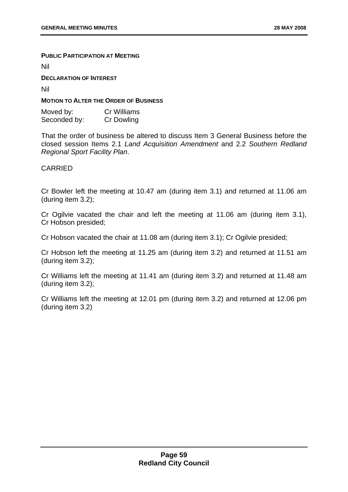#### **PUBLIC PARTICIPATION AT MEETING**

Nil

**DECLARATION OF INTEREST**

Nil

**MOTION TO ALTER THE ORDER OF BUSINESS**

| Moved by:    | <b>Cr Williams</b> |
|--------------|--------------------|
| Seconded by: | <b>Cr Dowling</b>  |

That the order of business be altered to discuss Item 3 General Business before the closed session Items 2.1 *Land Acquisition Amendment* and 2.2 *Southern Redland Regional Sport Facility Plan*.

### CARRIED

Cr Bowler left the meeting at 10.47 am (during item 3.1) and returned at 11.06 am (during item 3.2);

Cr Ogilvie vacated the chair and left the meeting at 11.06 am (during item 3.1), Cr Hobson presided;

Cr Hobson vacated the chair at 11.08 am (during item 3.1); Cr Ogilvie presided;

Cr Hobson left the meeting at 11.25 am (during item 3.2) and returned at 11.51 am (during item 3.2);

Cr Williams left the meeting at 11.41 am (during item 3.2) and returned at 11.48 am (during item 3.2);

Cr Williams left the meeting at 12.01 pm (during item 3.2) and returned at 12.06 pm (during item 3.2)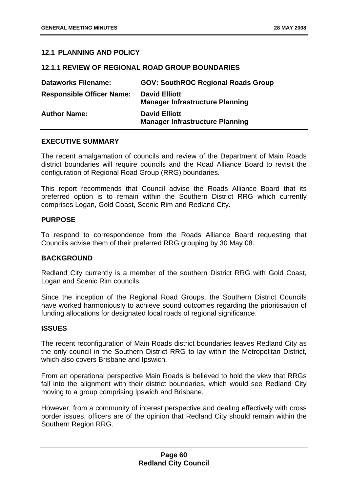# **12.1 PLANNING AND POLICY**

### **12.1.1 REVIEW OF REGIONAL ROAD GROUP BOUNDARIES**

| <b>Dataworks Filename:</b>       | <b>GOV: SouthROC Regional Roads Group</b>                      |
|----------------------------------|----------------------------------------------------------------|
| <b>Responsible Officer Name:</b> | <b>David Elliott</b><br><b>Manager Infrastructure Planning</b> |
| <b>Author Name:</b>              | <b>David Elliott</b><br><b>Manager Infrastructure Planning</b> |

#### **EXECUTIVE SUMMARY**

The recent amalgamation of councils and review of the Department of Main Roads district boundaries will require councils and the Road Alliance Board to revisit the configuration of Regional Road Group (RRG) boundaries.

This report recommends that Council advise the Roads Alliance Board that its preferred option is to remain within the Southern District RRG which currently comprises Logan, Gold Coast, Scenic Rim and Redland City.

### **PURPOSE**

To respond to correspondence from the Roads Alliance Board requesting that Councils advise them of their preferred RRG grouping by 30 May 08.

### **BACKGROUND**

Redland City currently is a member of the southern District RRG with Gold Coast, Logan and Scenic Rim councils.

Since the inception of the Regional Road Groups, the Southern District Councils have worked harmoniously to achieve sound outcomes regarding the prioritisation of funding allocations for designated local roads of regional significance.

### **ISSUES**

The recent reconfiguration of Main Roads district boundaries leaves Redland City as the only council in the Southern District RRG to lay within the Metropolitan District, which also covers Brisbane and Ipswich.

From an operational perspective Main Roads is believed to hold the view that RRGs fall into the alignment with their district boundaries, which would see Redland City moving to a group comprising Ipswich and Brisbane.

However, from a community of interest perspective and dealing effectively with cross border issues, officers are of the opinion that Redland City should remain within the Southern Region RRG.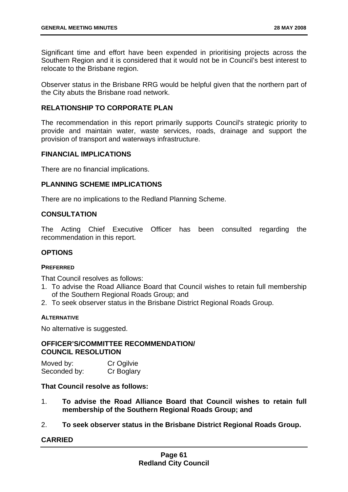Significant time and effort have been expended in prioritising projects across the Southern Region and it is considered that it would not be in Council's best interest to relocate to the Brisbane region.

Observer status in the Brisbane RRG would be helpful given that the northern part of the City abuts the Brisbane road network.

## **RELATIONSHIP TO CORPORATE PLAN**

The recommendation in this report primarily supports Council's strategic priority to provide and maintain water, waste services, roads, drainage and support the provision of transport and waterways infrastructure.

### **FINANCIAL IMPLICATIONS**

There are no financial implications.

### **PLANNING SCHEME IMPLICATIONS**

There are no implications to the Redland Planning Scheme.

### **CONSULTATION**

The Acting Chief Executive Officer has been consulted regarding the recommendation in this report.

### **OPTIONS**

### **PREFERRED**

That Council resolves as follows:

- 1. To advise the Road Alliance Board that Council wishes to retain full membership of the Southern Regional Roads Group; and
- 2. To seek observer status in the Brisbane District Regional Roads Group.

### **ALTERNATIVE**

No alternative is suggested.

### **OFFICER'S/COMMITTEE RECOMMENDATION/ COUNCIL RESOLUTION**

Moved by: Cr Ogilvie Seconded by: Cr Boglary

### **That Council resolve as follows:**

- 1. **To advise the Road Alliance Board that Council wishes to retain full membership of the Southern Regional Roads Group; and**
- 2. **To seek observer status in the Brisbane District Regional Roads Group.**

# **CARRIED**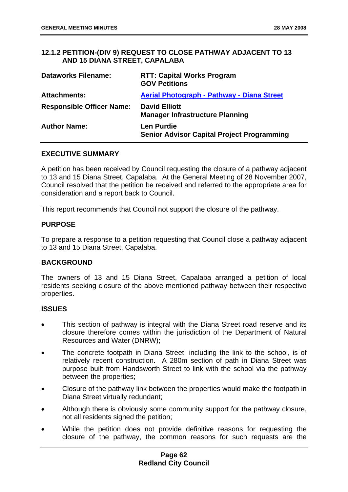### **12.1.2 PETITION-(DIV 9) REQUEST TO CLOSE PATHWAY ADJACENT TO 13 AND 15 DIANA STREET, CAPALABA**

| <b>Dataworks Filename:</b>       | <b>RTT: Capital Works Program</b><br><b>GOV Petitions</b>              |
|----------------------------------|------------------------------------------------------------------------|
| <b>Attachments:</b>              | <b>Aerial Photograph - Pathway - Diana Street</b>                      |
| <b>Responsible Officer Name:</b> | <b>David Elliott</b><br><b>Manager Infrastructure Planning</b>         |
| <b>Author Name:</b>              | <b>Len Purdie</b><br><b>Senior Advisor Capital Project Programming</b> |

### **EXECUTIVE SUMMARY**

A petition has been received by Council requesting the closure of a pathway adjacent to 13 and 15 Diana Street, Capalaba. At the General Meeting of 28 November 2007, Council resolved that the petition be received and referred to the appropriate area for consideration and a report back to Council.

This report recommends that Council not support the closure of the pathway.

#### **PURPOSE**

To prepare a response to a petition requesting that Council close a pathway adjacent to 13 and 15 Diana Street, Capalaba.

### **BACKGROUND**

The owners of 13 and 15 Diana Street, Capalaba arranged a petition of local residents seeking closure of the above mentioned pathway between their respective properties.

### **ISSUES**

- This section of pathway is integral with the Diana Street road reserve and its closure therefore comes within the jurisdiction of the Department of Natural Resources and Water (DNRW);
- The concrete footpath in Diana Street, including the link to the school, is of relatively recent construction. A 280m section of path in Diana Street was purpose built from Handsworth Street to link with the school via the pathway between the properties;
- Closure of the pathway link between the properties would make the footpath in Diana Street virtually redundant;
- Although there is obviously some community support for the pathway closure, not all residents signed the petition;
- While the petition does not provide definitive reasons for requesting the closure of the pathway, the common reasons for such requests are the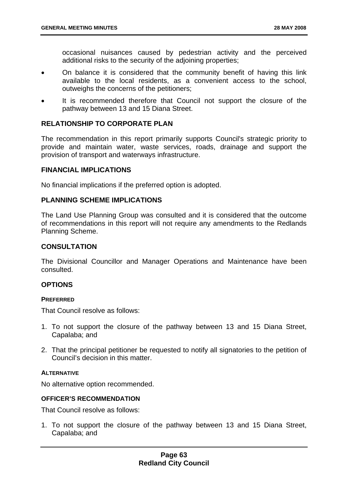occasional nuisances caused by pedestrian activity and the perceived additional risks to the security of the adjoining properties;

- On balance it is considered that the community benefit of having this link available to the local residents, as a convenient access to the school, outweighs the concerns of the petitioners;
- It is recommended therefore that Council not support the closure of the pathway between 13 and 15 Diana Street.

### **RELATIONSHIP TO CORPORATE PLAN**

The recommendation in this report primarily supports Council's strategic priority to provide and maintain water, waste services, roads, drainage and support the provision of transport and waterways infrastructure.

### **FINANCIAL IMPLICATIONS**

No financial implications if the preferred option is adopted.

### **PLANNING SCHEME IMPLICATIONS**

The Land Use Planning Group was consulted and it is considered that the outcome of recommendations in this report will not require any amendments to the Redlands Planning Scheme.

### **CONSULTATION**

The Divisional Councillor and Manager Operations and Maintenance have been consulted.

### **OPTIONS**

#### **PREFERRED**

That Council resolve as follows:

- 1. To not support the closure of the pathway between 13 and 15 Diana Street, Capalaba; and
- 2. That the principal petitioner be requested to notify all signatories to the petition of Council's decision in this matter.

### **ALTERNATIVE**

No alternative option recommended.

#### **OFFICER'S RECOMMENDATION**

That Council resolve as follows:

1. To not support the closure of the pathway between 13 and 15 Diana Street, Capalaba; and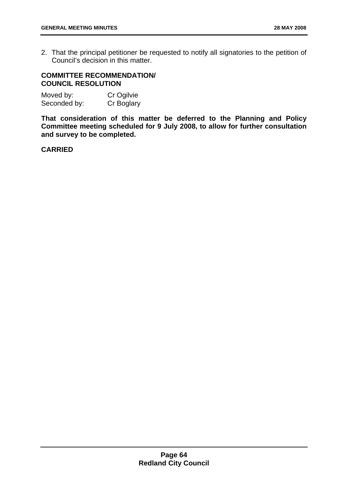2. That the principal petitioner be requested to notify all signatories to the petition of Council's decision in this matter.

# **COMMITTEE RECOMMENDATION/ COUNCIL RESOLUTION**

| Moved by:    | Cr Ogilvie |
|--------------|------------|
| Seconded by: | Cr Boglary |

**That consideration of this matter be deferred to the Planning and Policy Committee meeting scheduled for 9 July 2008, to allow for further consultation and survey to be completed.** 

### **CARRIED**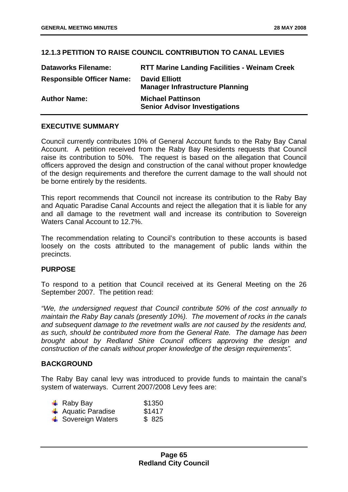# **12.1.3 PETITION TO RAISE COUNCIL CONTRIBUTION TO CANAL LEVIES**

| <b>Dataworks Filename:</b>       | <b>RTT Marine Landing Facilities - Weinam Creek</b>              |
|----------------------------------|------------------------------------------------------------------|
| <b>Responsible Officer Name:</b> | <b>David Elliott</b><br><b>Manager Infrastructure Planning</b>   |
| <b>Author Name:</b>              | <b>Michael Pattinson</b><br><b>Senior Advisor Investigations</b> |

### **EXECUTIVE SUMMARY**

Council currently contributes 10% of General Account funds to the Raby Bay Canal Account. A petition received from the Raby Bay Residents requests that Council raise its contribution to 50%. The request is based on the allegation that Council officers approved the design and construction of the canal without proper knowledge of the design requirements and therefore the current damage to the wall should not be borne entirely by the residents.

This report recommends that Council not increase its contribution to the Raby Bay and Aquatic Paradise Canal Accounts and reject the allegation that it is liable for any and all damage to the revetment wall and increase its contribution to Sovereign Waters Canal Account to 12.7%

The recommendation relating to Council's contribution to these accounts is based loosely on the costs attributed to the management of public lands within the precincts.

### **PURPOSE**

To respond to a petition that Council received at its General Meeting on the 26 September 2007. The petition read:

*"We, the undersigned request that Council contribute 50% of the cost annually to maintain the Raby Bay canals (presently 10%). The movement of rocks in the canals and subsequent damage to the revetment walls are not caused by the residents and, as such, should be contributed more from the General Rate. The damage has been brought about by Redland Shire Council officers approving the design and construction of the canals without proper knowledge of the design requirements".* 

### **BACKGROUND**

The Raby Bay canal levy was introduced to provide funds to maintain the canal's system of waterways. Current 2007/2008 Levy fees are:

| $\triangleq$ Raby Bay                     | \$1350 |
|-------------------------------------------|--------|
| $\overline{\phantom{a}}$ Aquatic Paradise | \$1417 |
| + Sovereign Waters                        | \$825  |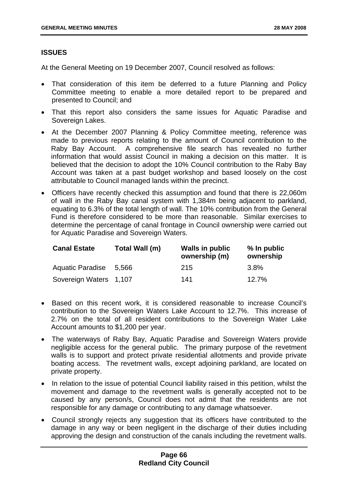# **ISSUES**

At the General Meeting on 19 December 2007, Council resolved as follows:

- That consideration of this item be deferred to a future Planning and Policy Committee meeting to enable a more detailed report to be prepared and presented to Council; and
- That this report also considers the same issues for Aquatic Paradise and Sovereign Lakes.
- At the December 2007 Planning & Policy Committee meeting, reference was made to previous reports relating to the amount of Council contribution to the Raby Bay Account. A comprehensive file search has revealed no further information that would assist Council in making a decision on this matter. It is believed that the decision to adopt the 10% Council contribution to the Raby Bay Account was taken at a past budget workshop and based loosely on the cost attributable to Council managed lands within the precinct.
- Officers have recently checked this assumption and found that there is 22,060m of wall in the Raby Bay canal system with 1,384m being adjacent to parkland, equating to 6.3% of the total length of wall. The 10% contribution from the General Fund is therefore considered to be more than reasonable. Similar exercises to determine the percentage of canal frontage in Council ownership were carried out for Aquatic Paradise and Sovereign Waters.

| <b>Canal Estate</b>     | Total Wall (m) | <b>Walls in public</b><br>ownership (m) | % In public<br>ownership |
|-------------------------|----------------|-----------------------------------------|--------------------------|
| <b>Aquatic Paradise</b> | 5.566          | 215                                     | 3.8%                     |
| Sovereign Waters 1,107  |                | 141                                     | 12.7%                    |

- Based on this recent work, it is considered reasonable to increase Council's contribution to the Sovereign Waters Lake Account to 12.7%. This increase of 2.7% on the total of all resident contributions to the Sovereign Water Lake Account amounts to \$1,200 per year.
- The waterways of Raby Bay, Aquatic Paradise and Sovereign Waters provide negligible access for the general public. The primary purpose of the revetment walls is to support and protect private residential allotments and provide private boating access. The revetment walls, except adjoining parkland, are located on private property.
- In relation to the issue of potential Council liability raised in this petition, whilst the movement and damage to the revetment walls is generally accepted not to be caused by any person/s, Council does not admit that the residents are not responsible for any damage or contributing to any damage whatsoever.
- Council strongly rejects any suggestion that its officers have contributed to the damage in any way or been negligent in the discharge of their duties including approving the design and construction of the canals including the revetment walls.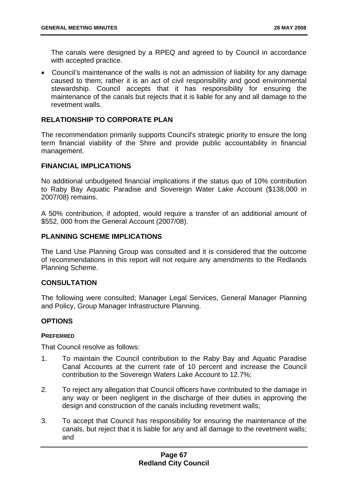The canals were designed by a RPEQ and agreed to by Council in accordance with accepted practice.

• Council's maintenance of the walls is not an admission of liability for any damage caused to them; rather it is an act of civil responsibility and good environmental stewardship. Council accepts that it has responsibility for ensuring the maintenance of the canals but rejects that it is liable for any and all damage to the revetment walls.

# **RELATIONSHIP TO CORPORATE PLAN**

The recommendation primarily supports Council's strategic priority to ensure the long term financial viability of the Shire and provide public accountability in financial management.

### **FINANCIAL IMPLICATIONS**

No additional unbudgeted financial implications if the status quo of 10% contribution to Raby Bay Aquatic Paradise and Sovereign Water Lake Account (\$138,000 in 2007/08) remains.

A 50% contribution, if adopted, would require a transfer of an additional amount of \$552, 000 from the General Account (2007/08).

### **PLANNING SCHEME IMPLICATIONS**

The Land Use Planning Group was consulted and it is considered that the outcome of recommendations in this report will not require any amendments to the Redlands Planning Scheme.

### **CONSULTATION**

The following were consulted; Manager Legal Services, General Manager Planning and Policy, Group Manager Infrastructure Planning.

### **OPTIONS**

#### **PREFERRED**

That Council resolve as follows:

- 1. To maintain the Council contribution to the Raby Bay and Aquatic Paradise Canal Accounts at the current rate of 10 percent and increase the Council contribution to the Sovereign Waters Lake Account to 12.7%;
- 2. To reject any allegation that Council officers have contributed to the damage in any way or been negligent in the discharge of their duties in approving the design and construction of the canals including revetment walls;
- 3. To accept that Council has responsibility for ensuring the maintenance of the canals, but reject that it is liable for any and all damage to the revetment walls; and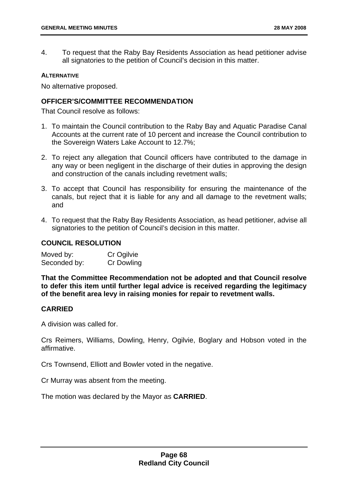4. To request that the Raby Bay Residents Association as head petitioner advise all signatories to the petition of Council's decision in this matter.

#### **ALTERNATIVE**

No alternative proposed.

### **OFFICER'S/COMMITTEE RECOMMENDATION**

That Council resolve as follows:

- 1. To maintain the Council contribution to the Raby Bay and Aquatic Paradise Canal Accounts at the current rate of 10 percent and increase the Council contribution to the Sovereign Waters Lake Account to 12.7%;
- 2. To reject any allegation that Council officers have contributed to the damage in any way or been negligent in the discharge of their duties in approving the design and construction of the canals including revetment walls;
- 3. To accept that Council has responsibility for ensuring the maintenance of the canals, but reject that it is liable for any and all damage to the revetment walls; and
- 4. To request that the Raby Bay Residents Association, as head petitioner, advise all signatories to the petition of Council's decision in this matter.

# **COUNCIL RESOLUTION**

| Moved by:    | Cr Ogilvie        |
|--------------|-------------------|
| Seconded by: | <b>Cr Dowling</b> |

**That the Committee Recommendation not be adopted and that Council resolve to defer this item until further legal advice is received regarding the legitimacy of the benefit area levy in raising monies for repair to revetment walls.** 

# **CARRIED**

A division was called for.

Crs Reimers, Williams, Dowling, Henry, Ogilvie, Boglary and Hobson voted in the affirmative.

Crs Townsend, Elliott and Bowler voted in the negative.

Cr Murray was absent from the meeting.

The motion was declared by the Mayor as **CARRIED**.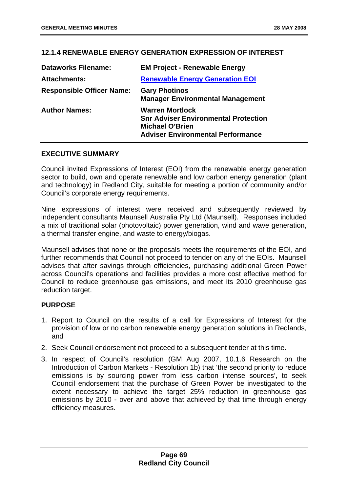# **12.1.4 RENEWABLE ENERGY GENERATION EXPRESSION OF INTEREST**

| <b>Dataworks Filename:</b>       | <b>EM Project - Renewable Energy</b>                                                                                                        |
|----------------------------------|---------------------------------------------------------------------------------------------------------------------------------------------|
| <b>Attachments:</b>              | <b>Renewable Energy Generation EOI</b>                                                                                                      |
| <b>Responsible Officer Name:</b> | <b>Gary Photinos</b><br><b>Manager Environmental Management</b>                                                                             |
| <b>Author Names:</b>             | <b>Warren Mortlock</b><br><b>Snr Adviser Environmental Protection</b><br><b>Michael O'Brien</b><br><b>Adviser Environmental Performance</b> |

# **EXECUTIVE SUMMARY**

Council invited Expressions of Interest (EOI) from the renewable energy generation sector to build, own and operate renewable and low carbon energy generation (plant and technology) in Redland City, suitable for meeting a portion of community and/or Council's corporate energy requirements.

Nine expressions of interest were received and subsequently reviewed by independent consultants Maunsell Australia Pty Ltd (Maunsell). Responses included a mix of traditional solar (photovoltaic) power generation, wind and wave generation, a thermal transfer engine, and waste to energy/biogas.

Maunsell advises that none or the proposals meets the requirements of the EOI, and further recommends that Council not proceed to tender on any of the EOIs. Maunsell advises that after savings through efficiencies, purchasing additional Green Power across Council's operations and facilities provides a more cost effective method for Council to reduce greenhouse gas emissions, and meet its 2010 greenhouse gas reduction target.

# **PURPOSE**

- 1. Report to Council on the results of a call for Expressions of Interest for the provision of low or no carbon renewable energy generation solutions in Redlands, and
- 2. Seek Council endorsement not proceed to a subsequent tender at this time.
- 3. In respect of Council's resolution (GM Aug 2007, 10.1.6 Research on the Introduction of Carbon Markets - Resolution 1b) that 'the second priority to reduce emissions is by sourcing power from less carbon intense sources', to seek Council endorsement that the purchase of Green Power be investigated to the extent necessary to achieve the target 25% reduction in greenhouse gas emissions by 2010 - over and above that achieved by that time through energy efficiency measures.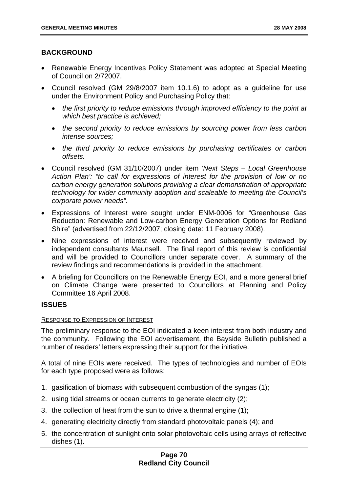# **BACKGROUND**

- Renewable Energy Incentives Policy Statement was adopted at Special Meeting of Council on 2/72007.
- Council resolved (GM 29/8/2007 item 10.1.6) to adopt as a guideline for use under the Environment Policy and Purchasing Policy that:
	- *the first priority to reduce emissions through improved efficiency to the point at which best practice is achieved;*
	- *the second priority to reduce emissions by sourcing power from less carbon intense sources;*
	- *the third priority to reduce emissions by purchasing certificates or carbon offsets.*
- Council resolved (GM 31/10/2007) under item *'Next Steps Local Greenhouse Action Plan': "to call for expressions of interest for the provision of low or no carbon energy generation solutions providing a clear demonstration of appropriate technology for wider community adoption and scaleable to meeting the Council's corporate power needs".*
- Expressions of Interest were sought under ENM-0006 for "Greenhouse Gas Reduction: Renewable and Low-carbon Energy Generation Options for Redland Shire" (advertised from 22/12/2007; closing date: 11 February 2008).
- Nine expressions of interest were received and subsequently reviewed by independent consultants Maunsell. The final report of this review is confidential and will be provided to Councillors under separate cover. A summary of the review findings and recommendations is provided in the attachment.
- A briefing for Councillors on the Renewable Energy EOI, and a more general brief on Climate Change were presented to Councillors at Planning and Policy Committee 16 April 2008.

### **ISSUES**

### RESPONSE TO EXPRESSION OF INTEREST

The preliminary response to the EOI indicated a keen interest from both industry and the community. Following the EOI advertisement, the Bayside Bulletin published a number of readers' letters expressing their support for the initiative.

A total of nine EOIs were received. The types of technologies and number of EOIs for each type proposed were as follows:

- 1. gasification of biomass with subsequent combustion of the syngas (1);
- 2. using tidal streams or ocean currents to generate electricity (2);
- 3. the collection of heat from the sun to drive a thermal engine (1);
- 4. generating electricity directly from standard photovoltaic panels (4); and
- 5. the concentration of sunlight onto solar photovoltaic cells using arrays of reflective dishes (1).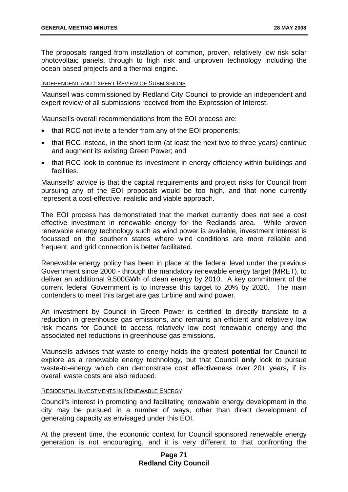The proposals ranged from installation of common, proven, relatively low risk solar photovoltaic panels, through to high risk and unproven technology including the ocean based projects and a thermal engine.

#### INDEPENDENT AND EXPERT REVIEW OF SUBMISSIONS

Maunsell was commissioned by Redland City Council to provide an independent and expert review of all submissions received from the Expression of Interest.

Maunsell's overall recommendations from the EOI process are:

- that RCC not invite a tender from any of the EOI proponents;
- that RCC instead, in the short term (at least the next two to three years) continue and augment its existing Green Power; and
- that RCC look to continue its investment in energy efficiency within buildings and facilities.

Maunsells' advice is that the capital requirements and project risks for Council from pursuing any of the EOI proposals would be too high, and that none currently represent a cost-effective, realistic and viable approach.

The EOI process has demonstrated that the market currently does not see a cost effective investment in renewable energy for the Redlands area. While proven renewable energy technology such as wind power is available, investment interest is focussed on the southern states where wind conditions are more reliable and frequent, and grid connection is better facilitated.

Renewable energy policy has been in place at the federal level under the previous Government since 2000 - through the mandatory renewable energy target (MRET), to deliver an additional 9,500GWh of clean energy by 2010. A key commitment of the current federal Government is to increase this target to 20% by 2020. The main contenders to meet this target are gas turbine and wind power.

An investment by Council in Green Power is certified to directly translate to a reduction in greenhouse gas emissions, and remains an efficient and relatively low risk means for Council to access relatively low cost renewable energy and the associated net reductions in greenhouse gas emissions.

Maunsells advises that waste to energy holds the greatest **potential** for Council to explore as a renewable energy technology, but that Council **only** look to pursue waste-to-energy which can demonstrate cost effectiveness over 20+ years**,** if its overall waste costs are also reduced.

#### RESIDENTIAL INVESTMENTS IN RENEWABLE ENERGY

Council's interest in promoting and facilitating renewable energy development in the city may be pursued in a number of ways, other than direct development of generating capacity as envisaged under this EOI.

At the present time, the economic context for Council sponsored renewable energy generation is not encouraging, and it is very different to that confronting the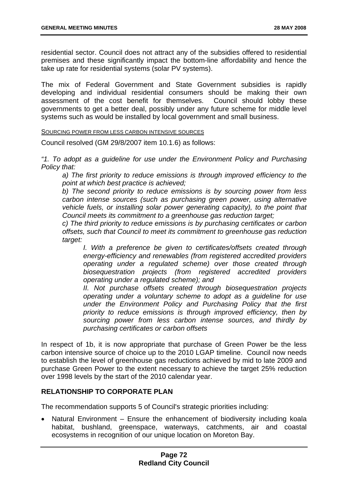residential sector. Council does not attract any of the subsidies offered to residential premises and these significantly impact the bottom-line affordability and hence the take up rate for residential systems (solar PV systems).

The mix of Federal Government and State Government subsidies is rapidly developing and individual residential consumers should be making their own assessment of the cost benefit for themselves. Council should lobby these governments to get a better deal, possibly under any future scheme for middle level systems such as would be installed by local government and small business.

#### SOURCING POWER FROM LESS CARBON INTENSIVE SOURCES

Council resolved (GM 29/8/2007 item 10.1.6) as follows:

*"1. To adopt as a guideline for use under the Environment Policy and Purchasing Policy that:* 

*a) The first priority to reduce emissions is through improved efficiency to the point at which best practice is achieved;* 

*b) The second priority to reduce emissions is by sourcing power from less carbon intense sources (such as purchasing green power, using alternative vehicle fuels, or installing solar power generating capacity), to the point that Council meets its commitment to a greenhouse gas reduction target;* 

*c) The third priority to reduce emissions is by purchasing certificates or carbon offsets, such that Council to meet its commitment to greenhouse gas reduction target:* 

*I.* With a preference be given to certificates/offsets created through *energy-efficiency and renewables (from registered accredited providers operating under a regulated scheme) over those created through biosequestration projects (from registered accredited providers operating under a regulated scheme); and* 

*II. Not purchase offsets created through biosequestration projects operating under a voluntary scheme to adopt as a guideline for use under the Environment Policy and Purchasing Policy that the first priority to reduce emissions is through improved efficiency, then by sourcing power from less carbon intense sources, and thirdly by purchasing certificates or carbon offsets* 

In respect of 1b, it is now appropriate that purchase of Green Power be the less carbon intensive source of choice up to the 2010 LGAP timeline. Council now needs to establish the level of greenhouse gas reductions achieved by mid to late 2009 and purchase Green Power to the extent necessary to achieve the target 25% reduction over 1998 levels by the start of the 2010 calendar year.

# **RELATIONSHIP TO CORPORATE PLAN**

The recommendation supports 5 of Council's strategic priorities including:

• Natural Environment – Ensure the enhancement of biodiversity including koala habitat, bushland, greenspace, waterways, catchments, air and coastal ecosystems in recognition of our unique location on Moreton Bay.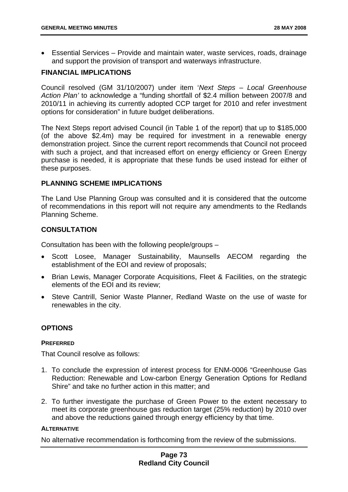• Essential Services – Provide and maintain water, waste services, roads, drainage and support the provision of transport and waterways infrastructure.

## **FINANCIAL IMPLICATIONS**

Council resolved (GM 31/10/2007) under item '*Next Steps – Local Greenhouse Action Plan'* to acknowledge a "funding shortfall of \$2.4 million between 2007/8 and 2010/11 in achieving its currently adopted CCP target for 2010 and refer investment options for consideration" in future budget deliberations.

The Next Steps report advised Council (in Table 1 of the report) that up to \$185,000 (of the above \$2.4m) may be required for investment in a renewable energy demonstration project. Since the current report recommends that Council not proceed with such a project, and that increased effort on energy efficiency or Green Energy purchase is needed, it is appropriate that these funds be used instead for either of these purposes.

# **PLANNING SCHEME IMPLICATIONS**

The Land Use Planning Group was consulted and it is considered that the outcome of recommendations in this report will not require any amendments to the Redlands Planning Scheme.

# **CONSULTATION**

Consultation has been with the following people/groups –

- Scott Losee, Manager Sustainability, Maunsells AECOM regarding the establishment of the EOI and review of proposals;
- Brian Lewis, Manager Corporate Acquisitions, Fleet & Facilities, on the strategic elements of the EOI and its review;
- Steve Cantrill, Senior Waste Planner, Redland Waste on the use of waste for renewables in the city.

# **OPTIONS**

### **PREFERRED**

That Council resolve as follows:

- 1. To conclude the expression of interest process for ENM-0006 "Greenhouse Gas Reduction: Renewable and Low-carbon Energy Generation Options for Redland Shire" and take no further action in this matter; and
- 2. To further investigate the purchase of Green Power to the extent necessary to meet its corporate greenhouse gas reduction target (25% reduction) by 2010 over and above the reductions gained through energy efficiency by that time.

#### **ALTERNATIVE**

No alternative recommendation is forthcoming from the review of the submissions.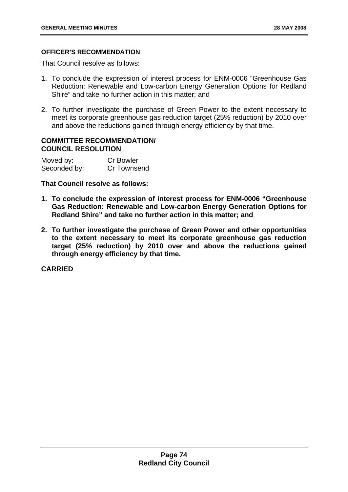### **OFFICER'S RECOMMENDATION**

That Council resolve as follows:

- 1. To conclude the expression of interest process for ENM-0006 "Greenhouse Gas Reduction: Renewable and Low-carbon Energy Generation Options for Redland Shire" and take no further action in this matter; and
- 2. To further investigate the purchase of Green Power to the extent necessary to meet its corporate greenhouse gas reduction target (25% reduction) by 2010 over and above the reductions gained through energy efficiency by that time.

### **COMMITTEE RECOMMENDATION/ COUNCIL RESOLUTION**

| Moved by:    | <b>Cr Bowler</b> |
|--------------|------------------|
| Seconded by: | Cr Townsend      |

### **That Council resolve as follows:**

- **1. To conclude the expression of interest process for ENM-0006 "Greenhouse Gas Reduction: Renewable and Low-carbon Energy Generation Options for Redland Shire" and take no further action in this matter; and**
- **2. To further investigate the purchase of Green Power and other opportunities to the extent necessary to meet its corporate greenhouse gas reduction target (25% reduction) by 2010 over and above the reductions gained through energy efficiency by that time.**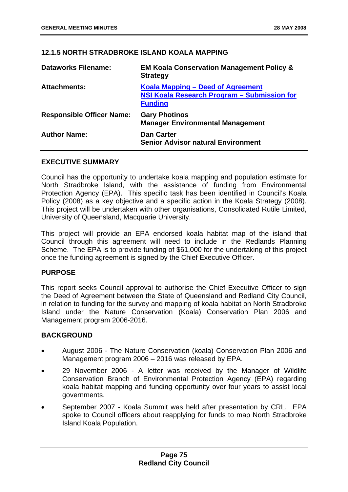# **12.1.5 NORTH STRADBROKE ISLAND KOALA MAPPING**

| <b>Dataworks Filename:</b>       | <b>EM Koala Conservation Management Policy &amp;</b><br><b>Strategy</b>                            |
|----------------------------------|----------------------------------------------------------------------------------------------------|
| <b>Attachments:</b>              | Koala Mapping - Deed of Agreement<br>NSI Koala Research Program - Submission for<br><b>Funding</b> |
| <b>Responsible Officer Name:</b> | <b>Gary Photinos</b><br><b>Manager Environmental Management</b>                                    |
| <b>Author Name:</b>              | <b>Dan Carter</b><br><b>Senior Advisor natural Environment</b>                                     |

### **EXECUTIVE SUMMARY**

Council has the opportunity to undertake koala mapping and population estimate for North Stradbroke Island, with the assistance of funding from Environmental Protection Agency (EPA). This specific task has been identified in Council's Koala Policy (2008) as a key objective and a specific action in the Koala Strategy (2008). This project will be undertaken with other organisations, Consolidated Rutile Limited, University of Queensland, Macquarie University.

This project will provide an EPA endorsed koala habitat map of the island that Council through this agreement will need to include in the Redlands Planning Scheme. The EPA is to provide funding of \$61,000 for the undertaking of this project once the funding agreement is signed by the Chief Executive Officer.

# **PURPOSE**

This report seeks Council approval to authorise the Chief Executive Officer to sign the Deed of Agreement between the State of Queensland and Redland City Council, in relation to funding for the survey and mapping of koala habitat on North Stradbroke Island under the Nature Conservation (Koala) Conservation Plan 2006 and Management program 2006-2016.

# **BACKGROUND**

- August 2006 The Nature Conservation (koala) Conservation Plan 2006 and Management program 2006 – 2016 was released by EPA.
- 29 November 2006 A letter was received by the Manager of Wildlife Conservation Branch of Environmental Protection Agency (EPA) regarding koala habitat mapping and funding opportunity over four years to assist local governments.
- September 2007 Koala Summit was held after presentation by CRL. EPA spoke to Council officers about reapplying for funds to map North Stradbroke Island Koala Population.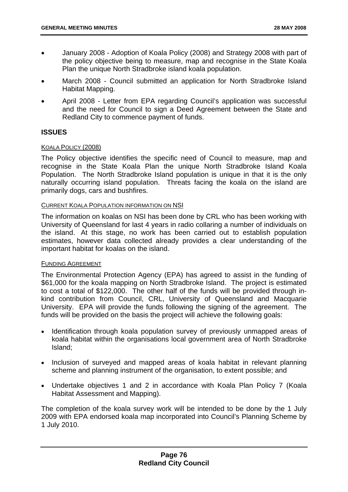- January 2008 Adoption of Koala Policy (2008) and Strategy 2008 with part of the policy objective being to measure, map and recognise in the State Koala Plan the unique North Stradbroke island koala population.
- March 2008 Council submitted an application for North Stradbroke Island Habitat Mapping.
- April 2008 Letter from EPA regarding Council's application was successful and the need for Council to sign a Deed Agreement between the State and Redland City to commence payment of funds.

## **ISSUES**

### KOALA POLICY (2008)

The Policy objective identifies the specific need of Council to measure, map and recognise in the State Koala Plan the unique North Stradbroke Island Koala Population. The North Stradbroke Island population is unique in that it is the only naturally occurring island population. Threats facing the koala on the island are primarily dogs, cars and bushfires.

#### CURRENT KOALA POPULATION INFORMATION ON NSI

The information on koalas on NSI has been done by CRL who has been working with University of Queensland for last 4 years in radio collaring a number of individuals on the island. At this stage, no work has been carried out to establish population estimates, however data collected already provides a clear understanding of the important habitat for koalas on the island.

### FUNDING AGREEMENT

The Environmental Protection Agency (EPA) has agreed to assist in the funding of \$61,000 for the koala mapping on North Stradbroke Island. The project is estimated to cost a total of \$122,000. The other half of the funds will be provided through inkind contribution from Council, CRL, University of Queensland and Macquarie University. EPA will provide the funds following the signing of the agreement. The funds will be provided on the basis the project will achieve the following goals:

- Identification through koala population survey of previously unmapped areas of koala habitat within the organisations local government area of North Stradbroke Island;
- Inclusion of surveyed and mapped areas of koala habitat in relevant planning scheme and planning instrument of the organisation, to extent possible; and
- Undertake objectives 1 and 2 in accordance with Koala Plan Policy 7 (Koala Habitat Assessment and Mapping).

The completion of the koala survey work will be intended to be done by the 1 July 2009 with EPA endorsed koala map incorporated into Council's Planning Scheme by 1 July 2010.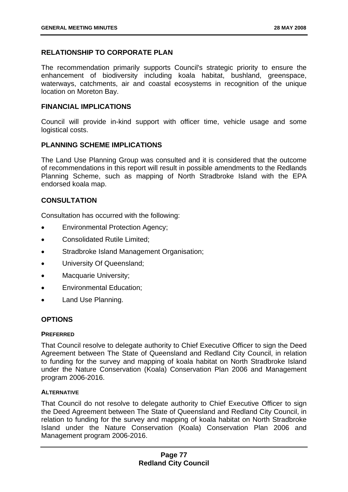# **RELATIONSHIP TO CORPORATE PLAN**

The recommendation primarily supports Council's strategic priority to ensure the enhancement of biodiversity including koala habitat, bushland, greenspace, waterways, catchments, air and coastal ecosystems in recognition of the unique location on Moreton Bay.

### **FINANCIAL IMPLICATIONS**

Council will provide in-kind support with officer time, vehicle usage and some logistical costs.

## **PLANNING SCHEME IMPLICATIONS**

The Land Use Planning Group was consulted and it is considered that the outcome of recommendations in this report will result in possible amendments to the Redlands Planning Scheme, such as mapping of North Stradbroke Island with the EPA endorsed koala map.

# **CONSULTATION**

Consultation has occurred with the following:

- Environmental Protection Agency;
- Consolidated Rutile Limited;
- Stradbroke Island Management Organisation;
- University Of Queensland;
- Macquarie University;
- Environmental Education;
- Land Use Planning.

### **OPTIONS**

#### **PREFERRED**

That Council resolve to delegate authority to Chief Executive Officer to sign the Deed Agreement between The State of Queensland and Redland City Council, in relation to funding for the survey and mapping of koala habitat on North Stradbroke Island under the Nature Conservation (Koala) Conservation Plan 2006 and Management program 2006-2016.

#### **ALTERNATIVE**

That Council do not resolve to delegate authority to Chief Executive Officer to sign the Deed Agreement between The State of Queensland and Redland City Council, in relation to funding for the survey and mapping of koala habitat on North Stradbroke Island under the Nature Conservation (Koala) Conservation Plan 2006 and Management program 2006-2016.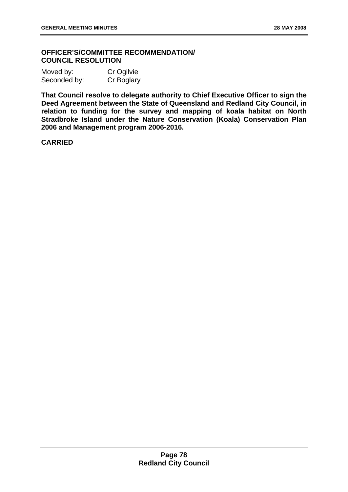### **OFFICER'S/COMMITTEE RECOMMENDATION/ COUNCIL RESOLUTION**

| Moved by:    | Cr Ogilvie |
|--------------|------------|
| Seconded by: | Cr Boglary |

**That Council resolve to delegate authority to Chief Executive Officer to sign the Deed Agreement between the State of Queensland and Redland City Council, in relation to funding for the survey and mapping of koala habitat on North Stradbroke Island under the Nature Conservation (Koala) Conservation Plan 2006 and Management program 2006-2016.**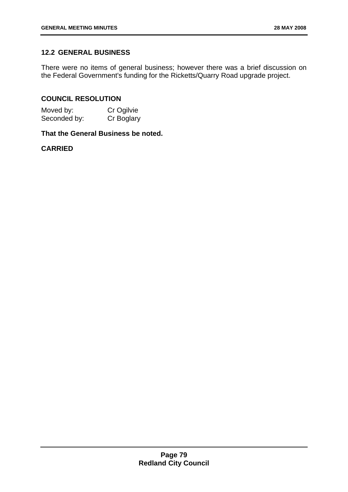# **12.2 GENERAL BUSINESS**

There were no items of general business; however there was a brief discussion on the Federal Government's funding for the Ricketts/Quarry Road upgrade project.

# **COUNCIL RESOLUTION**

Moved by: Cr Ogilvie Seconded by: Cr Boglary

**That the General Business be noted.**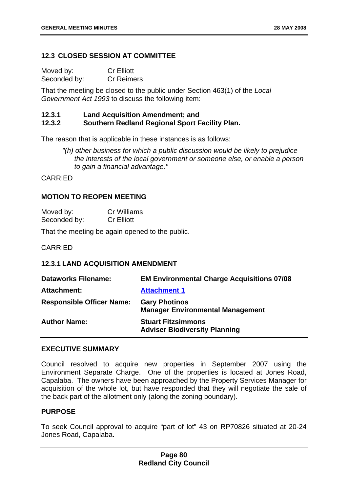## **12.3 CLOSED SESSION AT COMMITTEE**

Moved by: Cr Elliott Seconded by: Cr Reimers

That the meeting be closed to the public under Section 463(1) of the *Local Government Act 1993* to discuss the following item:

### **12.3.1 Land Acquisition Amendment; and**

# **12.3.2 Southern Redland Regional Sport Facility Plan.**

The reason that is applicable in these instances is as follows:

*"(h) other business for which a public discussion would be likely to prejudice the interests of the local government or someone else, or enable a person to gain a financial advantage."* 

CARRIED

### **MOTION TO REOPEN MEETING**

| Moved by:    | <b>Cr Williams</b> |
|--------------|--------------------|
| Seconded by: | <b>Cr Elliott</b>  |

That the meeting be again opened to the public.

CARRIED

# **12.3.1 LAND ACQUISITION AMENDMENT**

| <b>Dataworks Filename:</b>       | <b>EM Environmental Charge Acquisitions 07/08</b>                 |
|----------------------------------|-------------------------------------------------------------------|
| Attachment:                      | <b>Attachment 1</b>                                               |
| <b>Responsible Officer Name:</b> | <b>Gary Photinos</b><br><b>Manager Environmental Management</b>   |
| <b>Author Name:</b>              | <b>Stuart Fitzsimmons</b><br><b>Adviser Biodiversity Planning</b> |

#### **EXECUTIVE SUMMARY**

Council resolved to acquire new properties in September 2007 using the Environment Separate Charge. One of the properties is located at Jones Road, Capalaba. The owners have been approached by the Property Services Manager for acquisition of the whole lot, but have responded that they will negotiate the sale of the back part of the allotment only (along the zoning boundary).

### **PURPOSE**

To seek Council approval to acquire "part of lot" 43 on RP70826 situated at 20-24 Jones Road, Capalaba.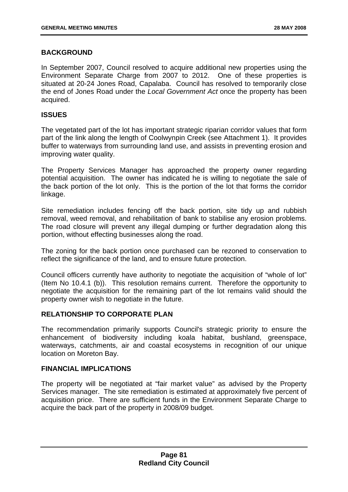# **BACKGROUND**

In September 2007, Council resolved to acquire additional new properties using the Environment Separate Charge from 2007 to 2012. One of these properties is situated at 20-24 Jones Road, Capalaba. Council has resolved to temporarily close the end of Jones Road under the *Local Government Act* once the property has been acquired.

### **ISSUES**

The vegetated part of the lot has important strategic riparian corridor values that form part of the link along the length of Coolwynpin Creek (see Attachment 1). It provides buffer to waterways from surrounding land use, and assists in preventing erosion and improving water quality.

The Property Services Manager has approached the property owner regarding potential acquisition. The owner has indicated he is willing to negotiate the sale of the back portion of the lot only. This is the portion of the lot that forms the corridor linkage.

Site remediation includes fencing off the back portion, site tidy up and rubbish removal, weed removal, and rehabilitation of bank to stabilise any erosion problems. The road closure will prevent any illegal dumping or further degradation along this portion, without effecting businesses along the road.

The zoning for the back portion once purchased can be rezoned to conservation to reflect the significance of the land, and to ensure future protection.

Council officers currently have authority to negotiate the acquisition of "whole of lot" (Item No 10.4.1 (b)). This resolution remains current. Therefore the opportunity to negotiate the acquisition for the remaining part of the lot remains valid should the property owner wish to negotiate in the future.

# **RELATIONSHIP TO CORPORATE PLAN**

The recommendation primarily supports Council's strategic priority to ensure the enhancement of biodiversity including koala habitat, bushland, greenspace, waterways, catchments, air and coastal ecosystems in recognition of our unique location on Moreton Bay.

# **FINANCIAL IMPLICATIONS**

The property will be negotiated at "fair market value" as advised by the Property Services manager. The site remediation is estimated at approximately five percent of acquisition price. There are sufficient funds in the Environment Separate Charge to acquire the back part of the property in 2008/09 budget.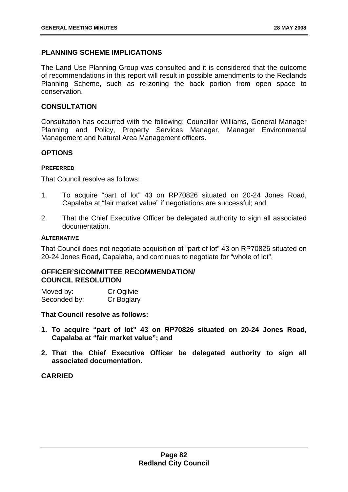# **PLANNING SCHEME IMPLICATIONS**

The Land Use Planning Group was consulted and it is considered that the outcome of recommendations in this report will result in possible amendments to the Redlands Planning Scheme, such as re-zoning the back portion from open space to conservation.

### **CONSULTATION**

Consultation has occurred with the following: Councillor Williams, General Manager Planning and Policy, Property Services Manager, Manager Environmental Management and Natural Area Management officers.

### **OPTIONS**

#### **PREFERRED**

That Council resolve as follows:

- 1. To acquire "part of lot" 43 on RP70826 situated on 20-24 Jones Road, Capalaba at "fair market value" if negotiations are successful; and
- 2. That the Chief Executive Officer be delegated authority to sign all associated documentation.

#### **ALTERNATIVE**

That Council does not negotiate acquisition of "part of lot" 43 on RP70826 situated on 20-24 Jones Road, Capalaba, and continues to negotiate for "whole of lot".

# **OFFICER'S/COMMITTEE RECOMMENDATION/ COUNCIL RESOLUTION**

| Moved by:    | Cr Ogilvie |
|--------------|------------|
| Seconded by: | Cr Boglary |

**That Council resolve as follows:** 

- **1. To acquire "part of lot" 43 on RP70826 situated on 20-24 Jones Road, Capalaba at "fair market value"; and**
- **2. That the Chief Executive Officer be delegated authority to sign all associated documentation.**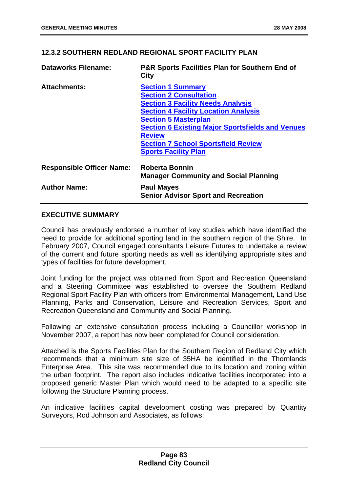# **12.3.2 SOUTHERN REDLAND REGIONAL SPORT FACILITY PLAN**

| <b>Dataworks Filename:</b>       | <b>P&amp;R Sports Facilities Plan for Southern End of</b><br>City                                                                                                                                                                                                                                                                            |
|----------------------------------|----------------------------------------------------------------------------------------------------------------------------------------------------------------------------------------------------------------------------------------------------------------------------------------------------------------------------------------------|
| <b>Attachments:</b>              | <b>Section 1 Summary</b><br><b>Section 2 Consultation</b><br><b>Section 3 Facility Needs Analysis</b><br><b>Section 4 Facility Location Analysis</b><br><b>Section 5 Masterplan</b><br><b>Section 6 Existing Major Sportsfields and Venues</b><br><b>Review</b><br><b>Section 7 School Sportsfield Review</b><br><b>Sports Facility Plan</b> |
| <b>Responsible Officer Name:</b> | <b>Roberta Bonnin</b><br><b>Manager Community and Social Planning</b>                                                                                                                                                                                                                                                                        |
| <b>Author Name:</b>              | <b>Paul Mayes</b><br><b>Senior Advisor Sport and Recreation</b>                                                                                                                                                                                                                                                                              |

## **EXECUTIVE SUMMARY**

Council has previously endorsed a number of key studies which have identified the need to provide for additional sporting land in the southern region of the Shire. In February 2007, Council engaged consultants Leisure Futures to undertake a review of the current and future sporting needs as well as identifying appropriate sites and types of facilities for future development.

Joint funding for the project was obtained from Sport and Recreation Queensland and a Steering Committee was established to oversee the Southern Redland Regional Sport Facility Plan with officers from Environmental Management, Land Use Planning, Parks and Conservation, Leisure and Recreation Services, Sport and Recreation Queensland and Community and Social Planning.

Following an extensive consultation process including a Councillor workshop in November 2007, a report has now been completed for Council consideration.

Attached is the Sports Facilities Plan for the Southern Region of Redland City which recommends that a minimum site size of 35HA be identified in the Thornlands Enterprise Area. This site was recommended due to its location and zoning within the urban footprint. The report also includes indicative facilities incorporated into a proposed generic Master Plan which would need to be adapted to a specific site following the Structure Planning process.

An indicative facilities capital development costing was prepared by Quantity Surveyors, Rod Johnson and Associates, as follows: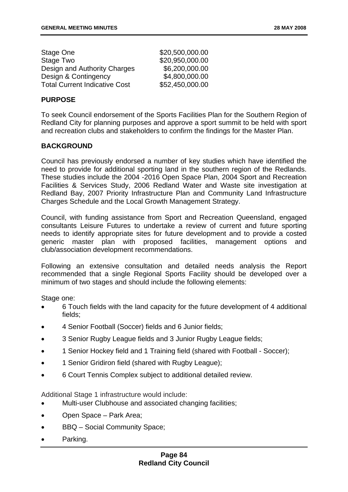| Stage One                            | \$20,500,000.00 |
|--------------------------------------|-----------------|
| Stage Two                            | \$20,950,000.00 |
| Design and Authority Charges         | \$6,200,000.00  |
| Design & Contingency                 | \$4,800,000.00  |
| <b>Total Current Indicative Cost</b> | \$52,450,000.00 |

### **PURPOSE**

To seek Council endorsement of the Sports Facilities Plan for the Southern Region of Redland City for planning purposes and approve a sport summit to be held with sport and recreation clubs and stakeholders to confirm the findings for the Master Plan.

## **BACKGROUND**

Council has previously endorsed a number of key studies which have identified the need to provide for additional sporting land in the southern region of the Redlands. These studies include the 2004 -2016 Open Space Plan, 2004 Sport and Recreation Facilities & Services Study, 2006 Redland Water and Waste site investigation at Redland Bay, 2007 Priority Infrastructure Plan and Community Land Infrastructure Charges Schedule and the Local Growth Management Strategy.

Council, with funding assistance from Sport and Recreation Queensland, engaged consultants Leisure Futures to undertake a review of current and future sporting needs to identify appropriate sites for future development and to provide a costed generic master plan with proposed facilities, management options and club/association development recommendations.

Following an extensive consultation and detailed needs analysis the Report recommended that a single Regional Sports Facility should be developed over a minimum of two stages and should include the following elements:

Stage one:

- 6 Touch fields with the land capacity for the future development of 4 additional fields;
- 4 Senior Football (Soccer) fields and 6 Junior fields;
- 3 Senior Rugby League fields and 3 Junior Rugby League fields;
- 1 Senior Hockey field and 1 Training field (shared with Football Soccer):
- 1 Senior Gridiron field (shared with Rugby League);
- 6 Court Tennis Complex subject to additional detailed review.

Additional Stage 1 infrastructure would include:

- Multi-user Clubhouse and associated changing facilities;
- Open Space Park Area;
- BBQ Social Community Space;
- Parking.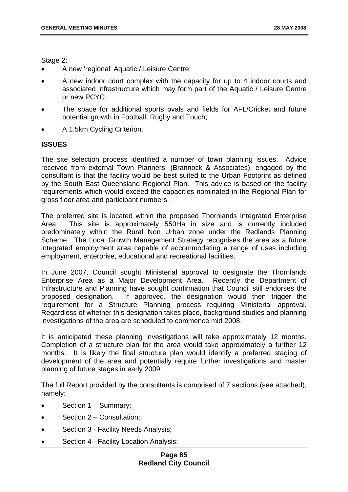Stage 2:

- A new 'regional' Aquatic / Leisure Centre;
- A new indoor court complex with the capacity for up to 4 indoor courts and associated infrastructure which may form part of the Aquatic / Leisure Centre or new PCYC;
- The space for additional sports ovals and fields for AFL/Cricket and future potential growth in Football, Rugby and Touch;
- A 1.5km Cycling Criterion.

### **ISSUES**

The site selection process identified a number of town planning issues. Advice received from external Town Planners, (Brannock & Associates), engaged by the consultant is that the facility would be best suited to the Urban Footprint as defined by the South East Queensland Regional Plan. This advice is based on the facility requirements which would exceed the capacities nominated in the Regional Plan for gross floor area and participant numbers.

The preferred site is located within the proposed Thornlands Integrated Enterprise Area. This site is approximately 550Ha in size and is currently included predominately within the Rural Non Urban zone under the Redlands Planning Scheme. The Local Growth Management Strategy recognises the area as a future integrated employment area capable of accommodating a range of uses including employment, enterprise, educational and recreational facilities.

In June 2007, Council sought Ministerial approval to designate the Thornlands Enterprise Area as a Major Development Area. Recently the Department of Infrastructure and Planning have sought confirmation that Council still endorses the proposed designation. If approved, the designation would then trigger the requirement for a Structure Planning process requiring Ministerial approval. Regardless of whether this designation takes place, background studies and planning investigations of the area are scheduled to commence mid 2008.

It is anticipated these planning investigations will take approximately 12 months. Completion of a structure plan for the area would take approximately a further 12 months. It is likely the final structure plan would identify a preferred staging of development of the area and potentially require further investigations and master planning of future stages in early 2009.

The full Report provided by the consultants is comprised of 7 sections (see attached), namely:

- Section 1 Summary;
- Section 2 Consultation;
- Section 3 Facility Needs Analysis;
- Section 4 Facility Location Analysis;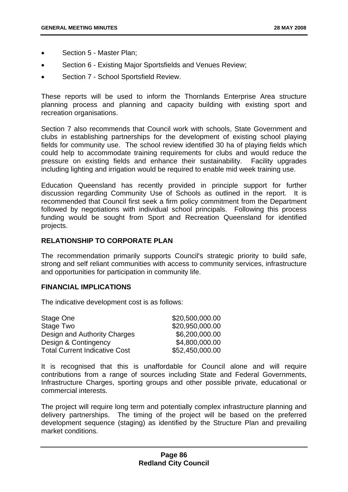- Section 5 Master Plan;
- Section 6 Existing Major Sportsfields and Venues Review;
- Section 7 School Sportsfield Review.

These reports will be used to inform the Thornlands Enterprise Area structure planning process and planning and capacity building with existing sport and recreation organisations.

Section 7 also recommends that Council work with schools, State Government and clubs in establishing partnerships for the development of existing school playing fields for community use. The school review identified 30 ha of playing fields which could help to accommodate training requirements for clubs and would reduce the pressure on existing fields and enhance their sustainability. Facility upgrades including lighting and irrigation would be required to enable mid week training use.

Education Queensland has recently provided in principle support for further discussion regarding Community Use of Schools as outlined in the report. It is recommended that Council first seek a firm policy commitment from the Department followed by negotiations with individual school principals. Following this process funding would be sought from Sport and Recreation Queensland for identified projects.

## **RELATIONSHIP TO CORPORATE PLAN**

The recommendation primarily supports Council's strategic priority to build safe, strong and self reliant communities with access to community services, infrastructure and opportunities for participation in community life.

### **FINANCIAL IMPLICATIONS**

The indicative development cost is as follows:

| Stage One                            | \$20,500,000.00 |
|--------------------------------------|-----------------|
| Stage Two                            | \$20,950,000.00 |
| Design and Authority Charges         | \$6,200,000.00  |
| Design & Contingency                 | \$4,800,000.00  |
| <b>Total Current Indicative Cost</b> | \$52,450,000.00 |

It is recognised that this is unaffordable for Council alone and will require contributions from a range of sources including State and Federal Governments, Infrastructure Charges, sporting groups and other possible private, educational or commercial interests.

The project will require long term and potentially complex infrastructure planning and delivery partnerships. The timing of the project will be based on the preferred development sequence (staging) as identified by the Structure Plan and prevailing market conditions.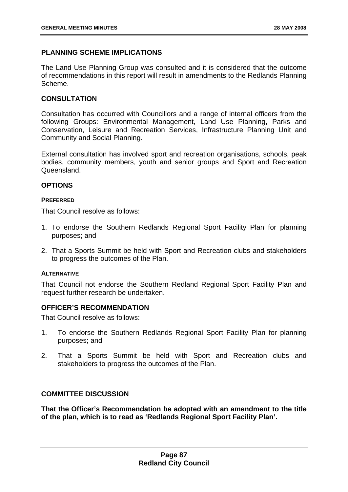# **PLANNING SCHEME IMPLICATIONS**

The Land Use Planning Group was consulted and it is considered that the outcome of recommendations in this report will result in amendments to the Redlands Planning Scheme.

# **CONSULTATION**

Consultation has occurred with Councillors and a range of internal officers from the following Groups: Environmental Management, Land Use Planning, Parks and Conservation, Leisure and Recreation Services, Infrastructure Planning Unit and Community and Social Planning.

External consultation has involved sport and recreation organisations, schools, peak bodies, community members, youth and senior groups and Sport and Recreation Queensland.

# **OPTIONS**

### **PREFERRED**

That Council resolve as follows:

- 1. To endorse the Southern Redlands Regional Sport Facility Plan for planning purposes; and
- 2. That a Sports Summit be held with Sport and Recreation clubs and stakeholders to progress the outcomes of the Plan.

### **ALTERNATIVE**

That Council not endorse the Southern Redland Regional Sport Facility Plan and request further research be undertaken.

### **OFFICER'S RECOMMENDATION**

That Council resolve as follows:

- 1. To endorse the Southern Redlands Regional Sport Facility Plan for planning purposes; and
- 2. That a Sports Summit be held with Sport and Recreation clubs and stakeholders to progress the outcomes of the Plan.

### **COMMITTEE DISCUSSION**

**That the Officer's Recommendation be adopted with an amendment to the title of the plan, which is to read as 'Redlands Regional Sport Facility Plan'.**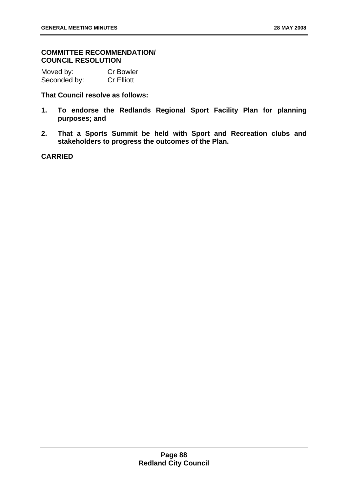### **COMMITTEE RECOMMENDATION/ COUNCIL RESOLUTION**

| Moved by:    | <b>Cr Bowler</b>  |
|--------------|-------------------|
| Seconded by: | <b>Cr Elliott</b> |

**That Council resolve as follows:** 

- **1. To endorse the Redlands Regional Sport Facility Plan for planning purposes; and**
- **2. That a Sports Summit be held with Sport and Recreation clubs and stakeholders to progress the outcomes of the Plan.**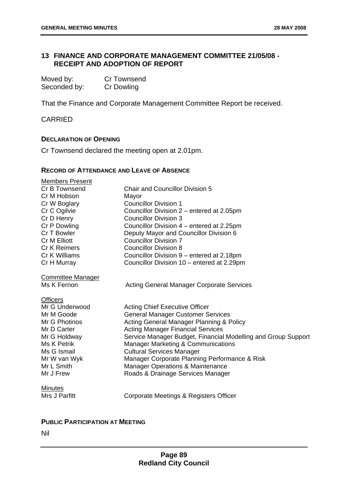# **13 FINANCE AND CORPORATE MANAGEMENT COMMITTEE 21/05/08 - RECEIPT AND ADOPTION OF REPORT**

| Moved by:    | Cr Townsend       |
|--------------|-------------------|
| Seconded by: | <b>Cr Dowling</b> |

That the Finance and Corporate Management Committee Report be received.

CARRIED

#### **DECLARATION OF OPENING**

Cr Townsend declared the meeting open at 2.01pm.

## **RECORD OF ATTENDANCE AND LEAVE OF ABSENCE**

| <b>Members Present</b>   |                                                               |
|--------------------------|---------------------------------------------------------------|
| Cr B Townsend            | <b>Chair and Councillor Division 5</b>                        |
| Cr M Hobson              | Mayor                                                         |
| Cr W Boglary             | <b>Councillor Division 1</b>                                  |
| Cr C Ogilvie             | Councillor Division 2 – entered at 2.05pm                     |
| Cr D Henry               | <b>Councillor Division 3</b>                                  |
| Cr P Dowling             | Councillor Division 4 – entered at 2.25pm                     |
| Cr T Bowler              | Deputy Mayor and Councillor Division 6                        |
| Cr M Elliott             | <b>Councillor Division 7</b>                                  |
| Cr K Reimers             | <b>Councillor Division 8</b>                                  |
| Cr K Williams            | Councillor Division 9 – entered at 2.18pm                     |
| Cr H Murray              | Councillor Division 10 – entered at 2.29pm                    |
| <b>Committee Manager</b> |                                                               |
| Ms K Fernon              | <b>Acting General Manager Corporate Services</b>              |
| <b>Officers</b>          |                                                               |
| Mr G Underwood           | <b>Acting Chief Executive Officer</b>                         |
| Mr M Goode               | <b>General Manager Customer Services</b>                      |
| Mr G Photinos            | Acting General Manager Planning & Policy                      |
| Mr D Carter              | <b>Acting Manager Financial Services</b>                      |
| Mr G Holdway             | Service Manager Budget, Financial Modelling and Group Support |
| Ms K Petrik              | <b>Manager Marketing &amp; Communications</b>                 |
| Ms G Ismail              | <b>Cultural Services Manager</b>                              |
| Mr W van Wyk             | Manager Corporate Planning Performance & Risk                 |
| Mr L Smith               | <b>Manager Operations &amp; Maintenance</b>                   |
| Mr J Frew                | Roads & Drainage Services Manager                             |
| <b>Minutes</b>           |                                                               |
| Mrs J Parfitt            | Corporate Meetings & Registers Officer                        |

# **PUBLIC PARTICIPATION AT MEETING**

Nil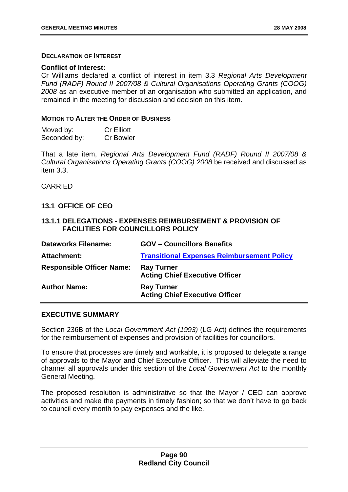#### **DECLARATION OF INTEREST**

#### **Conflict of Interest:**

Cr Williams declared a conflict of interest in item 3.3 *Regional Arts Development Fund (RADF) Round II 2007/08 & Cultural Organisations Operating Grants (COOG) 2008* as an executive member of an organisation who submitted an application, and remained in the meeting for discussion and decision on this item.

### **MOTION TO ALTER THE ORDER OF BUSINESS**

| Moved by:    | <b>Cr Elliott</b> |
|--------------|-------------------|
| Seconded by: | <b>Cr Bowler</b>  |

That a late item, *Regional Arts Development Fund (RADF) Round II 2007/08 & Cultural Organisations Operating Grants (COOG) 2008* be received and discussed as item 3.3.

CARRIED

## **13.1 OFFICE OF CEO**

### **13.1.1 DELEGATIONS - EXPENSES REIMBURSEMENT & PROVISION OF FACILITIES FOR COUNCILLORS POLICY**

| <b>Dataworks Filename:</b>       | <b>GOV - Councillors Benefits</b>                          |
|----------------------------------|------------------------------------------------------------|
| Attachment:                      | <b>Transitional Expenses Reimbursement Policy</b>          |
| <b>Responsible Officer Name:</b> | <b>Ray Turner</b><br><b>Acting Chief Executive Officer</b> |
| <b>Author Name:</b>              | <b>Ray Turner</b><br><b>Acting Chief Executive Officer</b> |

## **EXECUTIVE SUMMARY**

Section 236B of the *Local Government Act (1993)* (LG Act) defines the requirements for the reimbursement of expenses and provision of facilities for councillors.

To ensure that processes are timely and workable, it is proposed to delegate a range of approvals to the Mayor and Chief Executive Officer. This will alleviate the need to channel all approvals under this section of the *Local Government Act* to the monthly General Meeting.

The proposed resolution is administrative so that the Mayor / CEO can approve activities and make the payments in timely fashion; so that we don't have to go back to council every month to pay expenses and the like.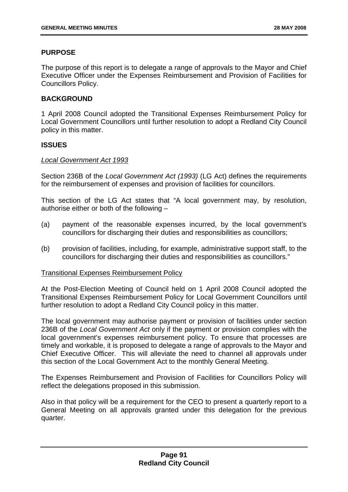# **PURPOSE**

The purpose of this report is to delegate a range of approvals to the Mayor and Chief Executive Officer under the Expenses Reimbursement and Provision of Facilities for Councillors Policy.

# **BACKGROUND**

1 April 2008 Council adopted the Transitional Expenses Reimbursement Policy for Local Government Councillors until further resolution to adopt a Redland City Council policy in this matter.

## **ISSUES**

### *Local Government Act 1993*

Section 236B of the *Local Government Act (1993)* (LG Act) defines the requirements for the reimbursement of expenses and provision of facilities for councillors.

This section of the LG Act states that "A local government may, by resolution, authorise either or both of the following –

- (a) payment of the reasonable expenses incurred, by the local government's councillors for discharging their duties and responsibilities as councillors;
- (b) provision of facilities, including, for example, administrative support staff, to the councillors for discharging their duties and responsibilities as councillors."

### Transitional Expenses Reimbursement Policy

At the Post-Election Meeting of Council held on 1 April 2008 Council adopted the Transitional Expenses Reimbursement Policy for Local Government Councillors until further resolution to adopt a Redland City Council policy in this matter.

The local government may authorise payment or provision of facilities under section 236B of the *Local Government Act* only if the payment or provision complies with the local government's expenses reimbursement policy. To ensure that processes are timely and workable, it is proposed to delegate a range of approvals to the Mayor and Chief Executive Officer. This will alleviate the need to channel all approvals under this section of the Local Government Act to the monthly General Meeting.

The Expenses Reimbursement and Provision of Facilities for Councillors Policy will reflect the delegations proposed in this submission.

Also in that policy will be a requirement for the CEO to present a quarterly report to a General Meeting on all approvals granted under this delegation for the previous quarter.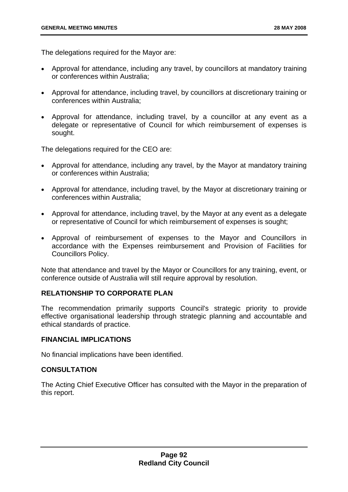The delegations required for the Mayor are:

- Approval for attendance, including any travel, by councillors at mandatory training or conferences within Australia;
- Approval for attendance, including travel, by councillors at discretionary training or conferences within Australia;
- Approval for attendance, including travel, by a councillor at any event as a delegate or representative of Council for which reimbursement of expenses is sought.

The delegations required for the CEO are:

- Approval for attendance, including any travel, by the Mayor at mandatory training or conferences within Australia;
- Approval for attendance, including travel, by the Mayor at discretionary training or conferences within Australia;
- Approval for attendance, including travel, by the Mayor at any event as a delegate or representative of Council for which reimbursement of expenses is sought;
- Approval of reimbursement of expenses to the Mayor and Councillors in accordance with the Expenses reimbursement and Provision of Facilities for Councillors Policy.

Note that attendance and travel by the Mayor or Councillors for any training, event, or conference outside of Australia will still require approval by resolution.

# **RELATIONSHIP TO CORPORATE PLAN**

The recommendation primarily supports Council's strategic priority to provide effective organisational leadership through strategic planning and accountable and ethical standards of practice.

### **FINANCIAL IMPLICATIONS**

No financial implications have been identified.

### **CONSULTATION**

The Acting Chief Executive Officer has consulted with the Mayor in the preparation of this report.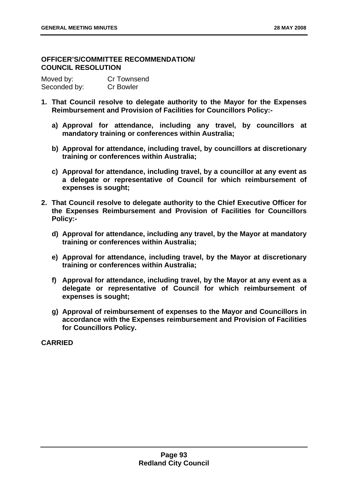# **OFFICER'S/COMMITTEE RECOMMENDATION/ COUNCIL RESOLUTION**

| Moved by:    | <b>Cr Townsend</b> |
|--------------|--------------------|
| Seconded by: | <b>Cr Bowler</b>   |

- **1. That Council resolve to delegate authority to the Mayor for the Expenses Reimbursement and Provision of Facilities for Councillors Policy:** 
	- **a) Approval for attendance, including any travel, by councillors at mandatory training or conferences within Australia;**
	- **b) Approval for attendance, including travel, by councillors at discretionary training or conferences within Australia;**
	- **c) Approval for attendance, including travel, by a councillor at any event as a delegate or representative of Council for which reimbursement of expenses is sought;**
- **2. That Council resolve to delegate authority to the Chief Executive Officer for the Expenses Reimbursement and Provision of Facilities for Councillors Policy:** 
	- **d) Approval for attendance, including any travel, by the Mayor at mandatory training or conferences within Australia;**
	- **e) Approval for attendance, including travel, by the Mayor at discretionary training or conferences within Australia;**
	- **f) Approval for attendance, including travel, by the Mayor at any event as a delegate or representative of Council for which reimbursement of expenses is sought;**
	- **g) Approval of reimbursement of expenses to the Mayor and Councillors in accordance with the Expenses reimbursement and Provision of Facilities for Councillors Policy.**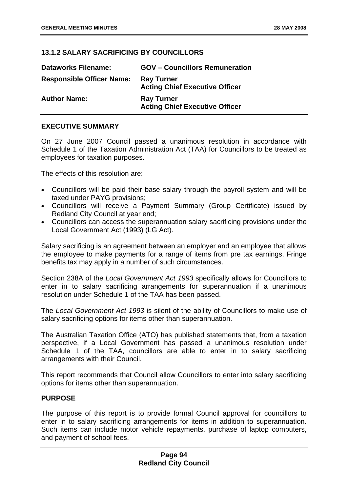# **13.1.2 SALARY SACRIFICING BY COUNCILLORS**

| <b>Dataworks Filename:</b>       | <b>GOV</b> – Councillors Remuneration                      |
|----------------------------------|------------------------------------------------------------|
| <b>Responsible Officer Name:</b> | <b>Ray Turner</b><br><b>Acting Chief Executive Officer</b> |
| <b>Author Name:</b>              | <b>Ray Turner</b><br><b>Acting Chief Executive Officer</b> |

### **EXECUTIVE SUMMARY**

On 27 June 2007 Council passed a unanimous resolution in accordance with Schedule 1 of the Taxation Administration Act (TAA) for Councillors to be treated as employees for taxation purposes.

The effects of this resolution are:

- Councillors will be paid their base salary through the payroll system and will be taxed under PAYG provisions;
- Councillors will receive a Payment Summary (Group Certificate) issued by Redland City Council at year end;
- Councillors can access the superannuation salary sacrificing provisions under the Local Government Act (1993) (LG Act).

Salary sacrificing is an agreement between an employer and an employee that allows the employee to make payments for a range of items from pre tax earnings. Fringe benefits tax may apply in a number of such circumstances.

Section 238A of the *Local Government Act 1993* specifically allows for Councillors to enter in to salary sacrificing arrangements for superannuation if a unanimous resolution under Schedule 1 of the TAA has been passed.

The *Local Government Act 1993* is silent of the ability of Councillors to make use of salary sacrificing options for items other than superannuation.

The Australian Taxation Office (ATO) has published statements that, from a taxation perspective, if a Local Government has passed a unanimous resolution under Schedule 1 of the TAA, councillors are able to enter in to salary sacrificing arrangements with their Council.

This report recommends that Council allow Councillors to enter into salary sacrificing options for items other than superannuation.

### **PURPOSE**

The purpose of this report is to provide formal Council approval for councillors to enter in to salary sacrificing arrangements for items in addition to superannuation. Such items can include motor vehicle repayments, purchase of laptop computers, and payment of school fees.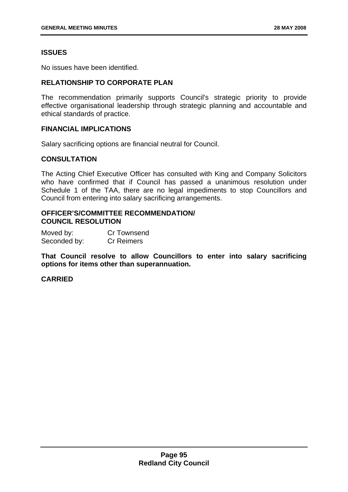# **ISSUES**

No issues have been identified.

# **RELATIONSHIP TO CORPORATE PLAN**

The recommendation primarily supports Council's strategic priority to provide effective organisational leadership through strategic planning and accountable and ethical standards of practice.

### **FINANCIAL IMPLICATIONS**

Salary sacrificing options are financial neutral for Council.

# **CONSULTATION**

The Acting Chief Executive Officer has consulted with King and Company Solicitors who have confirmed that if Council has passed a unanimous resolution under Schedule 1 of the TAA, there are no legal impediments to stop Councillors and Council from entering into salary sacrificing arrangements.

# **OFFICER'S/COMMITTEE RECOMMENDATION/ COUNCIL RESOLUTION**

Moved by: Cr Townsend Seconded by: Cr Reimers

**That Council resolve to allow Councillors to enter into salary sacrificing options for items other than superannuation.**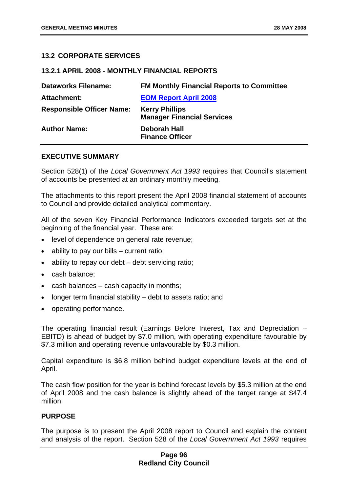### **13.2 CORPORATE SERVICES**

### **13.2.1 APRIL 2008 - MONTHLY FINANCIAL REPORTS**

| <b>Dataworks Filename:</b>       | <b>FM Monthly Financial Reports to Committee</b>           |
|----------------------------------|------------------------------------------------------------|
| <b>Attachment:</b>               | <b>EOM Report April 2008</b>                               |
| <b>Responsible Officer Name:</b> | <b>Kerry Phillips</b><br><b>Manager Financial Services</b> |
| <b>Author Name:</b>              | Deborah Hall<br><b>Finance Officer</b>                     |

### **EXECUTIVE SUMMARY**

Section 528(1) of the *Local Government Act 1993* requires that Council's statement of accounts be presented at an ordinary monthly meeting.

The attachments to this report present the April 2008 financial statement of accounts to Council and provide detailed analytical commentary.

All of the seven Key Financial Performance Indicators exceeded targets set at the beginning of the financial year. These are:

- level of dependence on general rate revenue;
- ability to pay our bills  $-$  current ratio;
- ability to repay our debt debt servicing ratio;
- cash balance;
- cash balances cash capacity in months;
- longer term financial stability debt to assets ratio; and
- operating performance.

The operating financial result (Earnings Before Interest, Tax and Depreciation – EBITD) is ahead of budget by \$7.0 million, with operating expenditure favourable by \$7.3 million and operating revenue unfavourable by \$0.3 million.

Capital expenditure is \$6.8 million behind budget expenditure levels at the end of April.

The cash flow position for the year is behind forecast levels by \$5.3 million at the end of April 2008 and the cash balance is slightly ahead of the target range at \$47.4 million.

#### **PURPOSE**

The purpose is to present the April 2008 report to Council and explain the content and analysis of the report. Section 528 of the *Local Government Act 1993* requires

## **Page 96 Redland City Council**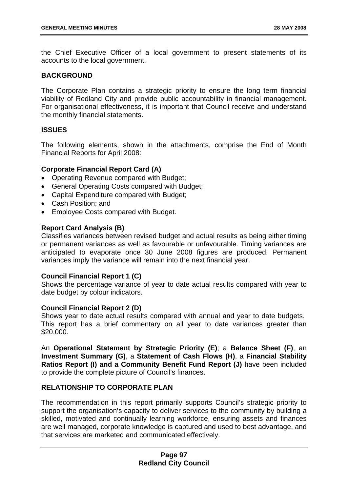the Chief Executive Officer of a local government to present statements of its accounts to the local government.

### **BACKGROUND**

The Corporate Plan contains a strategic priority to ensure the long term financial viability of Redland City and provide public accountability in financial management. For organisational effectiveness, it is important that Council receive and understand the monthly financial statements.

## **ISSUES**

The following elements, shown in the attachments, comprise the End of Month Financial Reports for April 2008:

## **Corporate Financial Report Card (A)**

- Operating Revenue compared with Budget;
- General Operating Costs compared with Budget;
- Capital Expenditure compared with Budget;
- Cash Position; and
- Employee Costs compared with Budget.

## **Report Card Analysis (B)**

Classifies variances between revised budget and actual results as being either timing or permanent variances as well as favourable or unfavourable. Timing variances are anticipated to evaporate once 30 June 2008 figures are produced. Permanent variances imply the variance will remain into the next financial year.

# **Council Financial Report 1 (C)**

Shows the percentage variance of year to date actual results compared with year to date budget by colour indicators.

### **Council Financial Report 2 (D)**

Shows year to date actual results compared with annual and year to date budgets. This report has a brief commentary on all year to date variances greater than \$20,000.

An **Operational Statement by Strategic Priority (E)**; a **Balance Sheet (F)**, an **Investment Summary (G)**, a **Statement of Cash Flows (H)**, a **Financial Stability Ratios Report (I) and a Community Benefit Fund Report (J)** have been included to provide the complete picture of Council's finances.

### **RELATIONSHIP TO CORPORATE PLAN**

The recommendation in this report primarily supports Council's strategic priority to support the organisation's capacity to deliver services to the community by building a skilled, motivated and continually learning workforce, ensuring assets and finances are well managed, corporate knowledge is captured and used to best advantage, and that services are marketed and communicated effectively.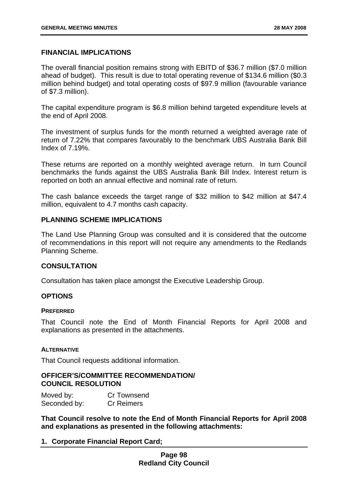### **FINANCIAL IMPLICATIONS**

The overall financial position remains strong with EBITD of \$36.7 million (\$7.0 million ahead of budget). This result is due to total operating revenue of \$134.6 million (\$0.3 million behind budget) and total operating costs of \$97.9 million (favourable variance of \$7.3 million).

The capital expenditure program is \$6.8 million behind targeted expenditure levels at the end of April 2008.

The investment of surplus funds for the month returned a weighted average rate of return of 7.22% that compares favourably to the benchmark UBS Australia Bank Bill Index of 7.19%.

These returns are reported on a monthly weighted average return. In turn Council benchmarks the funds against the UBS Australia Bank Bill Index. Interest return is reported on both an annual effective and nominal rate of return.

The cash balance exceeds the target range of \$32 million to \$42 million at \$47.4 million, equivalent to 4.7 months cash capacity.

# **PLANNING SCHEME IMPLICATIONS**

The Land Use Planning Group was consulted and it is considered that the outcome of recommendations in this report will not require any amendments to the Redlands Planning Scheme.

### **CONSULTATION**

Consultation has taken place amongst the Executive Leadership Group.

### **OPTIONS**

#### **PREFERRED**

That Council note the End of Month Financial Reports for April 2008 and explanations as presented in the attachments.

#### **ALTERNATIVE**

That Council requests additional information.

### **OFFICER'S/COMMITTEE RECOMMENDATION/ COUNCIL RESOLUTION**

| Moved by:    | <b>Cr Townsend</b> |
|--------------|--------------------|
| Seconded by: | <b>Cr Reimers</b>  |

**That Council resolve to note the End of Month Financial Reports for April 2008 and explanations as presented in the following attachments:** 

### **1. Corporate Financial Report Card;**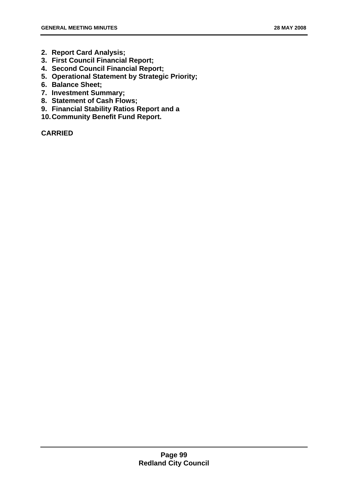- **2. Report Card Analysis;**
- **3. First Council Financial Report;**
- **4. Second Council Financial Report;**
- **5. Operational Statement by Strategic Priority;**
- **6. Balance Sheet;**
- **7. Investment Summary;**
- **8. Statement of Cash Flows;**
- **9. Financial Stability Ratios Report and a**
- **10. Community Benefit Fund Report.**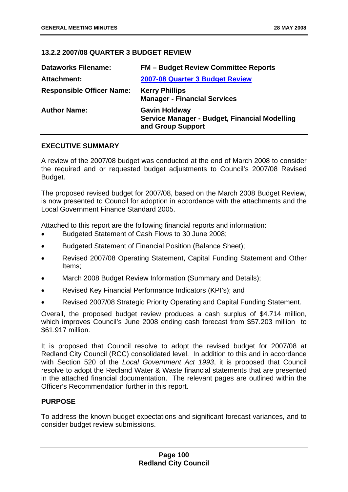## **13.2.2 2007/08 QUARTER 3 BUDGET REVIEW**

| <b>Dataworks Filename:</b>       | <b>FM</b> – Budget Review Committee Reports                                                |
|----------------------------------|--------------------------------------------------------------------------------------------|
| <b>Attachment:</b>               | 2007-08 Quarter 3 Budget Review                                                            |
| <b>Responsible Officer Name:</b> | <b>Kerry Phillips</b><br><b>Manager - Financial Services</b>                               |
| <b>Author Name:</b>              | <b>Gavin Holdway</b><br>Service Manager - Budget, Financial Modelling<br>and Group Support |

### **EXECUTIVE SUMMARY**

A review of the 2007/08 budget was conducted at the end of March 2008 to consider the required and or requested budget adjustments to Council's 2007/08 Revised Budget.

The proposed revised budget for 2007/08, based on the March 2008 Budget Review, is now presented to Council for adoption in accordance with the attachments and the Local Government Finance Standard 2005.

Attached to this report are the following financial reports and information:

- Budgeted Statement of Cash Flows to 30 June 2008;
- Budgeted Statement of Financial Position (Balance Sheet);
- Revised 2007/08 Operating Statement, Capital Funding Statement and Other Items;
- March 2008 Budget Review Information (Summary and Details):
- Revised Key Financial Performance Indicators (KPI's); and
- Revised 2007/08 Strategic Priority Operating and Capital Funding Statement.

Overall, the proposed budget review produces a cash surplus of \$4.714 million, which improves Council's June 2008 ending cash forecast from \$57.203 million to \$61.917 million.

It is proposed that Council resolve to adopt the revised budget for 2007/08 at Redland City Council (RCC) consolidated level. In addition to this and in accordance with Section 520 of the *Local Government Act 1993*, it is proposed that Council resolve to adopt the Redland Water & Waste financial statements that are presented in the attached financial documentation. The relevant pages are outlined within the Officer's Recommendation further in this report.

# **PURPOSE**

To address the known budget expectations and significant forecast variances, and to consider budget review submissions.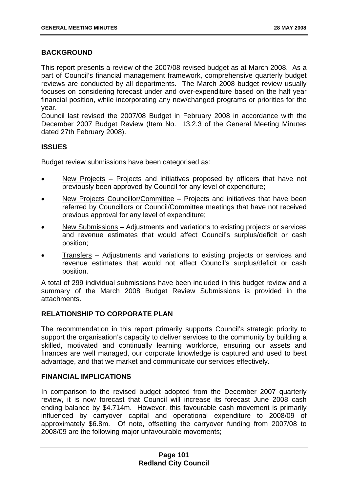## **BACKGROUND**

This report presents a review of the 2007/08 revised budget as at March 2008. As a part of Council's financial management framework, comprehensive quarterly budget reviews are conducted by all departments. The March 2008 budget review usually focuses on considering forecast under and over-expenditure based on the half year financial position, while incorporating any new/changed programs or priorities for the year.

Council last revised the 2007/08 Budget in February 2008 in accordance with the December 2007 Budget Review (Item No. 13.2.3 of the General Meeting Minutes dated 27th February 2008).

## **ISSUES**

Budget review submissions have been categorised as:

- New Projects Projects and initiatives proposed by officers that have not previously been approved by Council for any level of expenditure;
- New Projects Councillor/Committee Projects and initiatives that have been referred by Councillors or Council/Committee meetings that have not received previous approval for any level of expenditure;
- New Submissions Adjustments and variations to existing projects or services and revenue estimates that would affect Council's surplus/deficit or cash position;
- Transfers Adjustments and variations to existing projects or services and revenue estimates that would not affect Council's surplus/deficit or cash position.

A total of 299 individual submissions have been included in this budget review and a summary of the March 2008 Budget Review Submissions is provided in the attachments.

# **RELATIONSHIP TO CORPORATE PLAN**

The recommendation in this report primarily supports Council's strategic priority to support the organisation's capacity to deliver services to the community by building a skilled, motivated and continually learning workforce, ensuring our assets and finances are well managed, our corporate knowledge is captured and used to best advantage, and that we market and communicate our services effectively.

### **FINANCIAL IMPLICATIONS**

In comparison to the revised budget adopted from the December 2007 quarterly review, it is now forecast that Council will increase its forecast June 2008 cash ending balance by \$4.714m. However, this favourable cash movement is primarily influenced by carryover capital and operational expenditure to 2008/09 of approximately \$6.8m. Of note, offsetting the carryover funding from 2007/08 to 2008/09 are the following major unfavourable movements;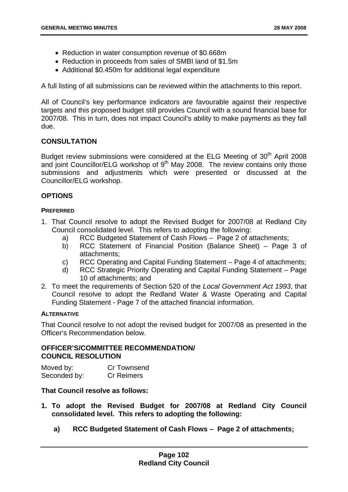- Reduction in water consumption revenue of \$0.668m
- Reduction in proceeds from sales of SMBI land of \$1.5m
- Additional \$0.450m for additional legal expenditure

A full listing of all submissions can be reviewed within the attachments to this report.

All of Council's key performance indicators are favourable against their respective targets and this proposed budget still provides Council with a sound financial base for 2007/08. This in turn, does not impact Council's ability to make payments as they fall due.

# **CONSULTATION**

Budget review submissions were considered at the ELG Meeting of  $30<sup>th</sup>$  April 2008 and joint Councillor/ELG workshop of  $9<sup>th</sup>$  May 2008. The review contains only those submissions and adjustments which were presented or discussed at the Councillor/ELG workshop.

# **OPTIONS**

## **PREFERRED**

- 1. That Council resolve to adopt the Revised Budget for 2007/08 at Redland City Council consolidated level. This refers to adopting the following:
	- a) RCC Budgeted Statement of Cash Flows Page 2 of attachments;
	- b) RCC Statement of Financial Position (Balance Sheet) Page 3 of attachments;
	- c) RCC Operating and Capital Funding Statement Page 4 of attachments;
	- d) RCC Strategic Priority Operating and Capital Funding Statement Page 10 of attachments; and
- 2. To meet the requirements of Section 520 of the *Local Government Act 1993*, that Council resolve to adopt the Redland Water & Waste Operating and Capital Funding Statement - Page 7 of the attached financial information.

### **ALTERNATIVE**

That Council resolve to not adopt the revised budget for 2007/08 as presented in the Officer's Recommendation below.

## **OFFICER'S/COMMITTEE RECOMMENDATION/ COUNCIL RESOLUTION**

| Moved by:    | Cr Townsend       |
|--------------|-------------------|
| Seconded by: | <b>Cr Reimers</b> |

# **That Council resolve as follows:**

- **1. To adopt the Revised Budget for 2007/08 at Redland City Council consolidated level. This refers to adopting the following:** 
	- **a) RCC Budgeted Statement of Cash Flows Page 2 of attachments;**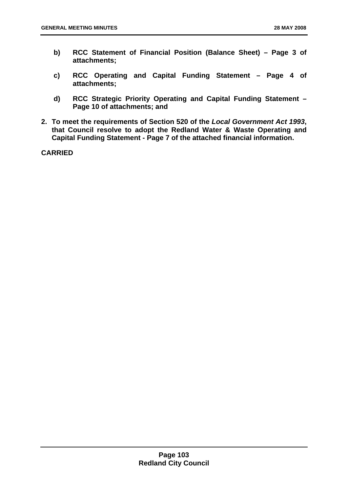- **b) RCC Statement of Financial Position (Balance Sheet) Page 3 of attachments;**
- **c) RCC Operating and Capital Funding Statement Page 4 of attachments;**
- **d) RCC Strategic Priority Operating and Capital Funding Statement Page 10 of attachments; and**
- **2. To meet the requirements of Section 520 of the** *Local Government Act 1993***, that Council resolve to adopt the Redland Water & Waste Operating and Capital Funding Statement - Page 7 of the attached financial information.**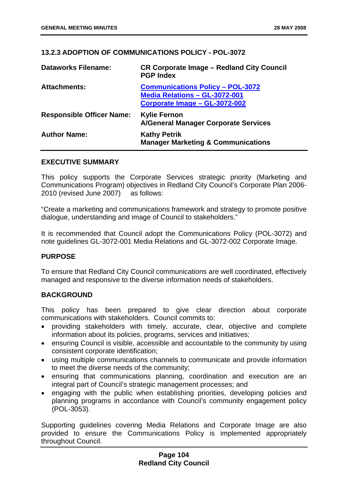# **13.2.3 ADOPTION OF COMMUNICATIONS POLICY - POL-3072**

| <b>Dataworks Filename:</b>       | <b>CR Corporate Image - Redland City Council</b><br><b>PGP Index</b>                                      |
|----------------------------------|-----------------------------------------------------------------------------------------------------------|
| <b>Attachments:</b>              | <b>Communications Policy - POL-3072</b><br>Media Relations - GL-3072-001<br>Corporate Image - GL-3072-002 |
| <b>Responsible Officer Name:</b> | <b>Kylie Fernon</b><br><b>A/General Manager Corporate Services</b>                                        |
| <b>Author Name:</b>              | <b>Kathy Petrik</b><br><b>Manager Marketing &amp; Communications</b>                                      |

### **EXECUTIVE SUMMARY**

This policy supports the Corporate Services strategic priority (Marketing and Communications Program) objectives in Redland City Council's Corporate Plan 2006- 2010 (revised June 2007) as follows:

"Create a marketing and communications framework and strategy to promote positive dialogue, understanding and image of Council to stakeholders."

It is recommended that Council adopt the Communications Policy (POL-3072) and note guidelines GL-3072-001 Media Relations and GL-3072-002 Corporate Image.

### **PURPOSE**

To ensure that Redland City Council communications are well coordinated, effectively managed and responsive to the diverse information needs of stakeholders.

# **BACKGROUND**

This policy has been prepared to give clear direction about corporate communications with stakeholders. Council commits to:

- providing stakeholders with timely, accurate, clear, objective and complete information about its policies, programs, services and initiatives;
- ensuring Council is visible, accessible and accountable to the community by using consistent corporate identification;
- using multiple communications channels to communicate and provide information to meet the diverse needs of the community;
- ensuring that communications planning, coordination and execution are an integral part of Council's strategic management processes; and
- engaging with the public when establishing priorities, developing policies and planning programs in accordance with Council's community engagement policy (POL-3053).

Supporting guidelines covering Media Relations and Corporate Image are also provided to ensure the Communications Policy is implemented appropriately throughout Council.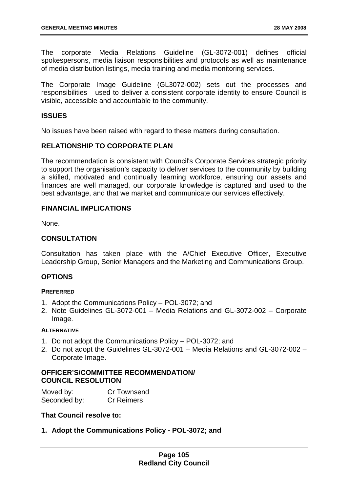The corporate Media Relations Guideline (GL-3072-001) defines official spokespersons, media liaison responsibilities and protocols as well as maintenance of media distribution listings, media training and media monitoring services.

The Corporate Image Guideline (GL3072-002) sets out the processes and responsibilities used to deliver a consistent corporate identity to ensure Council is visible, accessible and accountable to the community.

### **ISSUES**

No issues have been raised with regard to these matters during consultation.

## **RELATIONSHIP TO CORPORATE PLAN**

The recommendation is consistent with Council's Corporate Services strategic priority to support the organisation's capacity to deliver services to the community by building a skilled, motivated and continually learning workforce, ensuring our assets and finances are well managed, our corporate knowledge is captured and used to the best advantage, and that we market and communicate our services effectively.

### **FINANCIAL IMPLICATIONS**

None.

### **CONSULTATION**

Consultation has taken place with the A/Chief Executive Officer, Executive Leadership Group, Senior Managers and the Marketing and Communications Group.

### **OPTIONS**

#### **PREFERRED**

- 1. Adopt the Communications Policy POL-3072; and
- 2. Note Guidelines GL-3072-001 Media Relations and GL-3072-002 Corporate Image.

#### **ALTERNATIVE**

- 1. Do not adopt the Communications Policy POL-3072; and
- 2. Do not adopt the Guidelines GL-3072-001 Media Relations and GL-3072-002 Corporate Image.

### **OFFICER'S/COMMITTEE RECOMMENDATION/ COUNCIL RESOLUTION**

| Moved by:    | Cr Townsend       |
|--------------|-------------------|
| Seconded by: | <b>Cr Reimers</b> |

### **That Council resolve to:**

**1. Adopt the Communications Policy - POL-3072; and**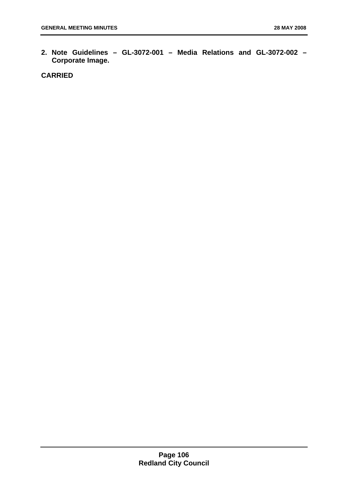**2. Note Guidelines – GL-3072-001 – Media Relations and GL-3072-002 – Corporate Image.**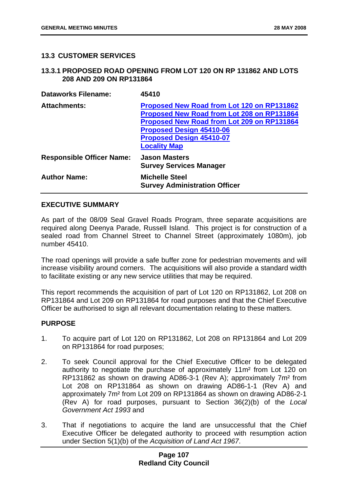### **13.3 CUSTOMER SERVICES**

#### **13.3.1 PROPOSED ROAD OPENING FROM LOT 120 ON RP 131862 AND LOTS 208 AND 209 ON RP131864**

| Dataworks Filename:              | 45410                                                                                                                                                                                                                                             |
|----------------------------------|---------------------------------------------------------------------------------------------------------------------------------------------------------------------------------------------------------------------------------------------------|
| <b>Attachments:</b>              | Proposed New Road from Lot 120 on RP131862<br><b>Proposed New Road from Lot 208 on RP131864</b><br><b>Proposed New Road from Lot 209 on RP131864</b><br><b>Proposed Design 45410-06</b><br><b>Proposed Design 45410-07</b><br><b>Locality Map</b> |
| <b>Responsible Officer Name:</b> | <b>Jason Masters</b><br><b>Survey Services Manager</b>                                                                                                                                                                                            |
| <b>Author Name:</b>              | <b>Michelle Steel</b><br><b>Survey Administration Officer</b>                                                                                                                                                                                     |

### **EXECUTIVE SUMMARY**

As part of the 08/09 Seal Gravel Roads Program, three separate acquisitions are required along Deenya Parade, Russell Island. This project is for construction of a sealed road from Channel Street to Channel Street (approximately 1080m), job number 45410.

The road openings will provide a safe buffer zone for pedestrian movements and will increase visibility around corners. The acquisitions will also provide a standard width to facilitate existing or any new service utilities that may be required.

This report recommends the acquisition of part of Lot 120 on RP131862, Lot 208 on RP131864 and Lot 209 on RP131864 for road purposes and that the Chief Executive Officer be authorised to sign all relevant documentation relating to these matters.

### **PURPOSE**

- 1. To acquire part of Lot 120 on RP131862, Lot 208 on RP131864 and Lot 209 on RP131864 for road purposes;
- 2. To seek Council approval for the Chief Executive Officer to be delegated authority to negotiate the purchase of approximately 11m² from Lot 120 on RP131862 as shown on drawing AD86-3-1 (Rev A); approximately 7m² from Lot 208 on RP131864 as shown on drawing AD86-1-1 (Rev A) and approximately 7m² from Lot 209 on RP131864 as shown on drawing AD86-2-1 (Rev A) for road purposes, pursuant to Section 36(2)(b) of the *Local Government Act 1993* and
- 3. That if negotiations to acquire the land are unsuccessful that the Chief Executive Officer be delegated authority to proceed with resumption action under Section 5(1)(b) of the *Acquisition of Land Act 1967*.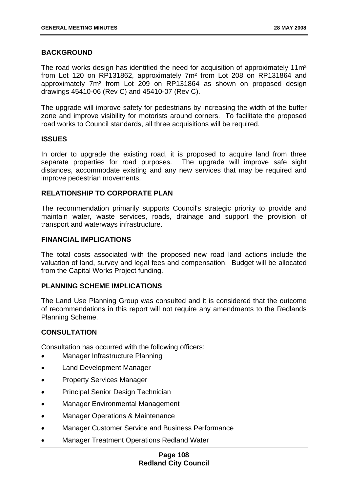## **BACKGROUND**

The road works design has identified the need for acquisition of approximately 11m<sup>2</sup> from Lot 120 on RP131862, approximately 7m² from Lot 208 on RP131864 and approximately 7m² from Lot 209 on RP131864 as shown on proposed design drawings 45410-06 (Rev C) and 45410-07 (Rev C).

The upgrade will improve safety for pedestrians by increasing the width of the buffer zone and improve visibility for motorists around corners. To facilitate the proposed road works to Council standards, all three acquisitions will be required.

### **ISSUES**

In order to upgrade the existing road, it is proposed to acquire land from three separate properties for road purposes. The upgrade will improve safe sight distances, accommodate existing and any new services that may be required and improve pedestrian movements.

## **RELATIONSHIP TO CORPORATE PLAN**

The recommendation primarily supports Council's strategic priority to provide and maintain water, waste services, roads, drainage and support the provision of transport and waterways infrastructure.

### **FINANCIAL IMPLICATIONS**

The total costs associated with the proposed new road land actions include the valuation of land, survey and legal fees and compensation. Budget will be allocated from the Capital Works Project funding.

### **PLANNING SCHEME IMPLICATIONS**

The Land Use Planning Group was consulted and it is considered that the outcome of recommendations in this report will not require any amendments to the Redlands Planning Scheme.

### **CONSULTATION**

Consultation has occurred with the following officers:

- Manager Infrastructure Planning
- Land Development Manager
- Property Services Manager
- Principal Senior Design Technician
- Manager Environmental Management
- Manager Operations & Maintenance
- Manager Customer Service and Business Performance
- Manager Treatment Operations Redland Water

## **Page 108 Redland City Council**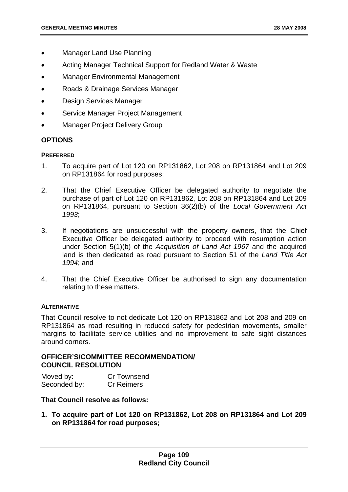- Manager Land Use Planning
- Acting Manager Technical Support for Redland Water & Waste
- Manager Environmental Management
- Roads & Drainage Services Manager
- Design Services Manager
- Service Manager Project Management
- **Manager Project Delivery Group**

# **OPTIONS**

#### **PREFERRED**

- 1. To acquire part of Lot 120 on RP131862, Lot 208 on RP131864 and Lot 209 on RP131864 for road purposes;
- 2. That the Chief Executive Officer be delegated authority to negotiate the purchase of part of Lot 120 on RP131862, Lot 208 on RP131864 and Lot 209 on RP131864, pursuant to Section 36(2)(b) of the *Local Government Act 1993*;
- 3. If negotiations are unsuccessful with the property owners, that the Chief Executive Officer be delegated authority to proceed with resumption action under Section 5(1)(b) of the *Acquisition of Land Act 1967* and the acquired land is then dedicated as road pursuant to Section 51 of the *Land Title Act 1994*; and
- 4. That the Chief Executive Officer be authorised to sign any documentation relating to these matters.

### **ALTERNATIVE**

That Council resolve to not dedicate Lot 120 on RP131862 and Lot 208 and 209 on RP131864 as road resulting in reduced safety for pedestrian movements, smaller margins to facilitate service utilities and no improvement to safe sight distances around corners.

# **OFFICER'S/COMMITTEE RECOMMENDATION/ COUNCIL RESOLUTION**

| Moved by:    | Cr Townsend       |
|--------------|-------------------|
| Seconded by: | <b>Cr Reimers</b> |

### **That Council resolve as follows:**

**1. To acquire part of Lot 120 on RP131862, Lot 208 on RP131864 and Lot 209 on RP131864 for road purposes;**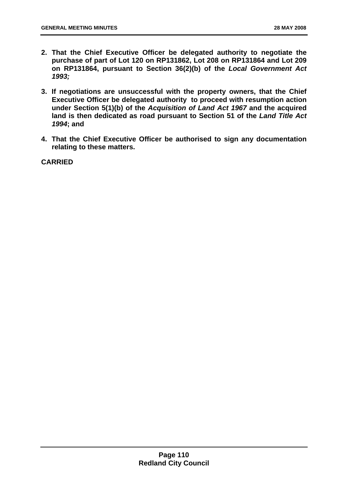- **2. That the Chief Executive Officer be delegated authority to negotiate the purchase of part of Lot 120 on RP131862, Lot 208 on RP131864 and Lot 209 on RP131864, pursuant to Section 36(2)(b) of the** *Local Government Act 1993;*
- **3. If negotiations are unsuccessful with the property owners, that the Chief Executive Officer be delegated authority to proceed with resumption action under Section 5(1)(b) of the** *Acquisition of Land Act 1967* **and the acquired land is then dedicated as road pursuant to Section 51 of the** *Land Title Act 1994***; and**
- **4. That the Chief Executive Officer be authorised to sign any documentation relating to these matters.**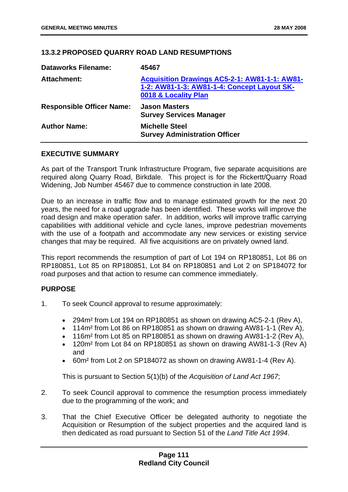## **13.3.2 PROPOSED QUARRY ROAD LAND RESUMPTIONS**

| <b>Dataworks Filename:</b>       | 45467                                                                                                                       |
|----------------------------------|-----------------------------------------------------------------------------------------------------------------------------|
| Attachment:                      | <b>Acquisition Drawings AC5-2-1: AW81-1-1: AW81-</b><br>1-2: AW81-1-3: AW81-1-4: Concept Layout SK-<br>0018 & Locality Plan |
| <b>Responsible Officer Name:</b> | <b>Jason Masters</b><br><b>Survey Services Manager</b>                                                                      |
| <b>Author Name:</b>              | <b>Michelle Steel</b><br><b>Survey Administration Officer</b>                                                               |

### **EXECUTIVE SUMMARY**

As part of the Transport Trunk Infrastructure Program, five separate acquisitions are required along Quarry Road, Birkdale. This project is for the Rickertt/Quarry Road Widening, Job Number 45467 due to commence construction in late 2008.

Due to an increase in traffic flow and to manage estimated growth for the next 20 years, the need for a road upgrade has been identified. These works will improve the road design and make operation safer. In addition, works will improve traffic carrying capabilities with additional vehicle and cycle lanes, improve pedestrian movements with the use of a footpath and accommodate any new services or existing service changes that may be required. All five acquisitions are on privately owned land.

This report recommends the resumption of part of Lot 194 on RP180851, Lot 86 on RP180851, Lot 85 on RP180851, Lot 84 on RP180851 and Lot 2 on SP184072 for road purposes and that action to resume can commence immediately.

### **PURPOSE**

- 1. To seek Council approval to resume approximately:
	- 294m² from Lot 194 on RP180851 as shown on drawing AC5-2-1 (Rev A),
	- 114m<sup>2</sup> from Lot 86 on RP180851 as shown on drawing AW81-1-1 (Rev A),
	- 116m<sup>2</sup> from Lot 85 on RP180851 as shown on drawing AW81-1-2 (Rev A),
	- 120m<sup>2</sup> from Lot 84 on RP180851 as shown on drawing AW81-1-3 (Rev A) and
	- 60m² from Lot 2 on SP184072 as shown on drawing AW81-1-4 (Rev A).

This is pursuant to Section 5(1)(b) of the *Acquisition of Land Act 1967*;

- 2. To seek Council approval to commence the resumption process immediately due to the programming of the work; and
- 3. That the Chief Executive Officer be delegated authority to negotiate the Acquisition or Resumption of the subject properties and the acquired land is then dedicated as road pursuant to Section 51 of the *Land Title Act 1994*.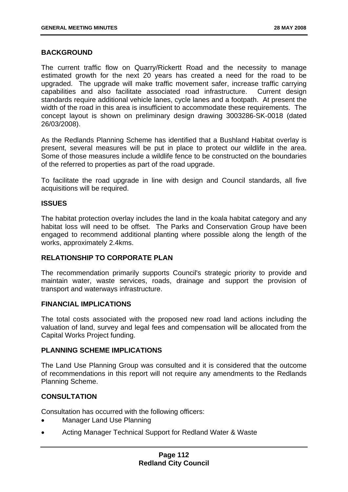## **BACKGROUND**

The current traffic flow on Quarry/Rickertt Road and the necessity to manage estimated growth for the next 20 years has created a need for the road to be upgraded. The upgrade will make traffic movement safer, increase traffic carrying capabilities and also facilitate associated road infrastructure. Current design standards require additional vehicle lanes, cycle lanes and a footpath. At present the width of the road in this area is insufficient to accommodate these requirements. The concept layout is shown on preliminary design drawing 3003286-SK-0018 (dated 26/03/2008).

As the Redlands Planning Scheme has identified that a Bushland Habitat overlay is present, several measures will be put in place to protect our wildlife in the area. Some of those measures include a wildlife fence to be constructed on the boundaries of the referred to properties as part of the road upgrade.

To facilitate the road upgrade in line with design and Council standards, all five acquisitions will be required.

### **ISSUES**

The habitat protection overlay includes the land in the koala habitat category and any habitat loss will need to be offset. The Parks and Conservation Group have been engaged to recommend additional planting where possible along the length of the works, approximately 2.4kms.

### **RELATIONSHIP TO CORPORATE PLAN**

The recommendation primarily supports Council's strategic priority to provide and maintain water, waste services, roads, drainage and support the provision of transport and waterways infrastructure.

# **FINANCIAL IMPLICATIONS**

The total costs associated with the proposed new road land actions including the valuation of land, survey and legal fees and compensation will be allocated from the Capital Works Project funding.

## **PLANNING SCHEME IMPLICATIONS**

The Land Use Planning Group was consulted and it is considered that the outcome of recommendations in this report will not require any amendments to the Redlands Planning Scheme.

# **CONSULTATION**

Consultation has occurred with the following officers:

- Manager Land Use Planning
- Acting Manager Technical Support for Redland Water & Waste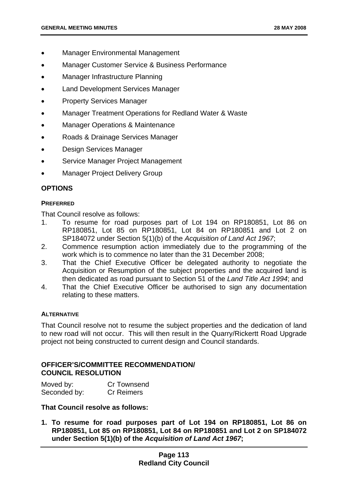- Manager Environmental Management
- Manager Customer Service & Business Performance
- Manager Infrastructure Planning
- Land Development Services Manager
- Property Services Manager
- Manager Treatment Operations for Redland Water & Waste
- Manager Operations & Maintenance
- Roads & Drainage Services Manager
- Design Services Manager
- Service Manager Project Management
- Manager Project Delivery Group

## **OPTIONS**

#### **PREFERRED**

That Council resolve as follows:

- 1. To resume for road purposes part of Lot 194 on RP180851, Lot 86 on RP180851, Lot 85 on RP180851, Lot 84 on RP180851 and Lot 2 on SP184072 under Section 5(1)(b) of the *Acquisition of Land Act 1967*;
- 2. Commence resumption action immediately due to the programming of the work which is to commence no later than the 31 December 2008;
- 3. That the Chief Executive Officer be delegated authority to negotiate the Acquisition or Resumption of the subject properties and the acquired land is then dedicated as road pursuant to Section 51 of the *Land Title Act 1994*; and
- 4. That the Chief Executive Officer be authorised to sign any documentation relating to these matters.

### **ALTERNATIVE**

That Council resolve not to resume the subject properties and the dedication of land to new road will not occur. This will then result in the Quarry/Rickertt Road Upgrade project not being constructed to current design and Council standards.

## **OFFICER'S/COMMITTEE RECOMMENDATION/ COUNCIL RESOLUTION**

| Moved by:    | Cr Townsend       |
|--------------|-------------------|
| Seconded by: | <b>Cr Reimers</b> |

### **That Council resolve as follows:**

**1. To resume for road purposes part of Lot 194 on RP180851, Lot 86 on RP180851, Lot 85 on RP180851, Lot 84 on RP180851 and Lot 2 on SP184072 under Section 5(1)(b) of the** *Acquisition of Land Act 1967***;**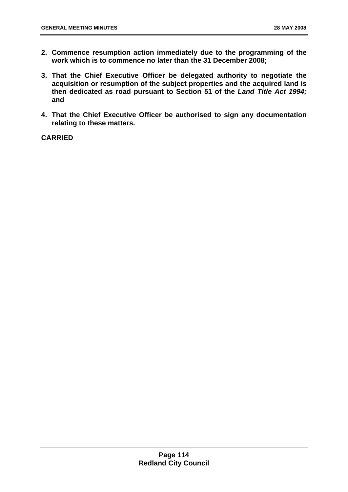- **2. Commence resumption action immediately due to the programming of the work which is to commence no later than the 31 December 2008;**
- **3. That the Chief Executive Officer be delegated authority to negotiate the acquisition or resumption of the subject properties and the acquired land is then dedicated as road pursuant to Section 51 of the** *Land Title Act 1994;* **and**
- **4. That the Chief Executive Officer be authorised to sign any documentation relating to these matters.**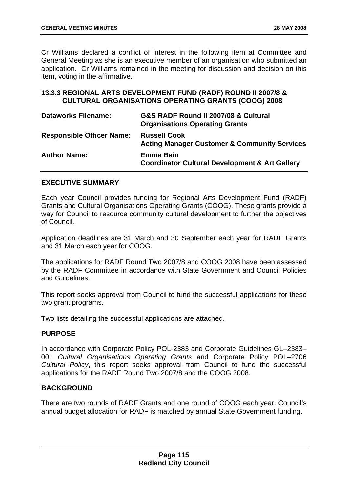Cr Williams declared a conflict of interest in the following item at Committee and General Meeting as she is an executive member of an organisation who submitted an application. Cr Williams remained in the meeting for discussion and decision on this item, voting in the affirmative.

# **13.3.3 REGIONAL ARTS DEVELOPMENT FUND (RADF) ROUND II 2007/8 & CULTURAL ORGANISATIONS OPERATING GRANTS (COOG) 2008**

| <b>Dataworks Filename:</b>       | G&S RADF Round II 2007/08 & Cultural<br><b>Organisations Operating Grants</b>  |
|----------------------------------|--------------------------------------------------------------------------------|
| <b>Responsible Officer Name:</b> | <b>Russell Cook</b><br><b>Acting Manager Customer &amp; Community Services</b> |
| <b>Author Name:</b>              | <b>Emma Bain</b><br><b>Coordinator Cultural Development &amp; Art Gallery</b>  |

## **EXECUTIVE SUMMARY**

Each year Council provides funding for Regional Arts Development Fund (RADF) Grants and Cultural Organisations Operating Grants (COOG). These grants provide a way for Council to resource community cultural development to further the objectives of Council.

Application deadlines are 31 March and 30 September each year for RADF Grants and 31 March each year for COOG.

The applications for RADF Round Two 2007/8 and COOG 2008 have been assessed by the RADF Committee in accordance with State Government and Council Policies and Guidelines.

This report seeks approval from Council to fund the successful applications for these two grant programs.

Two lists detailing the successful applications are attached.

### **PURPOSE**

In accordance with Corporate Policy POL-2383 and Corporate Guidelines GL–2383– 001 *Cultural Organisations Operating Grants* and Corporate Policy POL–2706 *Cultural Policy*, this report seeks approval from Council to fund the successful applications for the RADF Round Two 2007/8 and the COOG 2008.

### **BACKGROUND**

There are two rounds of RADF Grants and one round of COOG each year. Council's annual budget allocation for RADF is matched by annual State Government funding.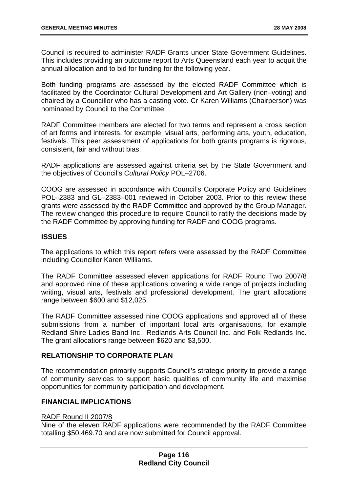Council is required to administer RADF Grants under State Government Guidelines. This includes providing an outcome report to Arts Queensland each year to acquit the annual allocation and to bid for funding for the following year.

Both funding programs are assessed by the elected RADF Committee which is facilitated by the Coordinator Cultural Development and Art Gallery (non–voting) and chaired by a Councillor who has a casting vote. Cr Karen Williams (Chairperson) was nominated by Council to the Committee.

RADF Committee members are elected for two terms and represent a cross section of art forms and interests, for example, visual arts, performing arts, youth, education, festivals. This peer assessment of applications for both grants programs is rigorous, consistent, fair and without bias.

RADF applications are assessed against criteria set by the State Government and the objectives of Council's *Cultural Policy* POL–2706.

COOG are assessed in accordance with Council's Corporate Policy and Guidelines POL–2383 and GL–2383–001 reviewed in October 2003. Prior to this review these grants were assessed by the RADF Committee and approved by the Group Manager. The review changed this procedure to require Council to ratify the decisions made by the RADF Committee by approving funding for RADF and COOG programs.

## **ISSUES**

The applications to which this report refers were assessed by the RADF Committee including Councillor Karen Williams.

The RADF Committee assessed eleven applications for RADF Round Two 2007/8 and approved nine of these applications covering a wide range of projects including writing, visual arts, festivals and professional development. The grant allocations range between \$600 and \$12,025.

The RADF Committee assessed nine COOG applications and approved all of these submissions from a number of important local arts organisations, for example Redland Shire Ladies Band Inc., Redlands Arts Council Inc. and Folk Redlands Inc. The grant allocations range between \$620 and \$3,500.

## **RELATIONSHIP TO CORPORATE PLAN**

The recommendation primarily supports Council's strategic priority to provide a range of community services to support basic qualities of community life and maximise opportunities for community participation and development.

### **FINANCIAL IMPLICATIONS**

### RADF Round II 2007/8

Nine of the eleven RADF applications were recommended by the RADF Committee totalling \$50,469.70 and are now submitted for Council approval.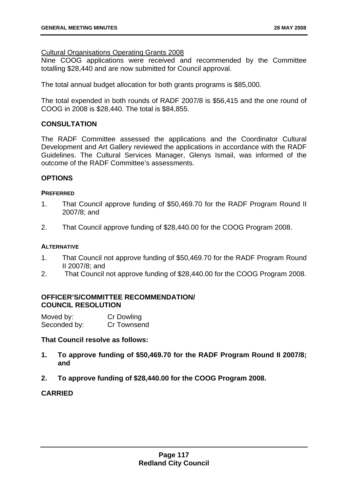### Cultural Organisations Operating Grants 2008

Nine COOG applications were received and recommended by the Committee totalling \$28,440 and are now submitted for Council approval.

The total annual budget allocation for both grants programs is \$85,000.

The total expended in both rounds of RADF 2007/8 is \$56,415 and the one round of COOG in 2008 is \$28,440. The total is \$84,855.

## **CONSULTATION**

The RADF Committee assessed the applications and the Coordinator Cultural Development and Art Gallery reviewed the applications in accordance with the RADF Guidelines. The Cultural Services Manager, Glenys Ismail, was informed of the outcome of the RADF Committee's assessments.

# **OPTIONS**

#### **PREFERRED**

- 1. That Council approve funding of \$50,469.70 for the RADF Program Round II 2007/8; and
- 2. That Council approve funding of \$28,440.00 for the COOG Program 2008.

#### **ALTERNATIVE**

- 1. That Council not approve funding of \$50,469.70 for the RADF Program Round II 2007/8; and
- 2. That Council not approve funding of \$28,440.00 for the COOG Program 2008.

## **OFFICER'S/COMMITTEE RECOMMENDATION/ COUNCIL RESOLUTION**

| Moved by:    | Cr Dowling  |
|--------------|-------------|
| Seconded by: | Cr Townsend |

### **That Council resolve as follows:**

- **1. To approve funding of \$50,469.70 for the RADF Program Round II 2007/8; and**
- **2. To approve funding of \$28,440.00 for the COOG Program 2008.**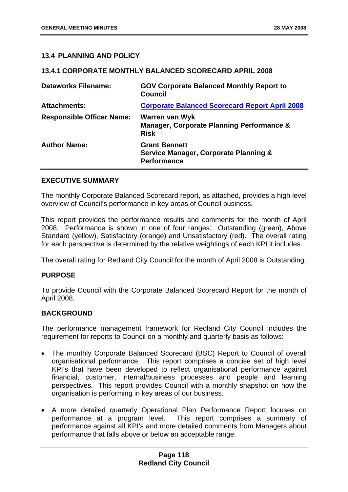## **13.4 PLANNING AND POLICY**

### **13.4.1 CORPORATE MONTHLY BALANCED SCORECARD APRIL 2008**

| <b>Dataworks Filename:</b>       | <b>GOV Corporate Balanced Monthly Report to</b><br>Council                                     |
|----------------------------------|------------------------------------------------------------------------------------------------|
| <b>Attachments:</b>              | <b>Corporate Balanced Scorecard Report April 2008</b>                                          |
| <b>Responsible Officer Name:</b> | <b>Warren van Wyk</b><br><b>Manager, Corporate Planning Performance &amp;</b><br><b>Risk</b>   |
| <b>Author Name:</b>              | <b>Grant Bennett</b><br><b>Service Manager, Corporate Planning &amp;</b><br><b>Performance</b> |

### **EXECUTIVE SUMMARY**

The monthly Corporate Balanced Scorecard report, as attached, provides a high level overview of Council's performance in key areas of Council business.

This report provides the performance results and comments for the month of April 2008. Performance is shown in one of four ranges: Outstanding (green), Above Standard (yellow), Satisfactory (orange) and Unsatisfactory (red). The overall rating for each perspective is determined by the relative weightings of each KPI it includes.

The overall rating for Redland City Council for the month of April 2008 is Outstanding.

### **PURPOSE**

To provide Council with the Corporate Balanced Scorecard Report for the month of April 2008.

### **BACKGROUND**

The performance management framework for Redland City Council includes the requirement for reports to Council on a monthly and quarterly basis as follows:

- The monthly Corporate Balanced Scorecard (BSC) Report to Council of overall organisational performance. This report comprises a concise set of high level KPI's that have been developed to reflect organisational performance against financial, customer, internal/business processes and people and learning perspectives. This report provides Council with a monthly snapshot on how the organisation is performing in key areas of our business.
- A more detailed quarterly Operational Plan Performance Report focuses on performance at a program level. This report comprises a summary of performance against all KPI's and more detailed comments from Managers about performance that falls above or below an acceptable range.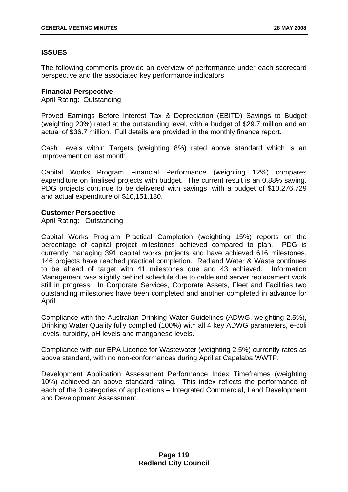# **ISSUES**

The following comments provide an overview of performance under each scorecard perspective and the associated key performance indicators.

### **Financial Perspective**

April Rating: Outstanding

Proved Earnings Before Interest Tax & Depreciation (EBITD) Savings to Budget (weighting 20%) rated at the outstanding level, with a budget of \$29.7 million and an actual of \$36.7 million. Full details are provided in the monthly finance report.

Cash Levels within Targets (weighting 8%) rated above standard which is an improvement on last month.

Capital Works Program Financial Performance (weighting 12%) compares expenditure on finalised projects with budget. The current result is an 0.88% saving. PDG projects continue to be delivered with savings, with a budget of \$10,276,729 and actual expenditure of \$10,151,180.

### **Customer Perspective**

April Rating: Outstanding

Capital Works Program Practical Completion (weighting 15%) reports on the percentage of capital project milestones achieved compared to plan. PDG is currently managing 391 capital works projects and have achieved 616 milestones. 146 projects have reached practical completion. Redland Water & Waste continues to be ahead of target with 41 milestones due and 43 achieved. Information Management was slightly behind schedule due to cable and server replacement work still in progress. In Corporate Services, Corporate Assets, Fleet and Facilities two outstanding milestones have been completed and another completed in advance for April.

Compliance with the Australian Drinking Water Guidelines (ADWG, weighting 2.5%), Drinking Water Quality fully complied (100%) with all 4 key ADWG parameters, e-coli levels, turbidity, pH levels and manganese levels.

Compliance with our EPA Licence for Wastewater (weighting 2.5%) currently rates as above standard, with no non-conformances during April at Capalaba WWTP.

Development Application Assessment Performance Index Timeframes (weighting 10%) achieved an above standard rating. This index reflects the performance of each of the 3 categories of applications – Integrated Commercial, Land Development and Development Assessment.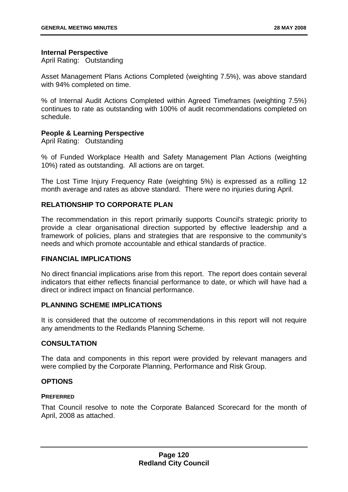### **Internal Perspective**

April Rating: Outstanding

Asset Management Plans Actions Completed (weighting 7.5%), was above standard with 94% completed on time.

% of Internal Audit Actions Completed within Agreed Timeframes (weighting 7.5%) continues to rate as outstanding with 100% of audit recommendations completed on schedule.

### **People & Learning Perspective**

April Rating: Outstanding

% of Funded Workplace Health and Safety Management Plan Actions (weighting 10%) rated as outstanding. All actions are on target.

The Lost Time Injury Frequency Rate (weighting 5%) is expressed as a rolling 12 month average and rates as above standard. There were no injuries during April.

### **RELATIONSHIP TO CORPORATE PLAN**

The recommendation in this report primarily supports Council's strategic priority to provide a clear organisational direction supported by effective leadership and a framework of policies, plans and strategies that are responsive to the community's needs and which promote accountable and ethical standards of practice.

### **FINANCIAL IMPLICATIONS**

No direct financial implications arise from this report. The report does contain several indicators that either reflects financial performance to date, or which will have had a direct or indirect impact on financial performance.

### **PLANNING SCHEME IMPLICATIONS**

It is considered that the outcome of recommendations in this report will not require any amendments to the Redlands Planning Scheme.

### **CONSULTATION**

The data and components in this report were provided by relevant managers and were complied by the Corporate Planning, Performance and Risk Group.

### **OPTIONS**

#### **PREFERRED**

That Council resolve to note the Corporate Balanced Scorecard for the month of April, 2008 as attached.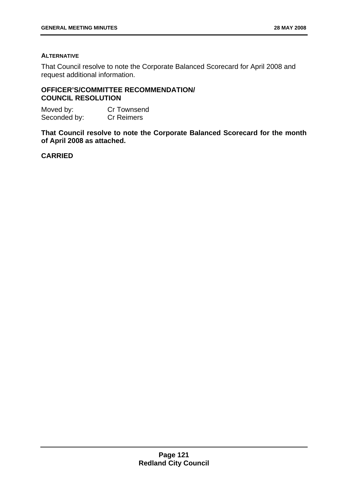#### **ALTERNATIVE**

That Council resolve to note the Corporate Balanced Scorecard for April 2008 and request additional information.

## **OFFICER'S/COMMITTEE RECOMMENDATION/ COUNCIL RESOLUTION**

| Moved by:    | Cr Townsend       |
|--------------|-------------------|
| Seconded by: | <b>Cr Reimers</b> |

**That Council resolve to note the Corporate Balanced Scorecard for the month of April 2008 as attached.**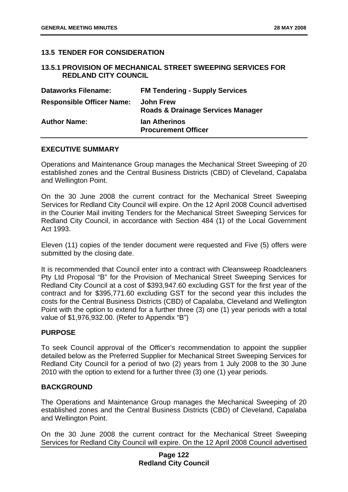## **13.5 TENDER FOR CONSIDERATION**

### **13.5.1 PROVISION OF MECHANICAL STREET SWEEPING SERVICES FOR REDLAND CITY COUNCIL**

| <b>Dataworks Filename:</b>       | <b>FM Tendering - Supply Services</b>                 |
|----------------------------------|-------------------------------------------------------|
| <b>Responsible Officer Name:</b> | <b>John Frew</b><br>Roads & Drainage Services Manager |
| <b>Author Name:</b>              | <b>Ian Atherinos</b><br><b>Procurement Officer</b>    |

### **EXECUTIVE SUMMARY**

Operations and Maintenance Group manages the Mechanical Street Sweeping of 20 established zones and the Central Business Districts (CBD) of Cleveland, Capalaba and Wellington Point.

On the 30 June 2008 the current contract for the Mechanical Street Sweeping Services for Redland City Council will expire. On the 12 April 2008 Council advertised in the Courier Mail inviting Tenders for the Mechanical Street Sweeping Services for Redland City Council, in accordance with Section 484 (1) of the Local Government Act 1993.

Eleven (11) copies of the tender document were requested and Five (5) offers were submitted by the closing date.

It is recommended that Council enter into a contract with Cleansweep Roadcleaners Pty Ltd Proposal "B" for the Provision of Mechanical Street Sweeping Services for Redland City Council at a cost of \$393,947.60 excluding GST for the first year of the contract and for \$395,771.60 excluding GST for the second year this includes the costs for the Central Business Districts (CBD) of Capalaba, Cleveland and Wellington Point with the option to extend for a further three (3) one (1) year periods with a total value of \$1,976,932.00. (Refer to Appendix "B")

### **PURPOSE**

To seek Council approval of the Officer's recommendation to appoint the supplier detailed below as the Preferred Supplier for Mechanical Street Sweeping Services for Redland City Council for a period of two (2) years from 1 July 2008 to the 30 June 2010 with the option to extend for a further three (3) one (1) year periods.

### **BACKGROUND**

The Operations and Maintenance Group manages the Mechanical Sweeping of 20 established zones and the Central Business Districts (CBD) of Cleveland, Capalaba and Wellington Point.

On the 30 June 2008 the current contract for the Mechanical Street Sweeping Services for Redland City Council will expire. On the 12 April 2008 Council advertised

### **Page 122 Redland City Council**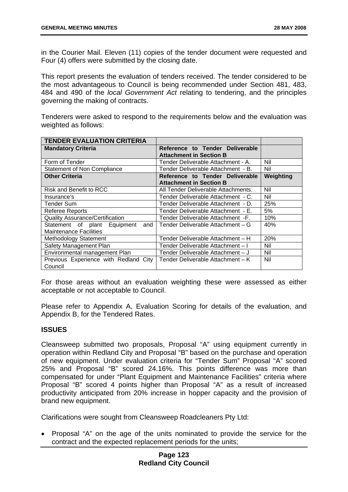in the Courier Mail. Eleven (11) copies of the tender document were requested and Four (4) offers were submitted by the closing date.

This report presents the evaluation of tenders received. The tender considered to be the most advantageous to Council is being recommended under Section 481, 483, 484 and 490 of the *local Government Act* relating to tendering, and the principles governing the making of contracts.

Tenderers were asked to respond to the requirements below and the evaluation was weighted as follows:

| <b>TENDER EVALUATION CRITERIA</b>      |                                     |           |
|----------------------------------------|-------------------------------------|-----------|
| <b>Mandatory Criteria</b>              | Reference to Tender Deliverable     |           |
|                                        | <b>Attachment in Section B</b>      |           |
| Form of Tender                         | Tender Deliverable Attachment - A.  | Nil       |
| <b>Statement of Non Compliance</b>     | Tender Deliverable Attachment - B.  | Nil       |
| <b>Other Criteria</b>                  | Reference to Tender Deliverable     | Weighting |
|                                        | <b>Attachment in Section B</b>      |           |
| Risk and Benefit to RCC                | All Tender Deliverable Attachments. | Nil       |
| Insurance's                            | Tender Deliverable Attachment - C.  | Nil       |
| Tender Sum                             | Tender Deliverable Attachment - D.  | 25%       |
| <b>Referee Reports</b>                 | Tender Deliverable Attachment - E.  | 5%        |
| <b>Quality Assurance/Certification</b> | Tender Deliverable Attachment - F.  | 10%       |
| Statement of plant Equipment<br>and    | Tender Deliverable Attachment – G   | 40%       |
| <b>Maintenance Facilities</b>          |                                     |           |
| Methodology Statement                  | Tender Deliverable Attachment – H   | 20%       |
| Safety Management Plan                 | Tender Deliverable Attachment - I   | Nil       |
| Environmental management Plan          | Tender Deliverable Attachment - J   | Nil       |
| Previous Experience with Redland City  | Tender Deliverable Attachment – K   | Nil       |
| Council                                |                                     |           |

For those areas without an evaluation weighting these were assessed as either acceptable or not acceptable to Council.

Please refer to Appendix A, Evaluation Scoring for details of the evaluation, and Appendix B, for the Tendered Rates.

# **ISSUES**

Cleansweep submitted two proposals, Proposal "A" using equipment currently in operation within Redland City and Proposal "B" based on the purchase and operation of new equipment. Under evaluation criteria for "Tender Sum" Proposal "A" scored 25% and Proposal "B" scored 24.16%. This points difference was more than compensated for under "Plant Equipment and Maintenance Facilities" criteria where Proposal "B" scored 4 points higher than Proposal "A" as a result of increased productivity anticipated from 20% increase in hopper capacity and the provision of brand new equipment.

Clarifications were sought from Cleansweep Roadcleaners Pty Ltd:

• Proposal "A" on the age of the units nominated to provide the service for the contract and the expected replacement periods for the units;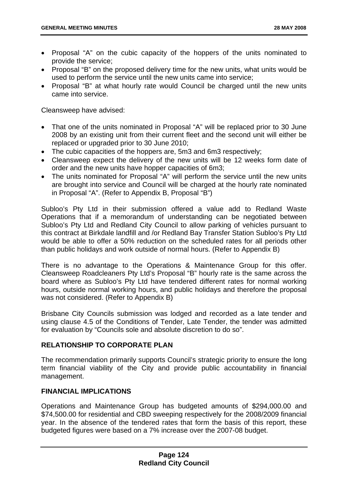- Proposal "A" on the cubic capacity of the hoppers of the units nominated to provide the service;
- Proposal "B" on the proposed delivery time for the new units, what units would be used to perform the service until the new units came into service;
- Proposal "B" at what hourly rate would Council be charged until the new units came into service.

Cleansweep have advised:

- That one of the units nominated in Proposal "A" will be replaced prior to 30 June 2008 by an existing unit from their current fleet and the second unit will either be replaced or upgraded prior to 30 June 2010;
- The cubic capacities of the hoppers are, 5m3 and 6m3 respectively:
- Cleansweep expect the delivery of the new units will be 12 weeks form date of order and the new units have hopper capacities of 6m3;
- The units nominated for Proposal "A" will perform the service until the new units are brought into service and Council will be charged at the hourly rate nominated in Proposal "A". (Refer to Appendix B, Proposal "B")

Subloo's Pty Ltd in their submission offered a value add to Redland Waste Operations that if a memorandum of understanding can be negotiated between Subloo's Pty Ltd and Redland City Council to allow parking of vehicles pursuant to this contract at Birkdale landfill and /or Redland Bay Transfer Station Subloo's Pty Ltd would be able to offer a 50% reduction on the scheduled rates for all periods other than public holidays and work outside of normal hours. (Refer to Appendix B)

There is no advantage to the Operations & Maintenance Group for this offer. Cleansweep Roadcleaners Pty Ltd's Proposal "B" hourly rate is the same across the board where as Subloo's Pty Ltd have tendered different rates for normal working hours, outside normal working hours, and public holidays and therefore the proposal was not considered. (Refer to Appendix B)

Brisbane City Councils submission was lodged and recorded as a late tender and using clause 4.5 of the Conditions of Tender, Late Tender, the tender was admitted for evaluation by "Councils sole and absolute discretion to do so".

# **RELATIONSHIP TO CORPORATE PLAN**

The recommendation primarily supports Council's strategic priority to ensure the long term financial viability of the City and provide public accountability in financial management.

# **FINANCIAL IMPLICATIONS**

Operations and Maintenance Group has budgeted amounts of \$294,000.00 and \$74,500.00 for residential and CBD sweeping respectively for the 2008/2009 financial year. In the absence of the tendered rates that form the basis of this report, these budgeted figures were based on a 7% increase over the 2007-08 budget.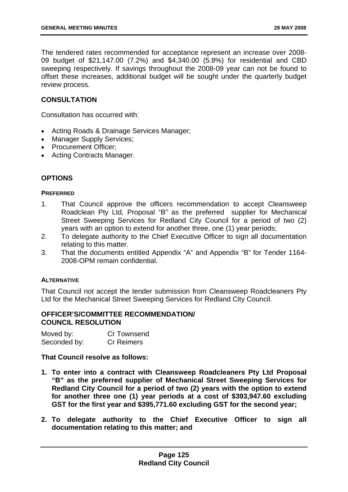The tendered rates recommended for acceptance represent an increase over 2008- 09 budget of \$21,147.00 (7.2%) and \$4,340.00 (5.8%) for residential and CBD sweeping respectively. If savings throughout the 2008-09 year can not be found to offset these increases, additional budget will be sought under the quarterly budget review process.

# **CONSULTATION**

Consultation has occurred with:

- Acting Roads & Drainage Services Manager;
- Manager Supply Services;
- Procurement Officer;
- Acting Contracts Manager.

# **OPTIONS**

#### **PREFERRED**

- 1. That Council approve the officers recommendation to accept Cleansweep Roadclean Pty Ltd, Proposal "B" as the preferred supplier for Mechanical Street Sweeping Services for Redland City Council for a period of two (2) years with an option to extend for another three, one (1) year periods;
- 2. To delegate authority to the Chief Executive Officer to sign all documentation relating to this matter.
- 3. That the documents entitled Appendix "A" and Appendix "B" for Tender 1164- 2008-OPM remain confidential.

### **ALTERNATIVE**

That Council not accept the tender submission from Cleansweep Roadcleaners Pty Ltd for the Mechanical Street Sweeping Services for Redland City Council.

### **OFFICER'S/COMMITTEE RECOMMENDATION/ COUNCIL RESOLUTION**

| Moved by:    | <b>Cr Townsend</b> |
|--------------|--------------------|
| Seconded by: | <b>Cr Reimers</b>  |

### **That Council resolve as follows:**

- **1. To enter into a contract with Cleansweep Roadcleaners Pty Ltd Proposal "B" as the preferred supplier of Mechanical Street Sweeping Services for Redland City Council for a period of two (2) years with the option to extend for another three one (1) year periods at a cost of \$393,947.60 excluding GST for the first year and \$395,771.60 excluding GST for the second year;**
- **2. To delegate authority to the Chief Executive Officer to sign all documentation relating to this matter; and**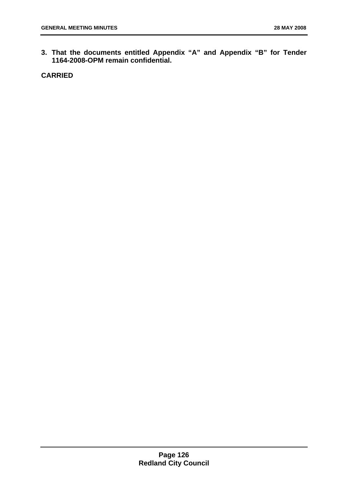**3. That the documents entitled Appendix "A" and Appendix "B" for Tender 1164-2008-OPM remain confidential.**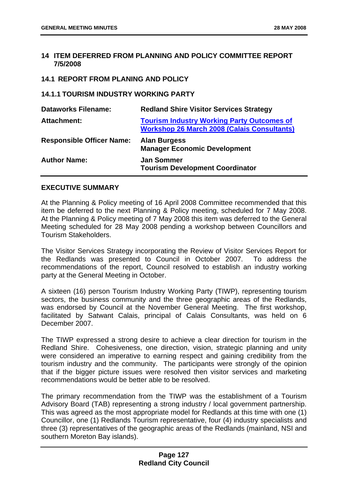## **14 ITEM DEFERRED FROM PLANNING AND POLICY COMMITTEE REPORT 7/5/2008**

### **14.1 REPORT FROM PLANING AND POLICY**

## **14.1.1 TOURISM INDUSTRY WORKING PARTY**

| <b>Dataworks Filename:</b>       | <b>Redland Shire Visitor Services Strategy</b>                                                          |
|----------------------------------|---------------------------------------------------------------------------------------------------------|
| <b>Attachment:</b>               | <b>Tourism Industry Working Party Outcomes of</b><br><b>Workshop 26 March 2008 (Calais Consultants)</b> |
| <b>Responsible Officer Name:</b> | <b>Alan Burgess</b><br><b>Manager Economic Development</b>                                              |
| <b>Author Name:</b>              | <b>Jan Sommer</b><br><b>Tourism Development Coordinator</b>                                             |

## **EXECUTIVE SUMMARY**

At the Planning & Policy meeting of 16 April 2008 Committee recommended that this item be deferred to the next Planning & Policy meeting, scheduled for 7 May 2008. At the Planning & Policy meeting of 7 May 2008 this item was deferred to the General Meeting scheduled for 28 May 2008 pending a workshop between Councillors and Tourism Stakeholders.

The Visitor Services Strategy incorporating the Review of Visitor Services Report for the Redlands was presented to Council in October 2007. To address the recommendations of the report, Council resolved to establish an industry working party at the General Meeting in October.

A sixteen (16) person Tourism Industry Working Party (TIWP), representing tourism sectors, the business community and the three geographic areas of the Redlands, was endorsed by Council at the November General Meeting. The first workshop, facilitated by Satwant Calais, principal of Calais Consultants, was held on 6 December 2007.

The TIWP expressed a strong desire to achieve a clear direction for tourism in the Redland Shire. Cohesiveness, one direction, vision, strategic planning and unity were considered an imperative to earning respect and gaining credibility from the tourism industry and the community. The participants were strongly of the opinion that if the bigger picture issues were resolved then visitor services and marketing recommendations would be better able to be resolved.

The primary recommendation from the TIWP was the establishment of a Tourism Advisory Board (TAB) representing a strong industry / local government partnership. This was agreed as the most appropriate model for Redlands at this time with one (1) Councillor, one (1) Redlands Tourism representative, four (4) industry specialists and three (3) representatives of the geographic areas of the Redlands (mainland, NSI and southern Moreton Bay islands).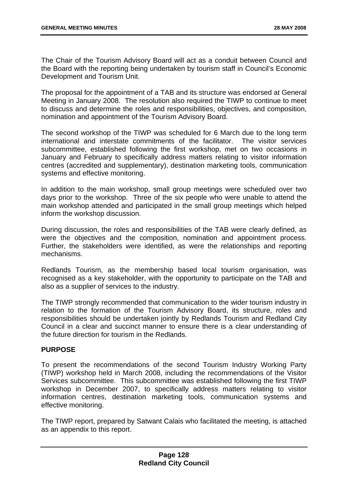The Chair of the Tourism Advisory Board will act as a conduit between Council and the Board with the reporting being undertaken by tourism staff in Council's Economic Development and Tourism Unit.

The proposal for the appointment of a TAB and its structure was endorsed at General Meeting in January 2008. The resolution also required the TIWP to continue to meet to discuss and determine the roles and responsibilities, objectives, and composition, nomination and appointment of the Tourism Advisory Board.

The second workshop of the TIWP was scheduled for 6 March due to the long term international and interstate commitments of the facilitator. The visitor services subcommittee, established following the first workshop, met on two occasions in January and February to specifically address matters relating to visitor information centres (accredited and supplementary), destination marketing tools, communication systems and effective monitoring.

In addition to the main workshop, small group meetings were scheduled over two days prior to the workshop. Three of the six people who were unable to attend the main workshop attended and participated in the small group meetings which helped inform the workshop discussion.

During discussion, the roles and responsibilities of the TAB were clearly defined, as were the objectives and the composition, nomination and appointment process. Further, the stakeholders were identified, as were the relationships and reporting mechanisms.

Redlands Tourism, as the membership based local tourism organisation, was recognised as a key stakeholder, with the opportunity to participate on the TAB and also as a supplier of services to the industry.

The TIWP strongly recommended that communication to the wider tourism industry in relation to the formation of the Tourism Advisory Board, its structure, roles and responsibilities should be undertaken jointly by Redlands Tourism and Redland City Council in a clear and succinct manner to ensure there is a clear understanding of the future direction for tourism in the Redlands.

### **PURPOSE**

To present the recommendations of the second Tourism Industry Working Party (TIWP) workshop held in March 2008, including the recommendations of the Visitor Services subcommittee. This subcommittee was established following the first TIWP workshop in December 2007, to specifically address matters relating to visitor information centres, destination marketing tools, communication systems and effective monitoring.

The TIWP report, prepared by Satwant Calais who facilitated the meeting, is attached as an appendix to this report.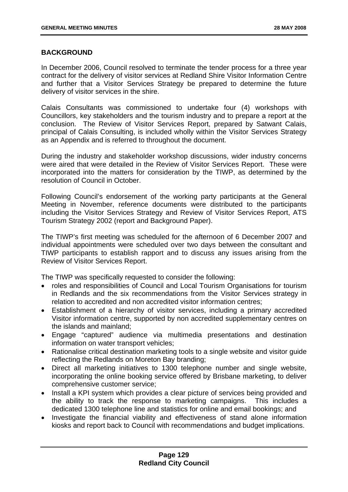## **BACKGROUND**

In December 2006, Council resolved to terminate the tender process for a three year contract for the delivery of visitor services at Redland Shire Visitor Information Centre and further that a Visitor Services Strategy be prepared to determine the future delivery of visitor services in the shire.

Calais Consultants was commissioned to undertake four (4) workshops with Councillors, key stakeholders and the tourism industry and to prepare a report at the conclusion. The Review of Visitor Services Report, prepared by Satwant Calais, principal of Calais Consulting, is included wholly within the Visitor Services Strategy as an Appendix and is referred to throughout the document.

During the industry and stakeholder workshop discussions, wider industry concerns were aired that were detailed in the Review of Visitor Services Report. These were incorporated into the matters for consideration by the TIWP, as determined by the resolution of Council in October.

Following Council's endorsement of the working party participants at the General Meeting in November, reference documents were distributed to the participants including the Visitor Services Strategy and Review of Visitor Services Report, ATS Tourism Strategy 2002 (report and Background Paper).

The TIWP's first meeting was scheduled for the afternoon of 6 December 2007 and individual appointments were scheduled over two days between the consultant and TIWP participants to establish rapport and to discuss any issues arising from the Review of Visitor Services Report.

The TIWP was specifically requested to consider the following:

- roles and responsibilities of Council and Local Tourism Organisations for tourism in Redlands and the six recommendations from the Visitor Services strategy in relation to accredited and non accredited visitor information centres;
- Establishment of a hierarchy of visitor services, including a primary accredited Visitor information centre, supported by non accredited supplementary centres on the islands and mainland;
- Engage "captured" audience via multimedia presentations and destination information on water transport vehicles;
- Rationalise critical destination marketing tools to a single website and visitor guide reflecting the Redlands on Moreton Bay branding;
- Direct all marketing initiatives to 1300 telephone number and single website, incorporating the online booking service offered by Brisbane marketing, to deliver comprehensive customer service;
- Install a KPI system which provides a clear picture of services being provided and the ability to track the response to marketing campaigns. This includes a dedicated 1300 telephone line and statistics for online and email bookings; and
- Investigate the financial viability and effectiveness of stand alone information kiosks and report back to Council with recommendations and budget implications.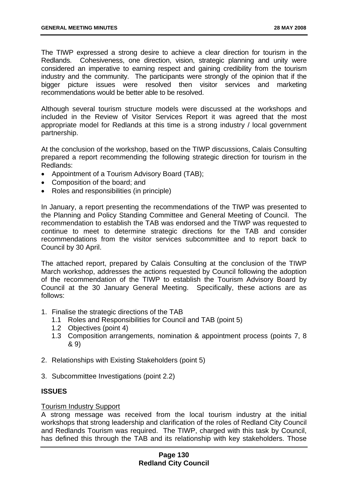The TIWP expressed a strong desire to achieve a clear direction for tourism in the Redlands. Cohesiveness, one direction, vision, strategic planning and unity were considered an imperative to earning respect and gaining credibility from the tourism industry and the community. The participants were strongly of the opinion that if the bigger picture issues were resolved then visitor services and marketing recommendations would be better able to be resolved.

Although several tourism structure models were discussed at the workshops and included in the Review of Visitor Services Report it was agreed that the most appropriate model for Redlands at this time is a strong industry / local government partnership.

At the conclusion of the workshop, based on the TIWP discussions, Calais Consulting prepared a report recommending the following strategic direction for tourism in the Redlands:

- Appointment of a Tourism Advisory Board (TAB);
- Composition of the board; and
- Roles and responsibilities (in principle)

In January, a report presenting the recommendations of the TIWP was presented to the Planning and Policy Standing Committee and General Meeting of Council. The recommendation to establish the TAB was endorsed and the TIWP was requested to continue to meet to determine strategic directions for the TAB and consider recommendations from the visitor services subcommittee and to report back to Council by 30 April.

The attached report, prepared by Calais Consulting at the conclusion of the TIWP March workshop, addresses the actions requested by Council following the adoption of the recommendation of the TIWP to establish the Tourism Advisory Board by Council at the 30 January General Meeting. Specifically, these actions are as follows:

- 1. Finalise the strategic directions of the TAB
	- 1.1 Roles and Responsibilities for Council and TAB (point 5)
	- 1.2 Objectives (point 4)
	- 1.3 Composition arrangements, nomination & appointment process (points 7, 8 & 9)
- 2. Relationships with Existing Stakeholders (point 5)
- 3. Subcommittee Investigations (point 2.2)

### **ISSUES**

### Tourism Industry Support

A strong message was received from the local tourism industry at the initial workshops that strong leadership and clarification of the roles of Redland City Council and Redlands Tourism was required. The TIWP, charged with this task by Council, has defined this through the TAB and its relationship with key stakeholders. Those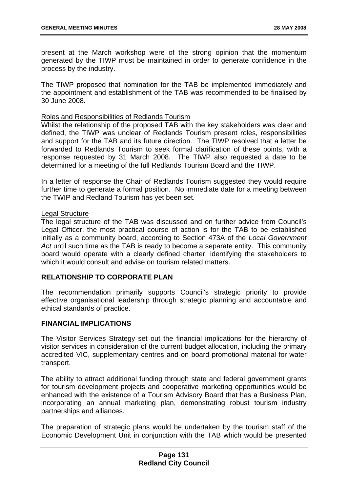present at the March workshop were of the strong opinion that the momentum generated by the TIWP must be maintained in order to generate confidence in the process by the industry.

The TIWP proposed that nomination for the TAB be implemented immediately and the appointment and establishment of the TAB was recommended to be finalised by 30 June 2008.

#### Roles and Responsibilities of Redlands Tourism

Whilst the relationship of the proposed TAB with the key stakeholders was clear and defined, the TIWP was unclear of Redlands Tourism present roles, responsibilities and support for the TAB and its future direction. The TIWP resolved that a letter be forwarded to Redlands Tourism to seek formal clarification of these points, with a response requested by 31 March 2008. The TIWP also requested a date to be determined for a meeting of the full Redlands Tourism Board and the TIWP.

In a letter of response the Chair of Redlands Tourism suggested they would require further time to generate a formal position. No immediate date for a meeting between the TWIP and Redland Tourism has yet been set.

#### Legal Structure

The legal structure of the TAB was discussed and on further advice from Council's Legal Officer, the most practical course of action is for the TAB to be established initially as a community board, according to Section 473A of the *Local Government Act* until such time as the TAB is ready to become a separate entity. This community board would operate with a clearly defined charter, identifying the stakeholders to which it would consult and advise on tourism related matters.

# **RELATIONSHIP TO CORPORATE PLAN**

The recommendation primarily supports Council's strategic priority to provide effective organisational leadership through strategic planning and accountable and ethical standards of practice.

### **FINANCIAL IMPLICATIONS**

The Visitor Services Strategy set out the financial implications for the hierarchy of visitor services in consideration of the current budget allocation, including the primary accredited VIC, supplementary centres and on board promotional material for water transport.

The ability to attract additional funding through state and federal government grants for tourism development projects and cooperative marketing opportunities would be enhanced with the existence of a Tourism Advisory Board that has a Business Plan, incorporating an annual marketing plan, demonstrating robust tourism industry partnerships and alliances.

The preparation of strategic plans would be undertaken by the tourism staff of the Economic Development Unit in conjunction with the TAB which would be presented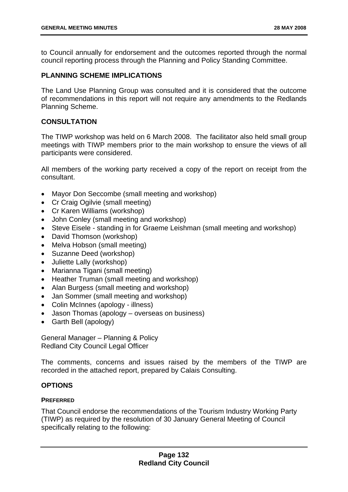to Council annually for endorsement and the outcomes reported through the normal council reporting process through the Planning and Policy Standing Committee.

## **PLANNING SCHEME IMPLICATIONS**

The Land Use Planning Group was consulted and it is considered that the outcome of recommendations in this report will not require any amendments to the Redlands Planning Scheme.

## **CONSULTATION**

The TIWP workshop was held on 6 March 2008. The facilitator also held small group meetings with TIWP members prior to the main workshop to ensure the views of all participants were considered.

All members of the working party received a copy of the report on receipt from the consultant.

- Mayor Don Seccombe (small meeting and workshop)
- Cr Craig Ogilvie (small meeting)
- Cr Karen Williams (workshop)
- John Conley (small meeting and workshop)
- Steve Eisele standing in for Graeme Leishman (small meeting and workshop)
- David Thomson (workshop)
- Melva Hobson (small meeting)
- Suzanne Deed (workshop)
- Juliette Lally (workshop)
- Marianna Tigani (small meeting)
- Heather Truman (small meeting and workshop)
- Alan Burgess (small meeting and workshop)
- Jan Sommer (small meeting and workshop)
- Colin McInnes (apology illness)
- Jason Thomas (apology overseas on business)
- Garth Bell (apology)

General Manager – Planning & Policy Redland City Council Legal Officer

The comments, concerns and issues raised by the members of the TIWP are recorded in the attached report, prepared by Calais Consulting.

### **OPTIONS**

### **PREFERRED**

That Council endorse the recommendations of the Tourism Industry Working Party (TIWP) as required by the resolution of 30 January General Meeting of Council specifically relating to the following: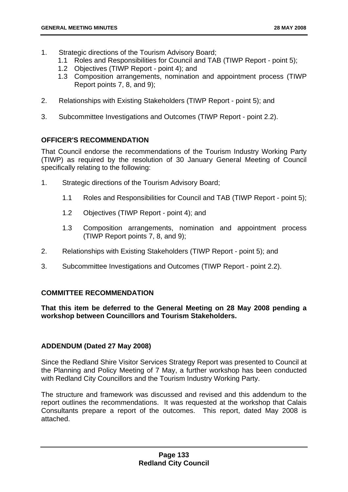- 1. Strategic directions of the Tourism Advisory Board;
	- 1.1 Roles and Responsibilities for Council and TAB (TIWP Report point 5);
	- 1.2 Objectives (TIWP Report point 4); and
	- 1.3 Composition arrangements, nomination and appointment process (TIWP Report points 7, 8, and 9);
- 2. Relationships with Existing Stakeholders (TIWP Report point 5); and
- 3. Subcommittee Investigations and Outcomes (TIWP Report point 2.2).

# **OFFICER'S RECOMMENDATION**

That Council endorse the recommendations of the Tourism Industry Working Party (TIWP) as required by the resolution of 30 January General Meeting of Council specifically relating to the following:

- 1. Strategic directions of the Tourism Advisory Board;
	- 1.1 Roles and Responsibilities for Council and TAB (TIWP Report point 5);
	- 1.2 Objectives (TIWP Report point 4); and
	- 1.3 Composition arrangements, nomination and appointment process (TIWP Report points 7, 8, and 9);
- 2. Relationships with Existing Stakeholders (TIWP Report point 5); and
- 3. Subcommittee Investigations and Outcomes (TIWP Report point 2.2).

# **COMMITTEE RECOMMENDATION**

**That this item be deferred to the General Meeting on 28 May 2008 pending a workshop between Councillors and Tourism Stakeholders.** 

# **ADDENDUM (Dated 27 May 2008)**

Since the Redland Shire Visitor Services Strategy Report was presented to Council at the Planning and Policy Meeting of 7 May, a further workshop has been conducted with Redland City Councillors and the Tourism Industry Working Party.

The structure and framework was discussed and revised and this addendum to the report outlines the recommendations. It was requested at the workshop that Calais Consultants prepare a report of the outcomes. This report, dated May 2008 is attached.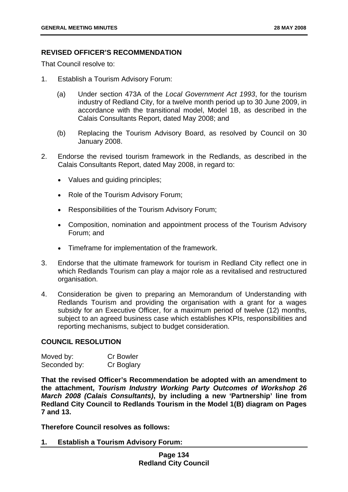## **REVISED OFFICER'S RECOMMENDATION**

That Council resolve to:

- 1. Establish a Tourism Advisory Forum:
	- (a) Under section 473A of the *Local Government Act 1993*, for the tourism industry of Redland City, for a twelve month period up to 30 June 2009, in accordance with the transitional model, Model 1B, as described in the Calais Consultants Report, dated May 2008; and
	- (b) Replacing the Tourism Advisory Board, as resolved by Council on 30 January 2008.
- 2. Endorse the revised tourism framework in the Redlands, as described in the Calais Consultants Report, dated May 2008, in regard to:
	- Values and guiding principles;
	- Role of the Tourism Advisory Forum;
	- Responsibilities of the Tourism Advisory Forum;
	- Composition, nomination and appointment process of the Tourism Advisory Forum; and
	- Timeframe for implementation of the framework.
- 3. Endorse that the ultimate framework for tourism in Redland City reflect one in which Redlands Tourism can play a major role as a revitalised and restructured organisation.
- 4. Consideration be given to preparing an Memorandum of Understanding with Redlands Tourism and providing the organisation with a grant for a wages subsidy for an Executive Officer, for a maximum period of twelve (12) months, subject to an agreed business case which establishes KPIs, responsibilities and reporting mechanisms, subject to budget consideration.

### **COUNCIL RESOLUTION**

| Moved by:    | <b>Cr Bowler</b> |
|--------------|------------------|
| Seconded by: | Cr Boglary       |

**That the revised Officer's Recommendation be adopted with an amendment to the attachment,** *Tourism Industry Working Party Outcomes of Workshop 26 March 2008 (Calais Consultants)***, by including a new 'Partnership' line from Redland City Council to Redlands Tourism in the Model 1(B) diagram on Pages 7 and 13.** 

**Therefore Council resolves as follows:** 

**1. Establish a Tourism Advisory Forum:**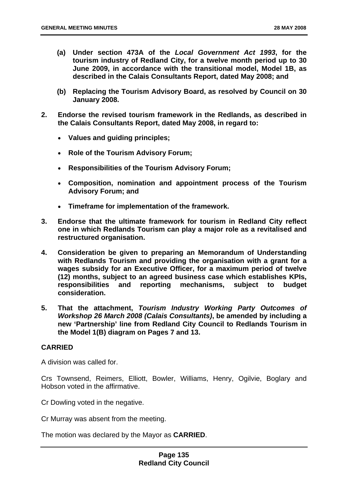- **(a) Under section 473A of the** *Local Government Act 1993***, for the tourism industry of Redland City, for a twelve month period up to 30 June 2009, in accordance with the transitional model, Model 1B, as described in the Calais Consultants Report, dated May 2008; and**
- **(b) Replacing the Tourism Advisory Board, as resolved by Council on 30 January 2008.**
- **2. Endorse the revised tourism framework in the Redlands, as described in the Calais Consultants Report, dated May 2008, in regard to:** 
	- **Values and guiding principles;**
	- **Role of the Tourism Advisory Forum;**
	- **Responsibilities of the Tourism Advisory Forum;**
	- **Composition, nomination and appointment process of the Tourism Advisory Forum; and**
	- **Timeframe for implementation of the framework.**
- **3. Endorse that the ultimate framework for tourism in Redland City reflect one in which Redlands Tourism can play a major role as a revitalised and restructured organisation.**
- **4. Consideration be given to preparing an Memorandum of Understanding with Redlands Tourism and providing the organisation with a grant for a wages subsidy for an Executive Officer, for a maximum period of twelve (12) months, subject to an agreed business case which establishes KPIs, responsibilities and reporting mechanisms, subject to budget consideration.**
- **5. That the attachment,** *Tourism Industry Working Party Outcomes of Workshop 26 March 2008 (Calais Consultants)***, be amended by including a new 'Partnership' line from Redland City Council to Redlands Tourism in the Model 1(B) diagram on Pages 7 and 13.**

### **CARRIED**

A division was called for.

Crs Townsend, Reimers, Elliott, Bowler, Williams, Henry, Ogilvie, Boglary and Hobson voted in the affirmative.

Cr Dowling voted in the negative.

Cr Murray was absent from the meeting.

The motion was declared by the Mayor as **CARRIED**.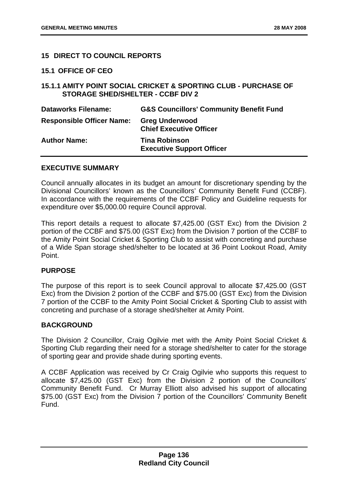## **15 DIRECT TO COUNCIL REPORTS**

#### **15.1 OFFICE OF CEO**

# **15.1.1 AMITY POINT SOCIAL CRICKET & SPORTING CLUB - PURCHASE OF STORAGE SHED/SHELTER - CCBF DIV 2**

| <b>Dataworks Filename:</b>       | <b>G&amp;S Councillors' Community Benefit Fund</b>       |
|----------------------------------|----------------------------------------------------------|
| <b>Responsible Officer Name:</b> | <b>Greg Underwood</b><br><b>Chief Executive Officer</b>  |
| <b>Author Name:</b>              | <b>Tina Robinson</b><br><b>Executive Support Officer</b> |

### **EXECUTIVE SUMMARY**

Council annually allocates in its budget an amount for discretionary spending by the Divisional Councillors' known as the Councillors' Community Benefit Fund (CCBF). In accordance with the requirements of the CCBF Policy and Guideline requests for expenditure over \$5,000.00 require Council approval.

This report details a request to allocate \$7,425.00 (GST Exc) from the Division 2 portion of the CCBF and \$75.00 (GST Exc) from the Division 7 portion of the CCBF to the Amity Point Social Cricket & Sporting Club to assist with concreting and purchase of a Wide Span storage shed/shelter to be located at 36 Point Lookout Road, Amity Point.

### **PURPOSE**

The purpose of this report is to seek Council approval to allocate \$7,425.00 (GST Exc) from the Division 2 portion of the CCBF and \$75.00 (GST Exc) from the Division 7 portion of the CCBF to the Amity Point Social Cricket & Sporting Club to assist with concreting and purchase of a storage shed/shelter at Amity Point.

### **BACKGROUND**

The Division 2 Councillor, Craig Ogilvie met with the Amity Point Social Cricket & Sporting Club regarding their need for a storage shed/shelter to cater for the storage of sporting gear and provide shade during sporting events.

A CCBF Application was received by Cr Craig Ogilvie who supports this request to allocate \$7,425.00 (GST Exc) from the Division 2 portion of the Councillors' Community Benefit Fund. Cr Murray Elliott also advised his support of allocating \$75.00 (GST Exc) from the Division 7 portion of the Councillors' Community Benefit Fund.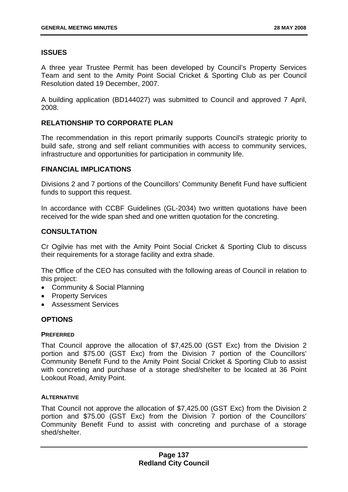# **ISSUES**

A three year Trustee Permit has been developed by Council's Property Services Team and sent to the Amity Point Social Cricket & Sporting Club as per Council Resolution dated 19 December, 2007.

A building application (BD144027) was submitted to Council and approved 7 April, 2008.

# **RELATIONSHIP TO CORPORATE PLAN**

The recommendation in this report primarily supports Council's strategic priority to build safe, strong and self reliant communities with access to community services, infrastructure and opportunities for participation in community life.

### **FINANCIAL IMPLICATIONS**

Divisions 2 and 7 portions of the Councillors' Community Benefit Fund have sufficient funds to support this request.

In accordance with CCBF Guidelines (GL-2034) two written quotations have been received for the wide span shed and one written quotation for the concreting.

### **CONSULTATION**

Cr Ogilvie has met with the Amity Point Social Cricket & Sporting Club to discuss their requirements for a storage facility and extra shade.

The Office of the CEO has consulted with the following areas of Council in relation to this project:

- Community & Social Planning
- Property Services
- Assessment Services

# **OPTIONS**

#### **PREFERRED**

That Council approve the allocation of \$7,425.00 (GST Exc) from the Division 2 portion and \$75.00 (GST Exc) from the Division 7 portion of the Councillors' Community Benefit Fund to the Amity Point Social Cricket & Sporting Club to assist with concreting and purchase of a storage shed/shelter to be located at 36 Point Lookout Road, Amity Point.

### **ALTERNATIVE**

That Council not approve the allocation of \$7,425.00 (GST Exc) from the Division 2 portion and \$75.00 (GST Exc) from the Division 7 portion of the Councillors' Community Benefit Fund to assist with concreting and purchase of a storage shed/shelter.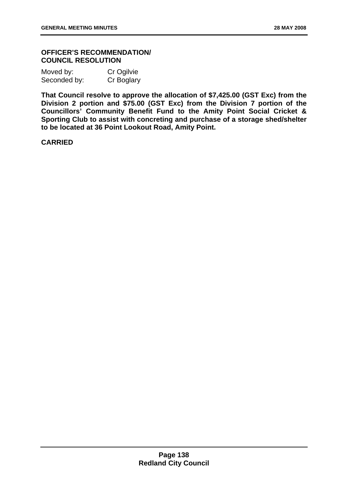#### **OFFICER'S RECOMMENDATION/ COUNCIL RESOLUTION**

| Moved by:    | Cr Ogilvie |
|--------------|------------|
| Seconded by: | Cr Boglary |

**That Council resolve to approve the allocation of \$7,425.00 (GST Exc) from the Division 2 portion and \$75.00 (GST Exc) from the Division 7 portion of the Councillors' Community Benefit Fund to the Amity Point Social Cricket & Sporting Club to assist with concreting and purchase of a storage shed/shelter to be located at 36 Point Lookout Road, Amity Point.**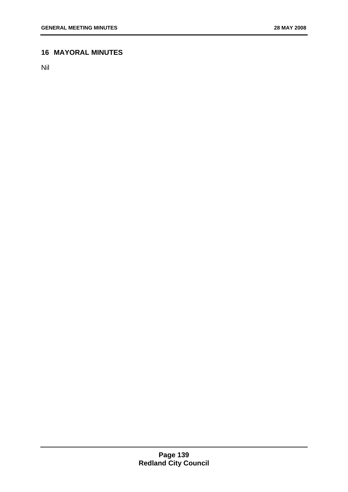# **16 MAYORAL MINUTES**

Nil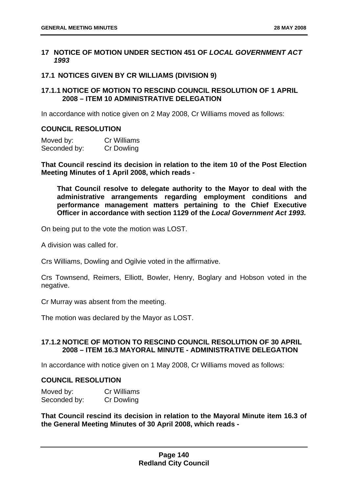## **17 NOTICE OF MOTION UNDER SECTION 451 OF** *LOCAL GOVERNMENT ACT 1993*

## **17.1 NOTICES GIVEN BY CR WILLIAMS (DIVISION 9)**

# **17.1.1 NOTICE OF MOTION TO RESCIND COUNCIL RESOLUTION OF 1 APRIL 2008 – ITEM 10 ADMINISTRATIVE DELEGATION**

In accordance with notice given on 2 May 2008, Cr Williams moved as follows:

### **COUNCIL RESOLUTION**

| Moved by:    | Cr Williams       |
|--------------|-------------------|
| Seconded by: | <b>Cr Dowling</b> |

**That Council rescind its decision in relation to the item 10 of the Post Election Meeting Minutes of 1 April 2008, which reads -** 

**That Council resolve to delegate authority to the Mayor to deal with the administrative arrangements regarding employment conditions and performance management matters pertaining to the Chief Executive Officer in accordance with section 1129 of the** *Local Government Act 1993.* 

On being put to the vote the motion was LOST.

A division was called for.

Crs Williams, Dowling and Ogilvie voted in the affirmative.

Crs Townsend, Reimers, Elliott, Bowler, Henry, Boglary and Hobson voted in the negative.

Cr Murray was absent from the meeting.

The motion was declared by the Mayor as LOST.

# **17.1.2 NOTICE OF MOTION TO RESCIND COUNCIL RESOLUTION OF 30 APRIL 2008 – ITEM 16.3 MAYORAL MINUTE - ADMINISTRATIVE DELEGATION**

In accordance with notice given on 1 May 2008, Cr Williams moved as follows:

### **COUNCIL RESOLUTION**

| Moved by:    | <b>Cr Williams</b> |
|--------------|--------------------|
| Seconded by: | <b>Cr Dowling</b>  |

**That Council rescind its decision in relation to the Mayoral Minute item 16.3 of the General Meeting Minutes of 30 April 2008, which reads -**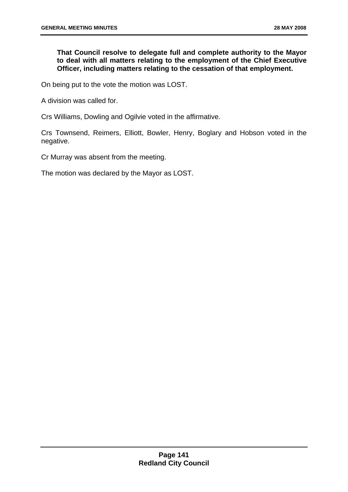**That Council resolve to delegate full and complete authority to the Mayor to deal with all matters relating to the employment of the Chief Executive Officer, including matters relating to the cessation of that employment.** 

On being put to the vote the motion was LOST.

A division was called for.

Crs Williams, Dowling and Ogilvie voted in the affirmative.

Crs Townsend, Reimers, Elliott, Bowler, Henry, Boglary and Hobson voted in the negative.

Cr Murray was absent from the meeting.

The motion was declared by the Mayor as LOST.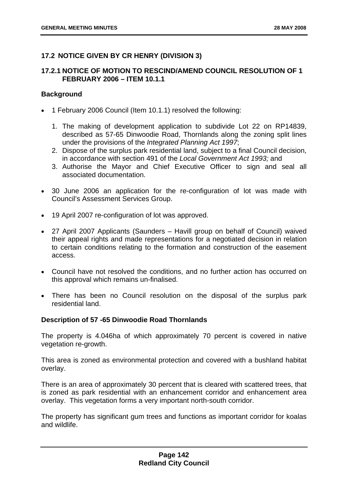# **17.2 NOTICE GIVEN BY CR HENRY (DIVISION 3)**

# **17.2.1 NOTICE OF MOTION TO RESCIND/AMEND COUNCIL RESOLUTION OF 1 FEBRUARY 2006 – ITEM 10.1.1**

# **Background**

- 1 February 2006 Council (Item 10.1.1) resolved the following:
	- 1. The making of development application to subdivide Lot 22 on RP14839, described as 57-65 Dinwoodie Road, Thornlands along the zoning split lines under the provisions of the *Integrated Planning Act 1997*;
	- 2. Dispose of the surplus park residential land, subject to a final Council decision, in accordance with section 491 of the *Local Government Act 1993;* and
	- 3. Authorise the Mayor and Chief Executive Officer to sign and seal all associated documentation.
- 30 June 2006 an application for the re-configuration of lot was made with Council's Assessment Services Group.
- 19 April 2007 re-configuration of lot was approved.
- 27 April 2007 Applicants (Saunders Havill group on behalf of Council) waived their appeal rights and made representations for a negotiated decision in relation to certain conditions relating to the formation and construction of the easement access.
- Council have not resolved the conditions, and no further action has occurred on this approval which remains un-finalised.
- There has been no Council resolution on the disposal of the surplus park residential land.

# **Description of 57 -65 Dinwoodie Road Thornlands**

The property is 4.046ha of which approximately 70 percent is covered in native vegetation re-growth.

This area is zoned as environmental protection and covered with a bushland habitat overlay.

There is an area of approximately 30 percent that is cleared with scattered trees, that is zoned as park residential with an enhancement corridor and enhancement area overlay. This vegetation forms a very important north-south corridor.

The property has significant gum trees and functions as important corridor for koalas and wildlife.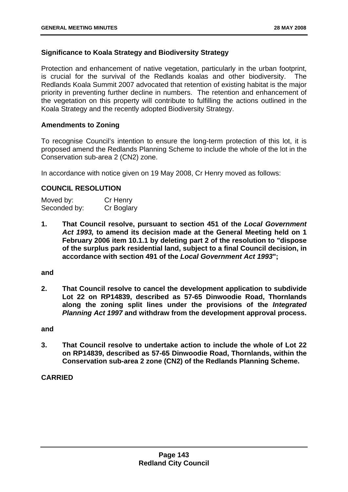# **Significance to Koala Strategy and Biodiversity Strategy**

Protection and enhancement of native vegetation, particularly in the urban footprint, is crucial for the survival of the Redlands koalas and other biodiversity. The Redlands Koala Summit 2007 advocated that retention of existing habitat is the major priority in preventing further decline in numbers. The retention and enhancement of the vegetation on this property will contribute to fulfilling the actions outlined in the Koala Strategy and the recently adopted Biodiversity Strategy.

### **Amendments to Zoning**

To recognise Council's intention to ensure the long-term protection of this lot, it is proposed amend the Redlands Planning Scheme to include the whole of the lot in the Conservation sub-area 2 (CN2) zone.

In accordance with notice given on 19 May 2008, Cr Henry moved as follows:

### **COUNCIL RESOLUTION**

| Moved by:    | Cr Henry   |
|--------------|------------|
| Seconded by: | Cr Boglary |

**1. That Council resolve, pursuant to section 451 of the** *Local Government Act 1993,* **to amend its decision made at the General Meeting held on 1 February 2006 item 10.1.1 by deleting part 2 of the resolution to "dispose of the surplus park residential land, subject to a final Council decision, in accordance with section 491 of the** *Local Government Act 1993***";** 

#### **and**

**2. That Council resolve to cancel the development application to subdivide Lot 22 on RP14839, described as 57-65 Dinwoodie Road, Thornlands along the zoning split lines under the provisions of the** *Integrated Planning Act 1997* **and withdraw from the development approval process.** 

#### **and**

**3. That Council resolve to undertake action to include the whole of Lot 22 on RP14839, described as 57-65 Dinwoodie Road, Thornlands, within the Conservation sub-area 2 zone (CN2) of the Redlands Planning Scheme.** 

### **CARRIED**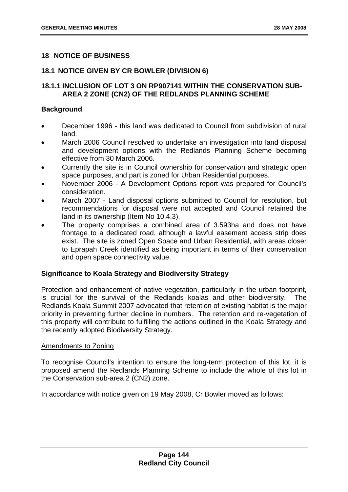# **18 NOTICE OF BUSINESS**

## **18.1 NOTICE GIVEN BY CR BOWLER (DIVISION 6)**

### **18.1.1 INCLUSION OF LOT 3 ON RP907141 WITHIN THE CONSERVATION SUB-AREA 2 ZONE (CN2) OF THE REDLANDS PLANNING SCHEME**

### **Background**

- December 1996 this land was dedicated to Council from subdivision of rural land.
- March 2006 Council resolved to undertake an investigation into land disposal and development options with the Redlands Planning Scheme becoming effective from 30 March 2006.
- Currently the site is in Council ownership for conservation and strategic open space purposes, and part is zoned for Urban Residential purposes.
- November 2006 A Development Options report was prepared for Council's consideration.
- March 2007 Land disposal options submitted to Council for resolution, but recommendations for disposal were not accepted and Council retained the land in its ownership (Item No 10.4.3).
- The property comprises a combined area of 3.593ha and does not have frontage to a dedicated road, although a lawful easement access strip does exist. The site is zoned Open Space and Urban Residential, with areas closer to Eprapah Creek identified as being important in terms of their conservation and open space connectivity value.

# **Significance to Koala Strategy and Biodiversity Strategy**

Protection and enhancement of native vegetation, particularly in the urban footprint, is crucial for the survival of the Redlands koalas and other biodiversity. The Redlands Koala Summit 2007 advocated that retention of existing habitat is the major priority in preventing further decline in numbers. The retention and re-vegetation of this property will contribute to fulfilling the actions outlined in the Koala Strategy and the recently adopted Biodiversity Strategy.

### Amendments to Zoning

To recognise Council's intention to ensure the long-term protection of this lot, it is proposed amend the Redlands Planning Scheme to include the whole of this lot in the Conservation sub-area 2 (CN2) zone.

In accordance with notice given on 19 May 2008, Cr Bowler moved as follows: